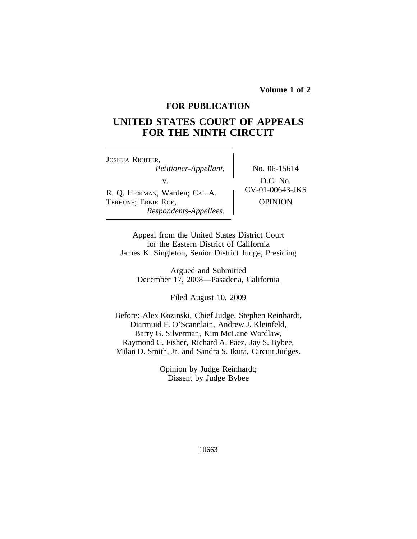**Volume 1 of 2**

# **FOR PUBLICATION**

# **UNITED STATES COURT OF APPEALS FOR THE NINTH CIRCUIT**

| JOSHUA RICHTER,<br>Petitioner-Appellant,                                       |  |
|--------------------------------------------------------------------------------|--|
| V.                                                                             |  |
| R. Q. HICKMAN, Warden; CAL A.<br>TERHUNE; ERNIE ROE,<br>Respondents-Appellees. |  |

*Petitioner-Appellant,* No. 06-15614 D.C. No. <br>CV-01-00643-JKS **OPINION** 

Appeal from the United States District Court for the Eastern District of California James K. Singleton, Senior District Judge, Presiding

Argued and Submitted December 17, 2008—Pasadena, California

Filed August 10, 2009

Before: Alex Kozinski, Chief Judge, Stephen Reinhardt, Diarmuid F. O'Scannlain, Andrew J. Kleinfeld, Barry G. Silverman, Kim McLane Wardlaw, Raymond C. Fisher, Richard A. Paez, Jay S. Bybee, Milan D. Smith, Jr. and Sandra S. Ikuta, Circuit Judges.

> Opinion by Judge Reinhardt; Dissent by Judge Bybee

> > 10663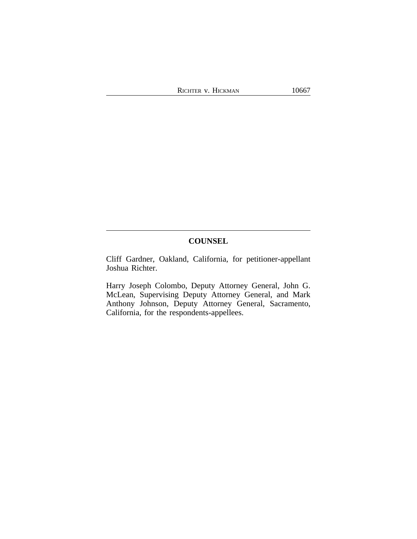# **COUNSEL**

Cliff Gardner, Oakland, California, for petitioner-appellant Joshua Richter.

Harry Joseph Colombo, Deputy Attorney General, John G. McLean, Supervising Deputy Attorney General, and Mark Anthony Johnson, Deputy Attorney General, Sacramento, California, for the respondents-appellees.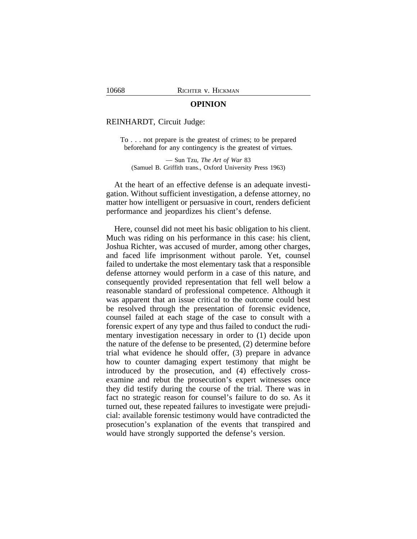### **OPINION**

## REINHARDT, Circuit Judge:

To . . . not prepare is the greatest of crimes; to be prepared beforehand for any contingency is the greatest of virtues.

— Sun Tzu, *The Art of War* 83 (Samuel B. Griffith trans., Oxford University Press 1963)

At the heart of an effective defense is an adequate investigation. Without sufficient investigation, a defense attorney, no matter how intelligent or persuasive in court, renders deficient performance and jeopardizes his client's defense.

Here, counsel did not meet his basic obligation to his client. Much was riding on his performance in this case: his client, Joshua Richter, was accused of murder, among other charges, and faced life imprisonment without parole. Yet, counsel failed to undertake the most elementary task that a responsible defense attorney would perform in a case of this nature, and consequently provided representation that fell well below a reasonable standard of professional competence. Although it was apparent that an issue critical to the outcome could best be resolved through the presentation of forensic evidence, counsel failed at each stage of the case to consult with a forensic expert of any type and thus failed to conduct the rudimentary investigation necessary in order to (1) decide upon the nature of the defense to be presented, (2) determine before trial what evidence he should offer, (3) prepare in advance how to counter damaging expert testimony that might be introduced by the prosecution, and (4) effectively crossexamine and rebut the prosecution's expert witnesses once they did testify during the course of the trial. There was in fact no strategic reason for counsel's failure to do so. As it turned out, these repeated failures to investigate were prejudicial: available forensic testimony would have contradicted the prosecution's explanation of the events that transpired and would have strongly supported the defense's version.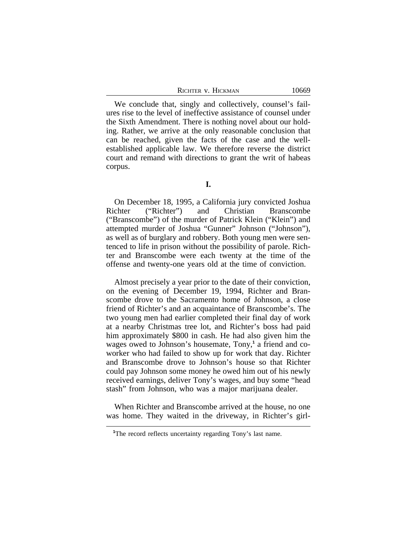| RICHTER V. HICKMAN |  |
|--------------------|--|
|--------------------|--|

We conclude that, singly and collectively, counsel's failures rise to the level of ineffective assistance of counsel under the Sixth Amendment. There is nothing novel about our holding. Rather, we arrive at the only reasonable conclusion that can be reached, given the facts of the case and the wellestablished applicable law. We therefore reverse the district court and remand with directions to grant the writ of habeas corpus.

On December 18, 1995, a California jury convicted Joshua Richter ("Richter") and Christian Branscombe ("Branscombe") of the murder of Patrick Klein ("Klein") and attempted murder of Joshua "Gunner" Johnson ("Johnson"), as well as of burglary and robbery. Both young men were sentenced to life in prison without the possibility of parole. Richter and Branscombe were each twenty at the time of the offense and twenty-one years old at the time of conviction.

Almost precisely a year prior to the date of their conviction, on the evening of December 19, 1994, Richter and Branscombe drove to the Sacramento home of Johnson, a close friend of Richter's and an acquaintance of Branscombe's. The two young men had earlier completed their final day of work at a nearby Christmas tree lot, and Richter's boss had paid him approximately \$800 in cash. He had also given him the wages owed to Johnson's housemate, Tony,**<sup>1</sup>** a friend and coworker who had failed to show up for work that day. Richter and Branscombe drove to Johnson's house so that Richter could pay Johnson some money he owed him out of his newly received earnings, deliver Tony's wages, and buy some "head stash" from Johnson, who was a major marijuana dealer.

When Richter and Branscombe arrived at the house, no one was home. They waited in the driveway, in Richter's girl-

10669

<sup>&</sup>lt;sup>1</sup>The record reflects uncertainty regarding Tony's last name.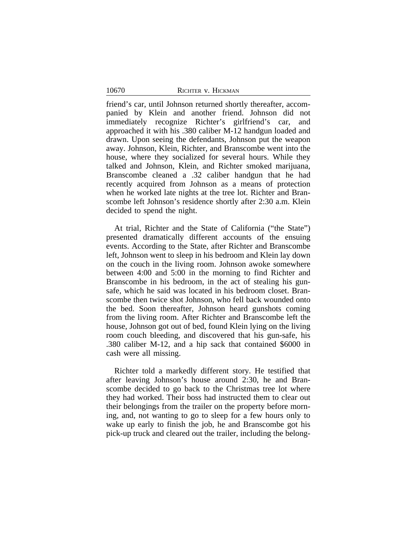friend's car, until Johnson returned shortly thereafter, accompanied by Klein and another friend. Johnson did not immediately recognize Richter's girlfriend's car, and approached it with his .380 caliber M-12 handgun loaded and drawn. Upon seeing the defendants, Johnson put the weapon away. Johnson, Klein, Richter, and Branscombe went into the house, where they socialized for several hours. While they talked and Johnson, Klein, and Richter smoked marijuana, Branscombe cleaned a .32 caliber handgun that he had recently acquired from Johnson as a means of protection when he worked late nights at the tree lot. Richter and Branscombe left Johnson's residence shortly after 2:30 a.m. Klein decided to spend the night.

At trial, Richter and the State of California ("the State") presented dramatically different accounts of the ensuing events. According to the State, after Richter and Branscombe left, Johnson went to sleep in his bedroom and Klein lay down on the couch in the living room. Johnson awoke somewhere between 4:00 and 5:00 in the morning to find Richter and Branscombe in his bedroom, in the act of stealing his gunsafe, which he said was located in his bedroom closet. Branscombe then twice shot Johnson, who fell back wounded onto the bed. Soon thereafter, Johnson heard gunshots coming from the living room. After Richter and Branscombe left the house, Johnson got out of bed, found Klein lying on the living room couch bleeding, and discovered that his gun-safe, his .380 caliber M-12, and a hip sack that contained \$6000 in cash were all missing.

Richter told a markedly different story. He testified that after leaving Johnson's house around 2:30, he and Branscombe decided to go back to the Christmas tree lot where they had worked. Their boss had instructed them to clear out their belongings from the trailer on the property before morning, and, not wanting to go to sleep for a few hours only to wake up early to finish the job, he and Branscombe got his pick-up truck and cleared out the trailer, including the belong-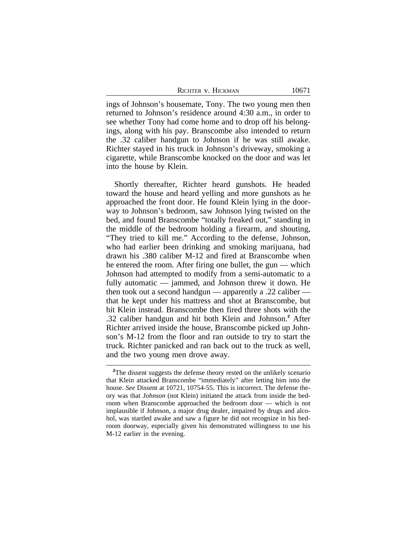ings of Johnson's housemate, Tony. The two young men then returned to Johnson's residence around 4:30 a.m., in order to see whether Tony had come home and to drop off his belongings, along with his pay. Branscombe also intended to return the .32 caliber handgun to Johnson if he was still awake. Richter stayed in his truck in Johnson's driveway, smoking a cigarette, while Branscombe knocked on the door and was let into the house by Klein.

Shortly thereafter, Richter heard gunshots. He headed toward the house and heard yelling and more gunshots as he approached the front door. He found Klein lying in the doorway to Johnson's bedroom, saw Johnson lying twisted on the bed, and found Branscombe "totally freaked out," standing in the middle of the bedroom holding a firearm, and shouting, "They tried to kill me." According to the defense, Johnson, who had earlier been drinking and smoking marijuana, had drawn his .380 caliber M-12 and fired at Branscombe when he entered the room. After firing one bullet, the gun — which Johnson had attempted to modify from a semi-automatic to a fully automatic — jammed, and Johnson threw it down. He then took out a second handgun — apparently a .22 caliber that he kept under his mattress and shot at Branscombe, but hit Klein instead. Branscombe then fired three shots with the .32 caliber handgun and hit both Klein and Johnson.**<sup>2</sup>** After Richter arrived inside the house, Branscombe picked up Johnson's M-12 from the floor and ran outside to try to start the truck. Richter panicked and ran back out to the truck as well, and the two young men drove away.

<sup>&</sup>lt;sup>2</sup>The dissent suggests the defense theory rested on the unlikely scenario that Klein attacked Branscombe "immediately" after letting him into the house. *See* Dissent at 10721, 10754-55. This is incorrect. The defense theory was that *Johnson* (not Klein) initiated the attack from inside the bedroom when Branscombe approached the bedroom door — which is not implausible if Johnson, a major drug dealer, impaired by drugs and alcohol, was startled awake and saw a figure he did not recognize in his bedroom doorway, especially given his demonstrated willingness to use his M-12 earlier in the evening.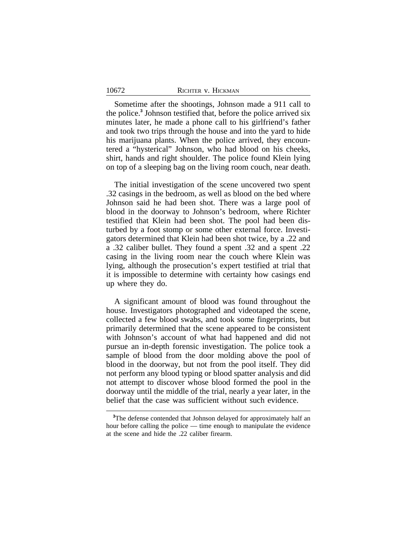Sometime after the shootings, Johnson made a 911 call to the police.**<sup>3</sup>** Johnson testified that, before the police arrived six minutes later, he made a phone call to his girlfriend's father and took two trips through the house and into the yard to hide his marijuana plants. When the police arrived, they encountered a "hysterical" Johnson, who had blood on his cheeks, shirt, hands and right shoulder. The police found Klein lying on top of a sleeping bag on the living room couch, near death.

The initial investigation of the scene uncovered two spent .32 casings in the bedroom, as well as blood on the bed where Johnson said he had been shot. There was a large pool of blood in the doorway to Johnson's bedroom, where Richter testified that Klein had been shot. The pool had been disturbed by a foot stomp or some other external force. Investigators determined that Klein had been shot twice, by a .22 and a .32 caliber bullet. They found a spent .32 and a spent .22 casing in the living room near the couch where Klein was lying, although the prosecution's expert testified at trial that it is impossible to determine with certainty how casings end up where they do.

A significant amount of blood was found throughout the house. Investigators photographed and videotaped the scene, collected a few blood swabs, and took some fingerprints, but primarily determined that the scene appeared to be consistent with Johnson's account of what had happened and did not pursue an in-depth forensic investigation. The police took a sample of blood from the door molding above the pool of blood in the doorway, but not from the pool itself. They did not perform any blood typing or blood spatter analysis and did not attempt to discover whose blood formed the pool in the doorway until the middle of the trial, nearly a year later, in the belief that the case was sufficient without such evidence.

**<sup>3</sup>**The defense contended that Johnson delayed for approximately half an hour before calling the police — time enough to manipulate the evidence at the scene and hide the .22 caliber firearm.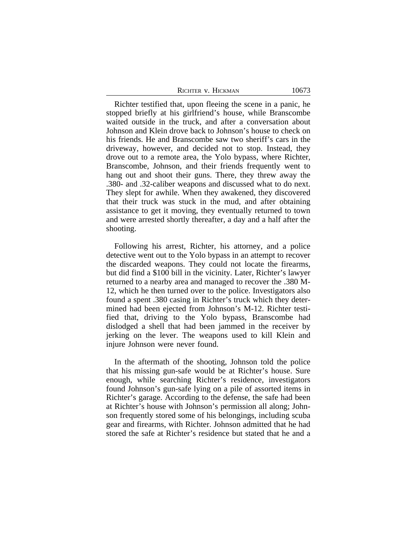| RICHTER V. HICKMAN | 10673 |
|--------------------|-------|
|--------------------|-------|

Richter testified that, upon fleeing the scene in a panic, he stopped briefly at his girlfriend's house, while Branscombe waited outside in the truck, and after a conversation about Johnson and Klein drove back to Johnson's house to check on his friends. He and Branscombe saw two sheriff's cars in the driveway, however, and decided not to stop. Instead, they drove out to a remote area, the Yolo bypass, where Richter, Branscombe, Johnson, and their friends frequently went to hang out and shoot their guns. There, they threw away the .380- and .32-caliber weapons and discussed what to do next. They slept for awhile. When they awakened, they discovered that their truck was stuck in the mud, and after obtaining assistance to get it moving, they eventually returned to town and were arrested shortly thereafter, a day and a half after the shooting.

Following his arrest, Richter, his attorney, and a police detective went out to the Yolo bypass in an attempt to recover the discarded weapons. They could not locate the firearms, but did find a \$100 bill in the vicinity. Later, Richter's lawyer returned to a nearby area and managed to recover the .380 M-12, which he then turned over to the police. Investigators also found a spent .380 casing in Richter's truck which they determined had been ejected from Johnson's M-12. Richter testified that, driving to the Yolo bypass, Branscombe had dislodged a shell that had been jammed in the receiver by jerking on the lever. The weapons used to kill Klein and injure Johnson were never found.

In the aftermath of the shooting, Johnson told the police that his missing gun-safe would be at Richter's house. Sure enough, while searching Richter's residence, investigators found Johnson's gun-safe lying on a pile of assorted items in Richter's garage. According to the defense, the safe had been at Richter's house with Johnson's permission all along; Johnson frequently stored some of his belongings, including scuba gear and firearms, with Richter. Johnson admitted that he had stored the safe at Richter's residence but stated that he and a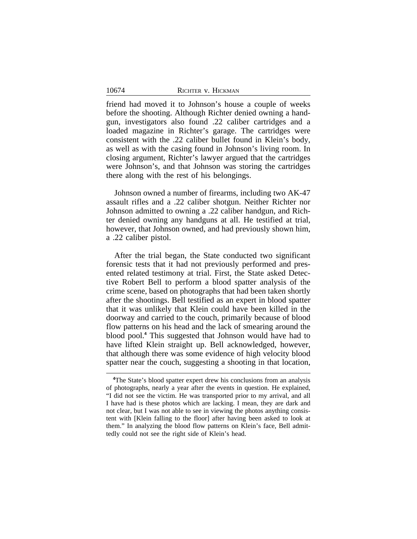friend had moved it to Johnson's house a couple of weeks before the shooting. Although Richter denied owning a handgun, investigators also found .22 caliber cartridges and a loaded magazine in Richter's garage. The cartridges were consistent with the .22 caliber bullet found in Klein's body, as well as with the casing found in Johnson's living room. In closing argument, Richter's lawyer argued that the cartridges were Johnson's, and that Johnson was storing the cartridges there along with the rest of his belongings.

Johnson owned a number of firearms, including two AK-47 assault rifles and a .22 caliber shotgun. Neither Richter nor Johnson admitted to owning a .22 caliber handgun, and Richter denied owning any handguns at all. He testified at trial, however, that Johnson owned, and had previously shown him, a .22 caliber pistol.

After the trial began, the State conducted two significant forensic tests that it had not previously performed and presented related testimony at trial. First, the State asked Detective Robert Bell to perform a blood spatter analysis of the crime scene, based on photographs that had been taken shortly after the shootings. Bell testified as an expert in blood spatter that it was unlikely that Klein could have been killed in the doorway and carried to the couch, primarily because of blood flow patterns on his head and the lack of smearing around the blood pool.**<sup>4</sup>** This suggested that Johnson would have had to have lifted Klein straight up. Bell acknowledged, however, that although there was some evidence of high velocity blood spatter near the couch, suggesting a shooting in that location,

**<sup>4</sup>**The State's blood spatter expert drew his conclusions from an analysis of photographs, nearly a year after the events in question. He explained, "I did not see the victim. He was transported prior to my arrival, and all I have had is these photos which are lacking. I mean, they are dark and not clear, but I was not able to see in viewing the photos anything consistent with [Klein falling to the floor] after having been asked to look at them." In analyzing the blood flow patterns on Klein's face, Bell admittedly could not see the right side of Klein's head.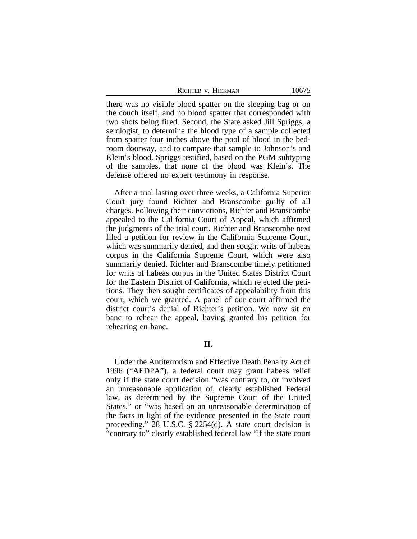there was no visible blood spatter on the sleeping bag or on the couch itself, and no blood spatter that corresponded with two shots being fired. Second, the State asked Jill Spriggs, a serologist, to determine the blood type of a sample collected from spatter four inches above the pool of blood in the bedroom doorway, and to compare that sample to Johnson's and Klein's blood. Spriggs testified, based on the PGM subtyping of the samples, that none of the blood was Klein's. The defense offered no expert testimony in response.

After a trial lasting over three weeks, a California Superior Court jury found Richter and Branscombe guilty of all charges. Following their convictions, Richter and Branscombe appealed to the California Court of Appeal, which affirmed the judgments of the trial court. Richter and Branscombe next filed a petition for review in the California Supreme Court, which was summarily denied, and then sought writs of habeas corpus in the California Supreme Court, which were also summarily denied. Richter and Branscombe timely petitioned for writs of habeas corpus in the United States District Court for the Eastern District of California, which rejected the petitions. They then sought certificates of appealability from this court, which we granted. A panel of our court affirmed the district court's denial of Richter's petition. We now sit en banc to rehear the appeal, having granted his petition for rehearing en banc.

# **II.**

Under the Antiterrorism and Effective Death Penalty Act of 1996 ("AEDPA"), a federal court may grant habeas relief only if the state court decision "was contrary to, or involved an unreasonable application of, clearly established Federal law, as determined by the Supreme Court of the United States," or "was based on an unreasonable determination of the facts in light of the evidence presented in the State court proceeding." 28 U.S.C. § 2254(d). A state court decision is "contrary to" clearly established federal law "if the state court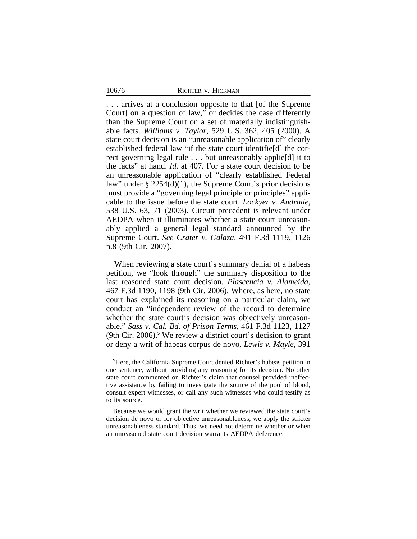. . . arrives at a conclusion opposite to that [of the Supreme Court] on a question of law," or decides the case differently than the Supreme Court on a set of materially indistinguishable facts. *Williams v. Taylor*, 529 U.S. 362, 405 (2000). A state court decision is an "unreasonable application of" clearly established federal law "if the state court identifie[d] the correct governing legal rule . . . but unreasonably applie[d] it to the facts" at hand. *Id.* at 407. For a state court decision to be an unreasonable application of "clearly established Federal law" under § 2254(d)(1), the Supreme Court's prior decisions must provide a "governing legal principle or principles" applicable to the issue before the state court. *Lockyer v. Andrade*, 538 U.S. 63, 71 (2003). Circuit precedent is relevant under AEDPA when it illuminates whether a state court unreasonably applied a general legal standard announced by the Supreme Court. *See Crater v. Galaza*, 491 F.3d 1119, 1126 n.8 (9th Cir. 2007).

When reviewing a state court's summary denial of a habeas petition, we "look through" the summary disposition to the last reasoned state court decision. *Plascencia v. Alameida*, 467 F.3d 1190, 1198 (9th Cir. 2006). Where, as here, no state court has explained its reasoning on a particular claim, we conduct an "independent review of the record to determine whether the state court's decision was objectively unreasonable." *Sass v. Cal. Bd. of Prison Terms*, 461 F.3d 1123, 1127 (9th Cir. 2006).**<sup>5</sup>** We review a district court's decision to grant or deny a writ of habeas corpus de novo, *Lewis v. Mayle*, 391

**<sup>5</sup>**Here, the California Supreme Court denied Richter's habeas petition in one sentence, without providing any reasoning for its decision. No other state court commented on Richter's claim that counsel provided ineffective assistance by failing to investigate the source of the pool of blood, consult expert witnesses, or call any such witnesses who could testify as to its source.

Because we would grant the writ whether we reviewed the state court's decision de novo or for objective unreasonableness, we apply the stricter unreasonableness standard. Thus, we need not determine whether or when an unreasoned state court decision warrants AEDPA deference.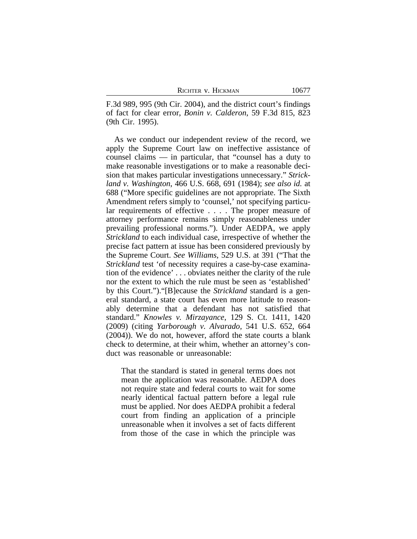F.3d 989, 995 (9th Cir. 2004), and the district court's findings of fact for clear error, *Bonin v. Calderon*, 59 F.3d 815, 823 (9th Cir. 1995).

As we conduct our independent review of the record, we apply the Supreme Court law on ineffective assistance of counsel claims — in particular, that "counsel has a duty to make reasonable investigations or to make a reasonable decision that makes particular investigations unnecessary." *Strickland v. Washington*, 466 U.S. 668, 691 (1984); *see also id.* at 688 ("More specific guidelines are not appropriate. The Sixth Amendment refers simply to 'counsel,' not specifying particular requirements of effective . . . . The proper measure of attorney performance remains simply reasonableness under prevailing professional norms."). Under AEDPA, we apply *Strickland* to each individual case, irrespective of whether the precise fact pattern at issue has been considered previously by the Supreme Court. *See Williams*, 529 U.S. at 391 ("That the *Strickland* test 'of necessity requires a case-by-case examination of the evidence' . . . obviates neither the clarity of the rule nor the extent to which the rule must be seen as 'established' by this Court.")."[B]ecause the *Strickland* standard is a general standard, a state court has even more latitude to reasonably determine that a defendant has not satisfied that standard." *Knowles v. Mirzayance*, 129 S. Ct. 1411, 1420 (2009) (citing *Yarborough v. Alvarado,* 541 U.S. 652, 664 (2004)). We do not, however, afford the state courts a blank check to determine, at their whim, whether an attorney's conduct was reasonable or unreasonable:

That the standard is stated in general terms does not mean the application was reasonable. AEDPA does not require state and federal courts to wait for some nearly identical factual pattern before a legal rule must be applied. Nor does AEDPA prohibit a federal court from finding an application of a principle unreasonable when it involves a set of facts different from those of the case in which the principle was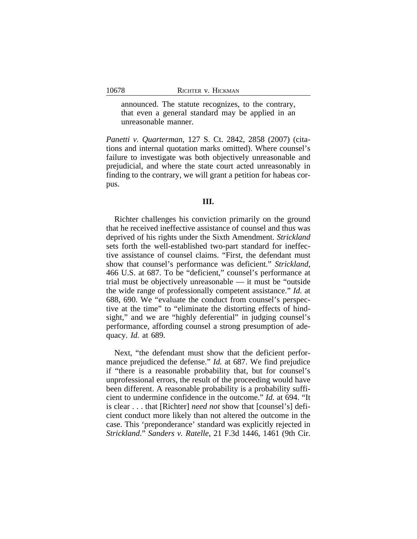announced. The statute recognizes, to the contrary, that even a general standard may be applied in an unreasonable manner.

*Panetti v. Quarterman*, 127 S. Ct. 2842, 2858 (2007) (citations and internal quotation marks omitted). Where counsel's failure to investigate was both objectively unreasonable and prejudicial, and where the state court acted unreasonably in finding to the contrary, we will grant a petition for habeas corpus.

# **III.**

Richter challenges his conviction primarily on the ground that he received ineffective assistance of counsel and thus was deprived of his rights under the Sixth Amendment. *Strickland* sets forth the well-established two-part standard for ineffective assistance of counsel claims. "First, the defendant must show that counsel's performance was deficient." *Strickland*, 466 U.S. at 687. To be "deficient," counsel's performance at trial must be objectively unreasonable — it must be "outside the wide range of professionally competent assistance." *Id.* at 688, 690. We "evaluate the conduct from counsel's perspective at the time" to "eliminate the distorting effects of hindsight," and we are "highly deferential" in judging counsel's performance, affording counsel a strong presumption of adequacy. *Id.* at 689.

Next, "the defendant must show that the deficient performance prejudiced the defense." *Id.* at 687. We find prejudice if "there is a reasonable probability that, but for counsel's unprofessional errors, the result of the proceeding would have been different. A reasonable probability is a probability sufficient to undermine confidence in the outcome." *Id.* at 694. "It is clear . . . that [Richter] *need not* show that [counsel's] deficient conduct more likely than not altered the outcome in the case. This 'preponderance' standard was explicitly rejected in *Strickland*." *Sanders v. Ratelle*, 21 F.3d 1446, 1461 (9th Cir.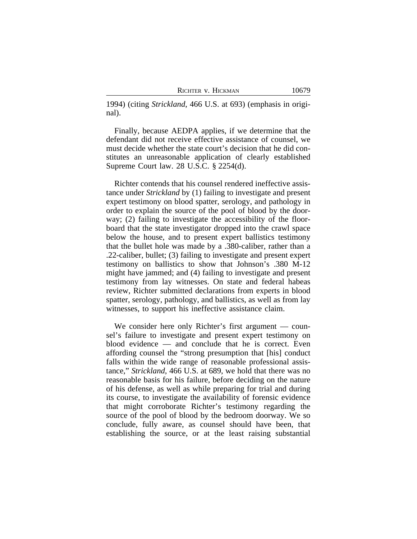|  |  | RICHTER V. HICKMAN |
|--|--|--------------------|
|--|--|--------------------|

1994) (citing *Strickland*, 466 U.S. at 693) (emphasis in original).

Finally, because AEDPA applies, if we determine that the defendant did not receive effective assistance of counsel, we must decide whether the state court's decision that he did constitutes an unreasonable application of clearly established Supreme Court law. 28 U.S.C. § 2254(d).

Richter contends that his counsel rendered ineffective assistance under *Strickland* by (1) failing to investigate and present expert testimony on blood spatter, serology, and pathology in order to explain the source of the pool of blood by the doorway; (2) failing to investigate the accessibility of the floorboard that the state investigator dropped into the crawl space below the house, and to present expert ballistics testimony that the bullet hole was made by a .380-caliber, rather than a .22-caliber, bullet; (3) failing to investigate and present expert testimony on ballistics to show that Johnson's .380 M-12 might have jammed; and (4) failing to investigate and present testimony from lay witnesses. On state and federal habeas review, Richter submitted declarations from experts in blood spatter, serology, pathology, and ballistics, as well as from lay witnesses, to support his ineffective assistance claim.

We consider here only Richter's first argument — counsel's failure to investigate and present expert testimony on blood evidence — and conclude that he is correct. Even affording counsel the "strong presumption that [his] conduct falls within the wide range of reasonable professional assistance," *Strickland*, 466 U.S. at 689, we hold that there was no reasonable basis for his failure, before deciding on the nature of his defense, as well as while preparing for trial and during its course, to investigate the availability of forensic evidence that might corroborate Richter's testimony regarding the source of the pool of blood by the bedroom doorway. We so conclude, fully aware, as counsel should have been, that establishing the source, or at the least raising substantial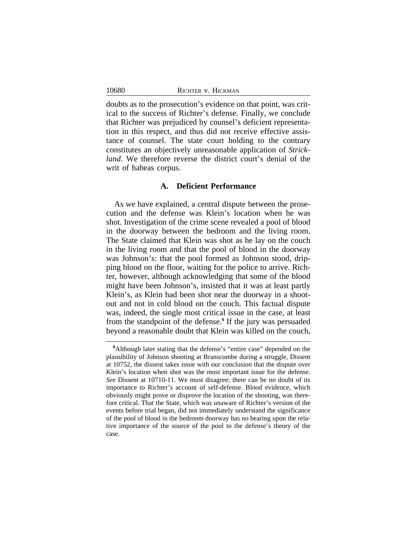doubts as to the prosecution's evidence on that point, was critical to the success of Richter's defense. Finally, we conclude that Richter was prejudiced by counsel's deficient representation in this respect, and thus did not receive effective assistance of counsel. The state court holding to the contrary constitutes an objectively unreasonable application of *Strickland*. We therefore reverse the district court's denial of the writ of habeas corpus.

# **A. Deficient Performance**

As we have explained, a central dispute between the prosecution and the defense was Klein's location when he was shot. Investigation of the crime scene revealed a pool of blood in the doorway between the bedroom and the living room. The State claimed that Klein was shot as he lay on the couch in the living room and that the pool of blood in the doorway was Johnson's: that the pool formed as Johnson stood, dripping blood on the floor, waiting for the police to arrive. Richter, however, although acknowledging that some of the blood might have been Johnson's, insisted that it was at least partly Klein's, as Klein had been shot near the doorway in a shootout and not in cold blood on the couch. This factual dispute was, indeed, the single most critical issue in the case, at least from the standpoint of the defense.**<sup>6</sup>** If the jury was persuaded beyond a reasonable doubt that Klein was killed on the couch,

**<sup>6</sup>**Although later stating that the defense's "entire case" depended on the plausibility of Johnson shooting at Branscombe during a struggle, Dissent at 10752, the dissent takes issue with our conclusion that the dispute over Klein's location when shot was the most important issue for the defense. *See* Dissent at 10710-11. We must disagree; there can be no doubt of its importance to Richter's account of self-defense. Blood evidence, which obviously might prove or disprove the location of the shooting, was therefore critical. That the State, which was unaware of Richter's version of the events before trial began, did not immediately understand the significance of the pool of blood in the bedroom doorway has no bearing upon the relative importance of the source of the pool to the defense's theory of the case.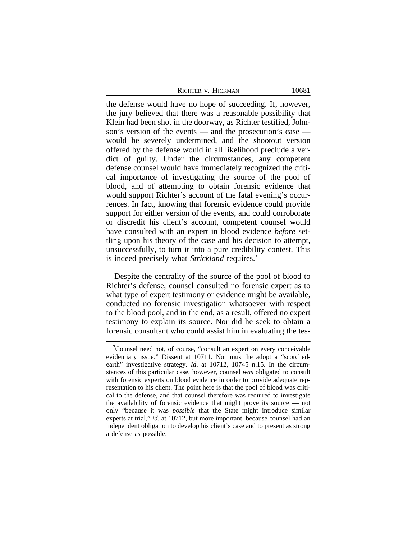| Richter v. Hickman |
|--------------------|
|--------------------|

the defense would have no hope of succeeding. If, however, the jury believed that there was a reasonable possibility that Klein had been shot in the doorway, as Richter testified, Johnson's version of the events — and the prosecution's case would be severely undermined, and the shootout version offered by the defense would in all likelihood preclude a verdict of guilty. Under the circumstances, any competent defense counsel would have immediately recognized the critical importance of investigating the source of the pool of blood, and of attempting to obtain forensic evidence that would support Richter's account of the fatal evening's occurrences. In fact, knowing that forensic evidence could provide support for either version of the events, and could corroborate or discredit his client's account, competent counsel would have consulted with an expert in blood evidence *before* settling upon his theory of the case and his decision to attempt, unsuccessfully, to turn it into a pure credibility contest. This is indeed precisely what *Strickland* requires.**<sup>7</sup>**

Despite the centrality of the source of the pool of blood to Richter's defense, counsel consulted no forensic expert as to what type of expert testimony or evidence might be available, conducted no forensic investigation whatsoever with respect to the blood pool, and in the end, as a result, offered no expert testimony to explain its source. Nor did he seek to obtain a forensic consultant who could assist him in evaluating the tes-

**<sup>7</sup>**Counsel need not, of course, "consult an expert on every conceivable evidentiary issue." Dissent at 10711. Nor must he adopt a "scorchedearth" investigative strategy. *Id*. at 10712, 10745 n.15. In the circumstances of this particular case, however, counsel *was* obligated to consult with forensic experts on blood evidence in order to provide adequate representation to his client. The point here is that the pool of blood was critical to the defense, and that counsel therefore was required to investigate the availability of forensic evidence that might prove its source — not only "because it was *possible* that the State might introduce similar experts at trial," *id*. at 10712, but more important, because counsel had an independent obligation to develop his client's case and to present as strong a defense as possible.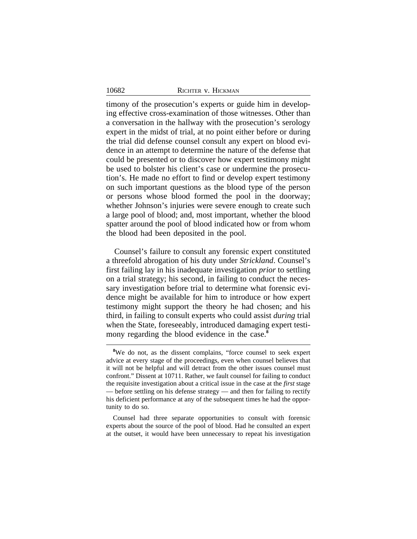timony of the prosecution's experts or guide him in developing effective cross-examination of those witnesses. Other than a conversation in the hallway with the prosecution's serology expert in the midst of trial, at no point either before or during the trial did defense counsel consult any expert on blood evidence in an attempt to determine the nature of the defense that could be presented or to discover how expert testimony might be used to bolster his client's case or undermine the prosecution's. He made no effort to find or develop expert testimony on such important questions as the blood type of the person or persons whose blood formed the pool in the doorway; whether Johnson's injuries were severe enough to create such a large pool of blood; and, most important, whether the blood spatter around the pool of blood indicated how or from whom the blood had been deposited in the pool.

Counsel's failure to consult any forensic expert constituted a threefold abrogation of his duty under *Strickland*. Counsel's first failing lay in his inadequate investigation *prior* to settling on a trial strategy; his second, in failing to conduct the necessary investigation before trial to determine what forensic evidence might be available for him to introduce or how expert testimony might support the theory he had chosen; and his third, in failing to consult experts who could assist *during* trial when the State, foreseeably, introduced damaging expert testimony regarding the blood evidence in the case.<sup>8</sup>

<sup>&</sup>lt;sup>8</sup>We do not, as the dissent complains, "force counsel to seek expert advice at every stage of the proceedings, even when counsel believes that it will not be helpful and will detract from the other issues counsel must confront." Dissent at 10711. Rather, we fault counsel for failing to conduct the requisite investigation about a critical issue in the case at the *first* stage — before settling on his defense strategy — and then for failing to rectify his deficient performance at any of the subsequent times he had the opportunity to do so.

Counsel had three separate opportunities to consult with forensic experts about the source of the pool of blood. Had he consulted an expert at the outset, it would have been unnecessary to repeat his investigation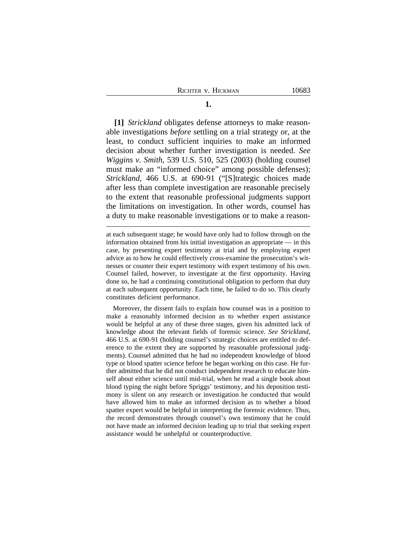**[1]** *Strickland* obligates defense attorneys to make reasonable investigations *before* settling on a trial strategy or, at the least, to conduct sufficient inquiries to make an informed decision about whether further investigation is needed. *See Wiggins v. Smith*, 539 U.S. 510, 525 (2003) (holding counsel must make an "informed choice" among possible defenses); *Strickland*, 466 U.S. at 690-91 ("[S]trategic choices made after less than complete investigation are reasonable precisely to the extent that reasonable professional judgments support the limitations on investigation. In other words, counsel has a duty to make reasonable investigations or to make a reason-

Moreover, the dissent fails to explain how counsel was in a position to make a reasonably informed decision as to whether expert assistance would be helpful at any of these three stages, given his admitted lack of knowledge about the relevant fields of forensic science. *See Strickland*, 466 U.S. at 690-91 (holding counsel's strategic choices are entitled to deference to the extent they are supported by reasonable professional judgments). Counsel admitted that he had no independent knowledge of blood type or blood spatter science before he began working on this case. He further admitted that he did not conduct independent research to educate himself about either science until mid-trial, when he read a single book about blood typing the night before Spriggs' testimony, and his deposition testimony is silent on any research or investigation he conducted that would have allowed him to make an informed decision as to whether a blood spatter expert would be helpful in interpreting the forensic evidence. Thus, the record demonstrates through counsel's own testimony that he could not have made an informed decision leading up to trial that seeking expert assistance would be unhelpful or counterproductive.

at each subsequent stage; he would have only had to follow through on the information obtained from his initial investigation as appropriate — in this case, by presenting expert testimony at trial and by employing expert advice as to how he could effectively cross-examine the prosecution's witnesses or counter their expert testimony with expert testimony of his own. Counsel failed, however, to investigate at the first opportunity. Having done so, he had a continuing constitutional obligation to perform that duty at each subsequent opportunity. Each time, he failed to do so. This clearly constitutes deficient performance.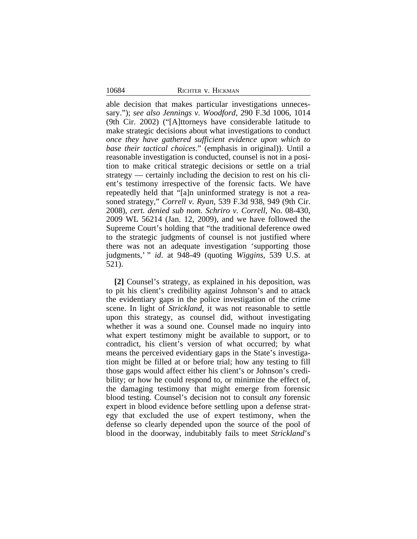able decision that makes particular investigations unnecessary."); *see also Jennings v. Woodford*, 290 F.3d 1006, 1014 (9th Cir. 2002) ("[A]ttorneys have considerable latitude to make strategic decisions about what investigations to conduct *once they have gathered sufficient evidence upon which to base their tactical choices*." (emphasis in original)). Until a reasonable investigation is conducted, counsel is not in a position to make critical strategic decisions or settle on a trial strategy — certainly including the decision to rest on his client's testimony irrespective of the forensic facts. We have repeatedly held that "[a]n uninformed strategy is not a reasoned strategy," *Correll v. Ryan*, 539 F.3d 938, 949 (9th Cir. 2008), *cert. denied sub nom. Schriro v. Correll*, No. 08-430, 2009 WL 56214 (Jan. 12, 2009), and we have followed the Supreme Court's holding that "the traditional deference owed to the strategic judgments of counsel is not justified where there was not an adequate investigation 'supporting those judgments,' " *id*. at 948-49 (quoting *Wiggins*, 539 U.S. at 521).

**[2]** Counsel's strategy, as explained in his deposition, was to pit his client's credibility against Johnson's and to attack the evidentiary gaps in the police investigation of the crime scene. In light of *Strickland*, it was not reasonable to settle upon this strategy, as counsel did, without investigating whether it was a sound one. Counsel made no inquiry into what expert testimony might be available to support, or to contradict, his client's version of what occurred; by what means the perceived evidentiary gaps in the State's investigation might be filled at or before trial; how any testing to fill those gaps would affect either his client's or Johnson's credibility; or how he could respond to, or minimize the effect of, the damaging testimony that might emerge from forensic blood testing. Counsel's decision not to consult *any* forensic expert in blood evidence before settling upon a defense strategy that excluded the use of expert testimony, when the defense so clearly depended upon the source of the pool of blood in the doorway, indubitably fails to meet *Strickland*'s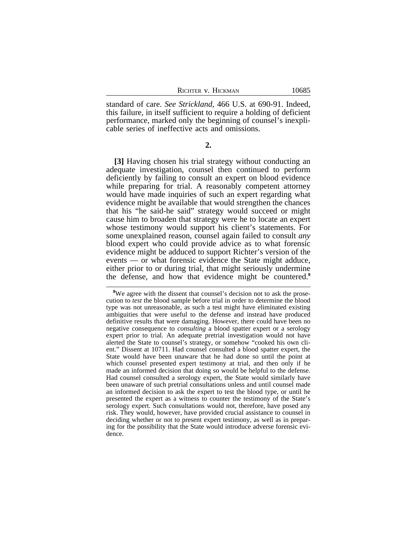standard of care. *See Strickland*, 466 U.S. at 690-91. Indeed, this failure, in itself sufficient to require a holding of deficient performance, marked only the beginning of counsel's inexplicable series of ineffective acts and omissions.

**2.**

**[3]** Having chosen his trial strategy without conducting an adequate investigation, counsel then continued to perform deficiently by failing to consult an expert on blood evidence while preparing for trial. A reasonably competent attorney would have made inquiries of such an expert regarding what evidence might be available that would strengthen the chances that his "he said-he said" strategy would succeed or might cause him to broaden that strategy were he to locate an expert whose testimony would support his client's statements. For some unexplained reason, counsel again failed to consult *any* blood expert who could provide advice as to what forensic evidence might be adduced to support Richter's version of the events — or what forensic evidence the State might adduce, either prior to or during trial, that might seriously undermine the defense, and how that evidence might be countered.**<sup>9</sup>**

<sup>&</sup>lt;sup>9</sup>We agree with the dissent that counsel's decision not to ask the prosecution to *test* the blood sample before trial in order to determine the blood type was not unreasonable, as such a test might have eliminated existing ambiguities that were useful to the defense and instead have produced definitive results that were damaging. However, there could have been no negative consequence to *consulting* a blood spatter expert or a serology expert prior to trial. An adequate pretrial investigation would not have alerted the State to counsel's strategy, or somehow "cooked his own client." Dissent at 10711. Had counsel consulted a blood spatter expert, the State would have been unaware that he had done so until the point at which counsel presented expert testimony at trial, and then only if he made an informed decision that doing so would be helpful to the defense. Had counsel consulted a serology expert, the State would similarly have been unaware of such pretrial consultations unless and until counsel made an informed decision to ask the expert to test the blood type, or until he presented the expert as a witness to counter the testimony of the State's serology expert. Such consultations would not, therefore, have posed any risk. They would, however, have provided crucial assistance to counsel in deciding whether or not to present expert testimony, as well as in preparing for the possibility that the State would introduce adverse forensic evidence.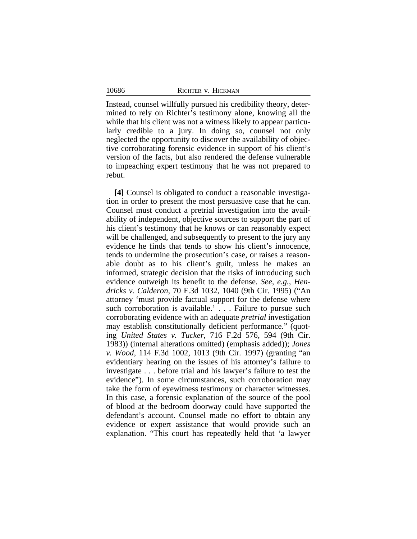10686

Instead, counsel willfully pursued his credibility theory, determined to rely on Richter's testimony alone, knowing all the while that his client was not a witness likely to appear particularly credible to a jury. In doing so, counsel not only neglected the opportunity to discover the availability of objective corroborating forensic evidence in support of his client's version of the facts, but also rendered the defense vulnerable to impeaching expert testimony that he was not prepared to rebut.

**[4]** Counsel is obligated to conduct a reasonable investigation in order to present the most persuasive case that he can. Counsel must conduct a pretrial investigation into the availability of independent, objective sources to support the part of his client's testimony that he knows or can reasonably expect will be challenged, and subsequently to present to the jury any evidence he finds that tends to show his client's innocence, tends to undermine the prosecution's case, or raises a reasonable doubt as to his client's guilt, unless he makes an informed, strategic decision that the risks of introducing such evidence outweigh its benefit to the defense. *See, e.g.*, *Hendricks v. Calderon*, 70 F.3d 1032, 1040 (9th Cir. 1995) ("An attorney 'must provide factual support for the defense where such corroboration is available.' . . . Failure to pursue such corroborating evidence with an adequate *pretrial* investigation may establish constitutionally deficient performance." (quoting *United States v. Tucker*, 716 F.2d 576, 594 (9th Cir. 1983)) (internal alterations omitted) (emphasis added)); *Jones v. Wood*, 114 F.3d 1002, 1013 (9th Cir. 1997) (granting "an evidentiary hearing on the issues of his attorney's failure to investigate . . . before trial and his lawyer's failure to test the evidence"). In some circumstances, such corroboration may take the form of eyewitness testimony or character witnesses. In this case, a forensic explanation of the source of the pool of blood at the bedroom doorway could have supported the defendant's account. Counsel made no effort to obtain any evidence or expert assistance that would provide such an explanation. "This court has repeatedly held that 'a lawyer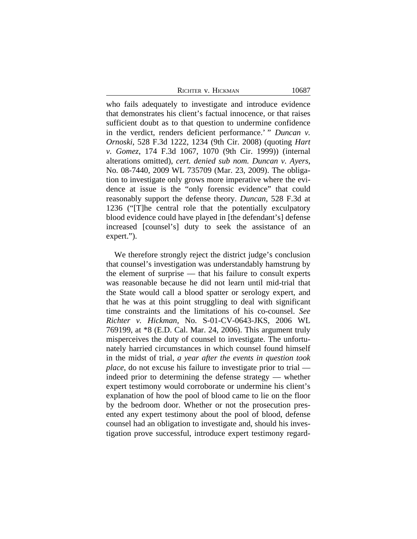who fails adequately to investigate and introduce evidence that demonstrates his client's factual innocence, or that raises sufficient doubt as to that question to undermine confidence in the verdict, renders deficient performance.' " *Duncan v. Ornoski*, 528 F.3d 1222, 1234 (9th Cir. 2008) (quoting *Hart v. Gomez*, 174 F.3d 1067, 1070 (9th Cir. 1999)) (internal alterations omitted), *cert. denied sub nom. Duncan v. Ayers*, No. 08-7440, 2009 WL 735709 (Mar. 23, 2009). The obligation to investigate only grows more imperative where the evidence at issue is the "only forensic evidence" that could reasonably support the defense theory. *Duncan*, 528 F.3d at 1236 ("[T]he central role that the potentially exculpatory blood evidence could have played in [the defendant's] defense increased [counsel's] duty to seek the assistance of an expert.").

We therefore strongly reject the district judge's conclusion that counsel's investigation was understandably hamstrung by the element of surprise — that his failure to consult experts was reasonable because he did not learn until mid-trial that the State would call a blood spatter or serology expert, and that he was at this point struggling to deal with significant time constraints and the limitations of his co-counsel. *See Richter v. Hickman*, No. S-01-CV-0643-JKS, 2006 WL 769199, at \*8 (E.D. Cal. Mar. 24, 2006). This argument truly misperceives the duty of counsel to investigate. The unfortunately harried circumstances in which counsel found himself in the midst of trial, *a year after the events in question took place*, do not excuse his failure to investigate prior to trial indeed prior to determining the defense strategy — whether expert testimony would corroborate or undermine his client's explanation of how the pool of blood came to lie on the floor by the bedroom door. Whether or not the prosecution presented any expert testimony about the pool of blood, defense counsel had an obligation to investigate and, should his investigation prove successful, introduce expert testimony regard-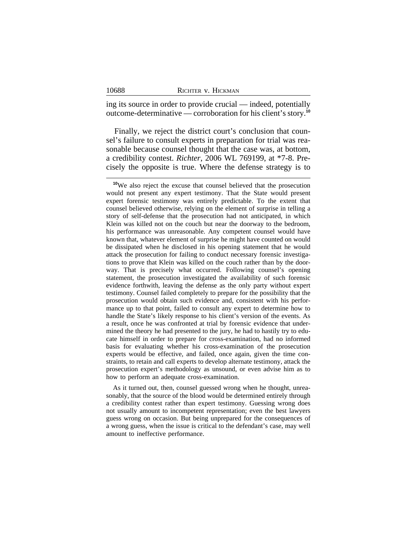|  |  | RICHTER V. HICKMAN |
|--|--|--------------------|
|--|--|--------------------|

ing its source in order to provide crucial — indeed, potentially outcome-determinative — corroboration for his client's story.**<sup>10</sup>**

Finally, we reject the district court's conclusion that counsel's failure to consult experts in preparation for trial was reasonable because counsel thought that the case was, at bottom, a credibility contest. *Richter*, 2006 WL 769199, at \*7-8. Precisely the opposite is true. Where the defense strategy is to

As it turned out, then, counsel guessed wrong when he thought, unreasonably, that the source of the blood would be determined entirely through a credibility contest rather than expert testimony. Guessing wrong does not usually amount to incompetent representation; even the best lawyers guess wrong on occasion. But being unprepared for the consequences of a wrong guess, when the issue is critical to the defendant's case, may well amount to ineffective performance.

10688

**<sup>10</sup>**We also reject the excuse that counsel believed that the prosecution would not present any expert testimony. That the State would present expert forensic testimony was entirely predictable. To the extent that counsel believed otherwise, relying on the element of surprise in telling a story of self-defense that the prosecution had not anticipated, in which Klein was killed not on the couch but near the doorway to the bedroom, his performance was unreasonable. Any competent counsel would have known that, whatever element of surprise he might have counted on would be dissipated when he disclosed in his opening statement that he would attack the prosecution for failing to conduct necessary forensic investigations to prove that Klein was killed on the couch rather than by the doorway. That is precisely what occurred. Following counsel's opening statement, the prosecution investigated the availability of such forensic evidence forthwith, leaving the defense as the only party without expert testimony. Counsel failed completely to prepare for the possibility that the prosecution would obtain such evidence and, consistent with his performance up to that point, failed to consult any expert to determine how to handle the State's likely response to his client's version of the events. As a result, once he was confronted at trial by forensic evidence that undermined the theory he had presented to the jury, he had to hastily try to educate himself in order to prepare for cross-examination, had no informed basis for evaluating whether his cross-examination of the prosecution experts would be effective, and failed, once again, given the time constraints, to retain and call experts to develop alternate testimony, attack the prosecution expert's methodology as unsound, or even advise him as to how to perform an adequate cross-examination.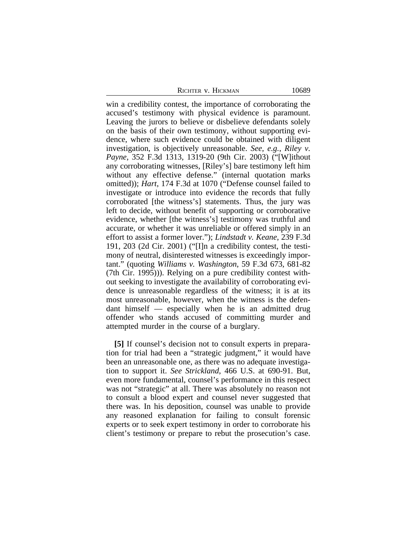win a credibility contest, the importance of corroborating the accused's testimony with physical evidence is paramount. Leaving the jurors to believe or disbelieve defendants solely on the basis of their own testimony, without supporting evidence, where such evidence could be obtained with diligent investigation, is objectively unreasonable. *See, e.g.*, *Riley v. Payne*, 352 F.3d 1313, 1319-20 (9th Cir. 2003) ("[W]ithout any corroborating witnesses, [Riley's] bare testimony left him without any effective defense." (internal quotation marks omitted)); *Hart*, 174 F.3d at 1070 ("Defense counsel failed to investigate or introduce into evidence the records that fully corroborated [the witness's] statements. Thus, the jury was left to decide, without benefit of supporting or corroborative evidence, whether [the witness's] testimony was truthful and accurate, or whether it was unreliable or offered simply in an effort to assist a former lover."); *Lindstadt v. Keane*, 239 F.3d 191, 203 (2d Cir. 2001) ("[I]n a credibility contest, the testimony of neutral, disinterested witnesses is exceedingly important." (quoting *Williams v. Washington*, 59 F.3d 673, 681-82 (7th Cir. 1995))). Relying on a pure credibility contest without seeking to investigate the availability of corroborating evidence is unreasonable regardless of the witness; it is at its most unreasonable, however, when the witness is the defendant himself — especially when he is an admitted drug offender who stands accused of committing murder and attempted murder in the course of a burglary.

**[5]** If counsel's decision not to consult experts in preparation for trial had been a "strategic judgment," it would have been an unreasonable one, as there was no adequate investigation to support it. *See Strickland*, 466 U.S. at 690-91. But, even more fundamental, counsel's performance in this respect was not "strategic" at all. There was absolutely no reason not to consult a blood expert and counsel never suggested that there was. In his deposition, counsel was unable to provide any reasoned explanation for failing to consult forensic experts or to seek expert testimony in order to corroborate his client's testimony or prepare to rebut the prosecution's case.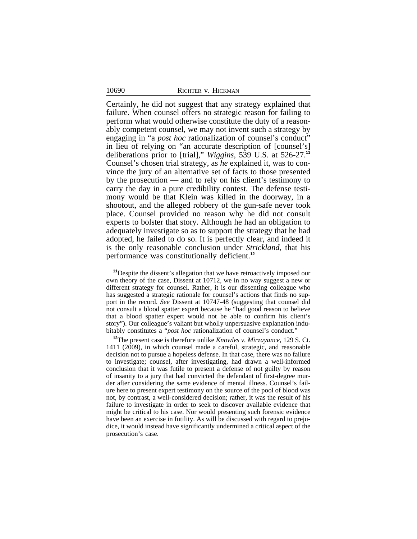Certainly, he did not suggest that any strategy explained that failure. When counsel offers no strategic reason for failing to perform what would otherwise constitute the duty of a reasonably competent counsel, we may not invent such a strategy by engaging in "a *post hoc* rationalization of counsel's conduct" in lieu of relying on "an accurate description of [counsel's] deliberations prior to [trial]," *Wiggins*, 539 U.S. at 526-27.**<sup>11</sup>** Counsel's chosen trial strategy, as *he* explained it, was to convince the jury of an alternative set of facts to those presented by the prosecution — and to rely on his client's testimony to carry the day in a pure credibility contest. The defense testimony would be that Klein was killed in the doorway, in a shootout, and the alleged robbery of the gun-safe never took place. Counsel provided no reason why he did not consult experts to bolster that story. Although he had an obligation to adequately investigate so as to support the strategy that he had adopted, he failed to do so. It is perfectly clear, and indeed it is the only reasonable conclusion under *Strickland*, that his performance was constitutionally deficient.**<sup>12</sup>**

**<sup>11</sup>**Despite the dissent's allegation that we have retroactively imposed our own theory of the case, Dissent at 10712, we in no way suggest a new or different strategy for counsel. Rather, it is our dissenting colleague who has suggested a strategic rationale for counsel's actions that finds no support in the record. *See* Dissent at 10747-48 (suggesting that counsel did not consult a blood spatter expert because he "had good reason to believe that a blood spatter expert would not be able to confirm his client's story"). Our colleague's valiant but wholly unpersuasive explanation indubitably constitutes a "*post hoc* rationalization of counsel's conduct."

**<sup>12</sup>**The present case is therefore unlike *Knowles v. Mirzayance*, 129 S. Ct. 1411 (2009), in which counsel made a careful, strategic, and reasonable decision not to pursue a hopeless defense. In that case, there was no failure to investigate; counsel, after investigating, had drawn a well-informed conclusion that it was futile to present a defense of not guilty by reason of insanity to a jury that had convicted the defendant of first-degree murder after considering the same evidence of mental illness. Counsel's failure here to present expert testimony on the source of the pool of blood was not, by contrast, a well-considered decision; rather, it was the result of his failure to investigate in order to seek to discover available evidence that might be critical to his case. Nor would presenting such forensic evidence have been an exercise in futility. As will be discussed with regard to prejudice, it would instead have significantly undermined a critical aspect of the prosecution's case.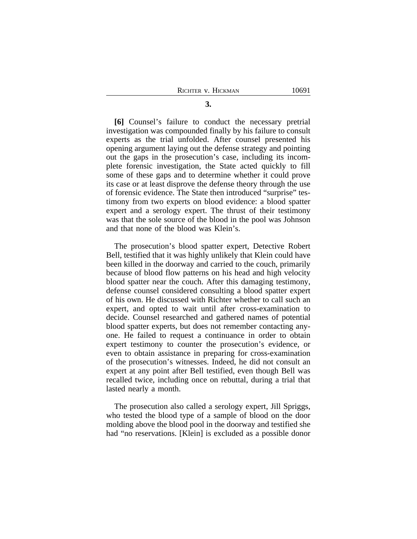**[6]** Counsel's failure to conduct the necessary pretrial investigation was compounded finally by his failure to consult experts as the trial unfolded. After counsel presented his opening argument laying out the defense strategy and pointing out the gaps in the prosecution's case, including its incomplete forensic investigation, the State acted quickly to fill some of these gaps and to determine whether it could prove its case or at least disprove the defense theory through the use of forensic evidence. The State then introduced "surprise" testimony from two experts on blood evidence: a blood spatter expert and a serology expert. The thrust of their testimony was that the sole source of the blood in the pool was Johnson and that none of the blood was Klein's.

The prosecution's blood spatter expert, Detective Robert Bell, testified that it was highly unlikely that Klein could have been killed in the doorway and carried to the couch, primarily because of blood flow patterns on his head and high velocity blood spatter near the couch. After this damaging testimony, defense counsel considered consulting a blood spatter expert of his own. He discussed with Richter whether to call such an expert, and opted to wait until after cross-examination to decide. Counsel researched and gathered names of potential blood spatter experts, but does not remember contacting anyone. He failed to request a continuance in order to obtain expert testimony to counter the prosecution's evidence, or even to obtain assistance in preparing for cross-examination of the prosecution's witnesses. Indeed, he did not consult an expert at any point after Bell testified, even though Bell was recalled twice, including once on rebuttal, during a trial that lasted nearly a month.

The prosecution also called a serology expert, Jill Spriggs, who tested the blood type of a sample of blood on the door molding above the blood pool in the doorway and testified she had "no reservations. [Klein] is excluded as a possible donor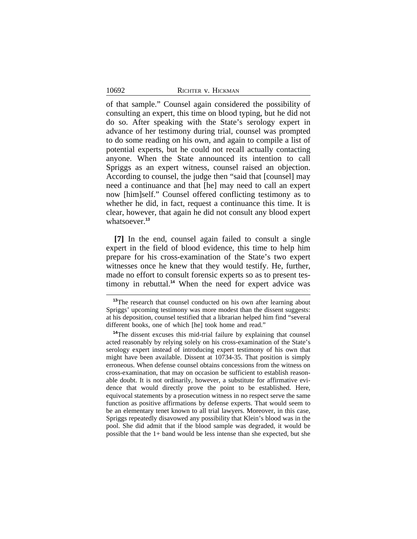of that sample." Counsel again considered the possibility of consulting an expert, this time on blood typing, but he did not do so. After speaking with the State's serology expert in advance of her testimony during trial, counsel was prompted to do some reading on his own, and again to compile a list of potential experts, but he could not recall actually contacting anyone. When the State announced its intention to call Spriggs as an expert witness, counsel raised an objection. According to counsel, the judge then "said that [counsel] may need a continuance and that [he] may need to call an expert now [him]self." Counsel offered conflicting testimony as to whether he did, in fact, request a continuance this time. It is clear, however, that again he did not consult any blood expert whatsoever.**<sup>13</sup>**

**[7]** In the end, counsel again failed to consult a single expert in the field of blood evidence, this time to help him prepare for his cross-examination of the State's two expert witnesses once he knew that they would testify. He, further, made no effort to consult forensic experts so as to present testimony in rebuttal.**<sup>14</sup>** When the need for expert advice was

<sup>&</sup>lt;sup>13</sup>The research that counsel conducted on his own after learning about Spriggs' upcoming testimony was more modest than the dissent suggests: at his deposition, counsel testified that a librarian helped him find "several different books, one of which [he] took home and read."

**<sup>14</sup>**The dissent excuses this mid-trial failure by explaining that counsel acted reasonably by relying solely on his cross-examination of the State's serology expert instead of introducing expert testimony of his own that might have been available. Dissent at 10734-35. That position is simply erroneous. When defense counsel obtains concessions from the witness on cross-examination, that may on occasion be sufficient to establish reasonable doubt. It is not ordinarily, however, a substitute for affirmative evidence that would directly prove the point to be established. Here, equivocal statements by a prosecution witness in no respect serve the same function as positive affirmations by defense experts. That would seem to be an elementary tenet known to all trial lawyers. Moreover, in this case, Spriggs repeatedly disavowed any possibility that Klein's blood was in the pool. She did admit that if the blood sample was degraded, it would be possible that the 1+ band would be less intense than she expected, but she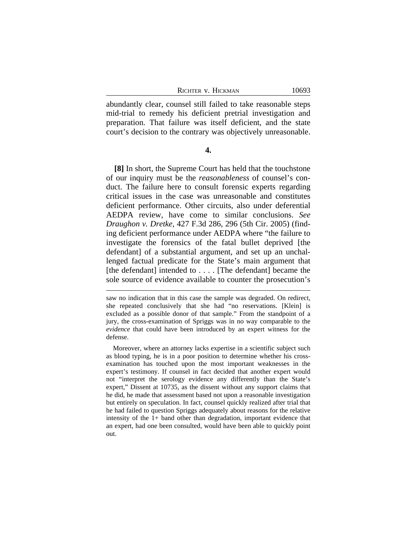abundantly clear, counsel still failed to take reasonable steps mid-trial to remedy his deficient pretrial investigation and preparation. That failure was itself deficient, and the state court's decision to the contrary was objectively unreasonable.

# **4.**

**[8]** In short, the Supreme Court has held that the touchstone of our inquiry must be the *reasonableness* of counsel's conduct. The failure here to consult forensic experts regarding critical issues in the case was unreasonable and constitutes deficient performance. Other circuits, also under deferential AEDPA review, have come to similar conclusions. *See Draughon v. Dretke*, 427 F.3d 286, 296 (5th Cir. 2005) (finding deficient performance under AEDPA where "the failure to investigate the forensics of the fatal bullet deprived [the defendant] of a substantial argument, and set up an unchallenged factual predicate for the State's main argument that [the defendant] intended to . . . . [The defendant] became the sole source of evidence available to counter the prosecution's

saw no indication that in this case the sample was degraded. On redirect, she repeated conclusively that she had "no reservations. [Klein] is excluded as a possible donor of that sample." From the standpoint of a jury, the cross-examination of Spriggs was in no way comparable to the *evidence* that could have been introduced by an expert witness for the defense.

Moreover, where an attorney lacks expertise in a scientific subject such as blood typing, he is in a poor position to determine whether his crossexamination has touched upon the most important weaknesses in the expert's testimony. If counsel in fact decided that another expert would not "interpret the serology evidence any differently than the State's expert," Dissent at 10735, as the dissent without any support claims that he did, he made that assessment based not upon a reasonable investigation but entirely on speculation. In fact, counsel quickly realized after trial that he had failed to question Spriggs adequately about reasons for the relative intensity of the 1+ band other than degradation, important evidence that an expert, had one been consulted, would have been able to quickly point out.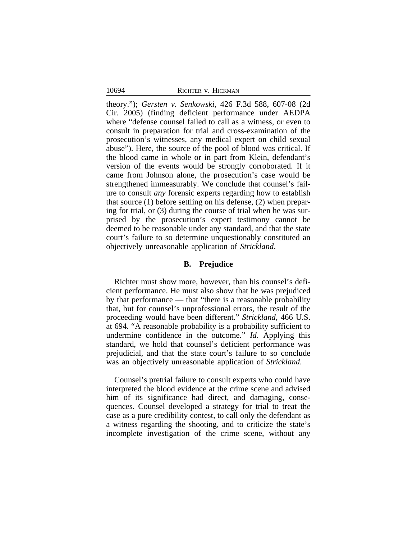theory."); *Gersten v. Senkowski*, 426 F.3d 588, 607-08 (2d Cir. 2005) (finding deficient performance under AEDPA where "defense counsel failed to call as a witness, or even to consult in preparation for trial and cross-examination of the prosecution's witnesses, any medical expert on child sexual abuse"). Here, the source of the pool of blood was critical. If the blood came in whole or in part from Klein, defendant's version of the events would be strongly corroborated. If it came from Johnson alone, the prosecution's case would be strengthened immeasurably. We conclude that counsel's failure to consult *any* forensic experts regarding how to establish that source (1) before settling on his defense, (2) when preparing for trial, or (3) during the course of trial when he was surprised by the prosecution's expert testimony cannot be deemed to be reasonable under any standard, and that the state court's failure to so determine unquestionably constituted an objectively unreasonable application of *Strickland*.

## **B. Prejudice**

Richter must show more, however, than his counsel's deficient performance. He must also show that he was prejudiced by that performance — that "there is a reasonable probability that, but for counsel's unprofessional errors, the result of the proceeding would have been different." *Strickland*, 466 U.S. at 694. "A reasonable probability is a probability sufficient to undermine confidence in the outcome." *Id*. Applying this standard, we hold that counsel's deficient performance was prejudicial, and that the state court's failure to so conclude was an objectively unreasonable application of *Strickland*.

Counsel's pretrial failure to consult experts who could have interpreted the blood evidence at the crime scene and advised him of its significance had direct, and damaging, consequences. Counsel developed a strategy for trial to treat the case as a pure credibility contest, to call only the defendant as a witness regarding the shooting, and to criticize the state's incomplete investigation of the crime scene, without any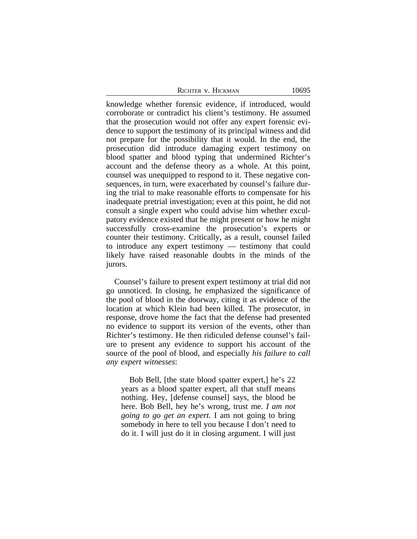|  |  | Richter v. Hickman |
|--|--|--------------------|
|--|--|--------------------|

knowledge whether forensic evidence, if introduced, would corroborate or contradict his client's testimony. He assumed that the prosecution would not offer any expert forensic evidence to support the testimony of its principal witness and did not prepare for the possibility that it would. In the end, the prosecution did introduce damaging expert testimony on blood spatter and blood typing that undermined Richter's account and the defense theory as a whole. At this point, counsel was unequipped to respond to it. These negative consequences, in turn, were exacerbated by counsel's failure during the trial to make reasonable efforts to compensate for his inadequate pretrial investigation; even at this point, he did not consult a single expert who could advise him whether exculpatory evidence existed that he might present or how he might successfully cross-examine the prosecution's experts or counter their testimony. Critically, as a result, counsel failed to introduce any expert testimony — testimony that could likely have raised reasonable doubts in the minds of the jurors.

Counsel's failure to present expert testimony at trial did not go unnoticed. In closing, he emphasized the significance of the pool of blood in the doorway, citing it as evidence of the location at which Klein had been killed. The prosecutor, in response, drove home the fact that the defense had presented no evidence to support its version of the events, other than Richter's testimony. He then ridiculed defense counsel's failure to present any evidence to support his account of the source of the pool of blood, and especially *his failure to call any expert witnesses*:

Bob Bell, [the state blood spatter expert,] he's 22 years as a blood spatter expert, all that stuff means nothing. Hey, [defense counsel] says, the blood be here. Bob Bell, hey he's wrong, trust me. *I am not going to go get an expert.* I am not going to bring somebody in here to tell you because I don't need to do it. I will just do it in closing argument. I will just

10695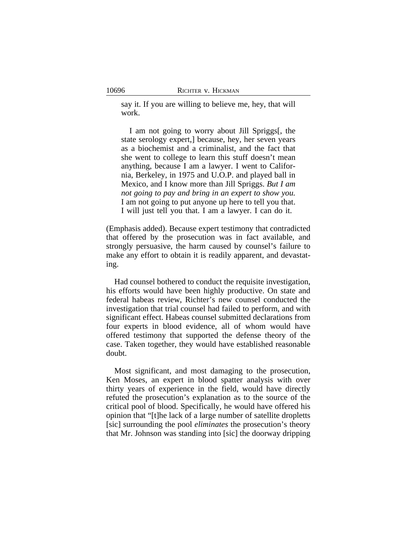say it. If you are willing to believe me, hey, that will work.

I am not going to worry about Jill Spriggs[, the state serology expert,] because, hey, her seven years as a biochemist and a criminalist, and the fact that she went to college to learn this stuff doesn't mean anything, because I am a lawyer. I went to California, Berkeley, in 1975 and U.O.P. and played ball in Mexico, and I know more than Jill Spriggs. *But I am not going to pay and bring in an expert to show you.* I am not going to put anyone up here to tell you that. I will just tell you that. I am a lawyer. I can do it.

(Emphasis added). Because expert testimony that contradicted that offered by the prosecution was in fact available, and strongly persuasive, the harm caused by counsel's failure to make any effort to obtain it is readily apparent, and devastating.

Had counsel bothered to conduct the requisite investigation, his efforts would have been highly productive. On state and federal habeas review, Richter's new counsel conducted the investigation that trial counsel had failed to perform, and with significant effect. Habeas counsel submitted declarations from four experts in blood evidence, all of whom would have offered testimony that supported the defense theory of the case. Taken together, they would have established reasonable doubt.

Most significant, and most damaging to the prosecution, Ken Moses, an expert in blood spatter analysis with over thirty years of experience in the field, would have directly refuted the prosecution's explanation as to the source of the critical pool of blood. Specifically, he would have offered his opinion that "[t]he lack of a large number of satellite dropletts [sic] surrounding the pool *eliminates* the prosecution's theory that Mr. Johnson was standing into [sic] the doorway dripping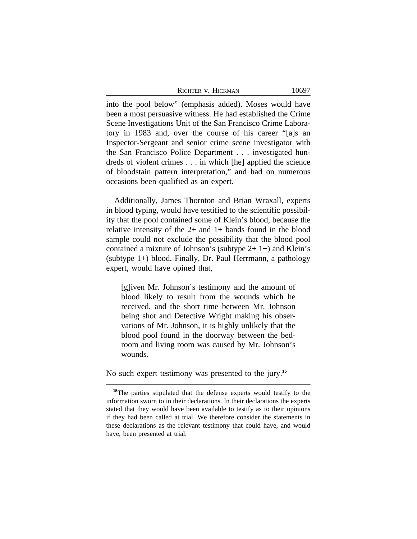into the pool below" (emphasis added). Moses would have been a most persuasive witness. He had established the Crime Scene Investigations Unit of the San Francisco Crime Laboratory in 1983 and, over the course of his career "[a]s an Inspector-Sergeant and senior crime scene investigator with the San Francisco Police Department . . . investigated hundreds of violent crimes . . . in which [he] applied the science of bloodstain pattern interpretation," and had on numerous occasions been qualified as an expert.

Additionally, James Thornton and Brian Wraxall, experts in blood typing, would have testified to the scientific possibility that the pool contained some of Klein's blood, because the relative intensity of the  $2+$  and  $1+$  bands found in the blood sample could not exclude the possibility that the blood pool contained a mixture of Johnson's (subtype  $2+1+$ ) and Klein's (subtype 1+) blood. Finally, Dr. Paul Herrmann, a pathology expert, would have opined that,

[g]iven Mr. Johnson's testimony and the amount of blood likely to result from the wounds which he received, and the short time between Mr. Johnson being shot and Detective Wright making his observations of Mr. Johnson, it is highly unlikely that the blood pool found in the doorway between the bedroom and living room was caused by Mr. Johnson's wounds.

No such expert testimony was presented to the jury.**<sup>15</sup>**

**<sup>15</sup>**The parties stipulated that the defense experts would testify to the information sworn to in their declarations. In their declarations the experts stated that they would have been available to testify as to their opinions if they had been called at trial. We therefore consider the statements in these declarations as the relevant testimony that could have, and would have, been presented at trial.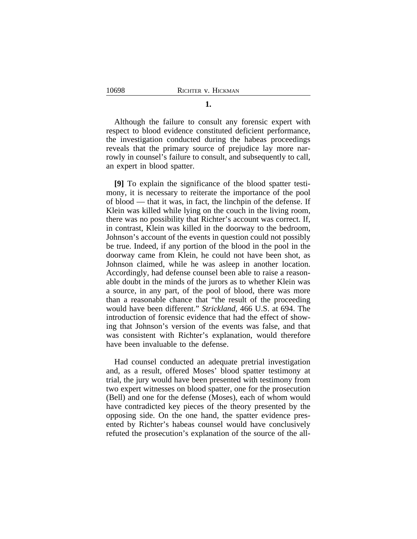**1.**

Although the failure to consult any forensic expert with respect to blood evidence constituted deficient performance, the investigation conducted during the habeas proceedings reveals that the primary source of prejudice lay more narrowly in counsel's failure to consult, and subsequently to call, an expert in blood spatter.

**[9]** To explain the significance of the blood spatter testimony, it is necessary to reiterate the importance of the pool of blood — that it was, in fact, the linchpin of the defense. If Klein was killed while lying on the couch in the living room, there was no possibility that Richter's account was correct. If, in contrast, Klein was killed in the doorway to the bedroom, Johnson's account of the events in question could not possibly be true. Indeed, if any portion of the blood in the pool in the doorway came from Klein, he could not have been shot, as Johnson claimed, while he was asleep in another location. Accordingly, had defense counsel been able to raise a reasonable doubt in the minds of the jurors as to whether Klein was a source, in any part, of the pool of blood, there was more than a reasonable chance that "the result of the proceeding would have been different." *Strickland*, 466 U.S. at 694. The introduction of forensic evidence that had the effect of showing that Johnson's version of the events was false, and that was consistent with Richter's explanation, would therefore have been invaluable to the defense.

Had counsel conducted an adequate pretrial investigation and, as a result, offered Moses' blood spatter testimony at trial, the jury would have been presented with testimony from two expert witnesses on blood spatter, one for the prosecution (Bell) and one for the defense (Moses), each of whom would have contradicted key pieces of the theory presented by the opposing side. On the one hand, the spatter evidence presented by Richter's habeas counsel would have conclusively refuted the prosecution's explanation of the source of the all-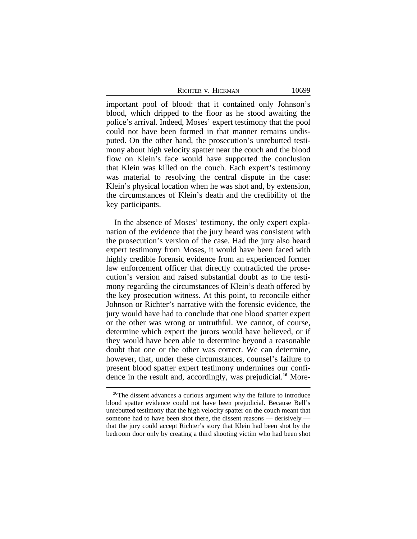|  | Richter v. Hickman |
|--|--------------------|
|  |                    |

important pool of blood: that it contained only Johnson's blood, which dripped to the floor as he stood awaiting the police's arrival. Indeed, Moses' expert testimony that the pool could not have been formed in that manner remains undisputed. On the other hand, the prosecution's unrebutted testimony about high velocity spatter near the couch and the blood flow on Klein's face would have supported the conclusion that Klein was killed on the couch. Each expert's testimony was material to resolving the central dispute in the case: Klein's physical location when he was shot and, by extension, the circumstances of Klein's death and the credibility of the key participants.

In the absence of Moses' testimony, the only expert explanation of the evidence that the jury heard was consistent with the prosecution's version of the case. Had the jury also heard expert testimony from Moses, it would have been faced with highly credible forensic evidence from an experienced former law enforcement officer that directly contradicted the prosecution's version and raised substantial doubt as to the testimony regarding the circumstances of Klein's death offered by the key prosecution witness. At this point, to reconcile either Johnson or Richter's narrative with the forensic evidence, the jury would have had to conclude that one blood spatter expert or the other was wrong or untruthful. We cannot, of course, determine which expert the jurors would have believed, or if they would have been able to determine beyond a reasonable doubt that one or the other was correct. We can determine, however, that, under these circumstances, counsel's failure to present blood spatter expert testimony undermines our confidence in the result and, accordingly, was prejudicial.**16** More-

**<sup>16</sup>**The dissent advances a curious argument why the failure to introduce blood spatter evidence could not have been prejudicial. Because Bell's unrebutted testimony that the high velocity spatter on the couch meant that someone had to have been shot there, the dissent reasons — derisively that the jury could accept Richter's story that Klein had been shot by the bedroom door only by creating a third shooting victim who had been shot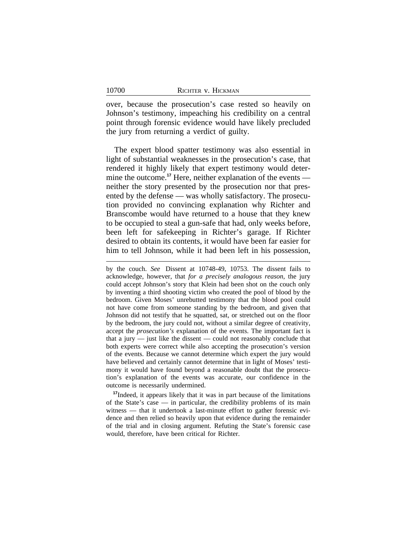10700

over, because the prosecution's case rested so heavily on Johnson's testimony, impeaching his credibility on a central point through forensic evidence would have likely precluded the jury from returning a verdict of guilty.

The expert blood spatter testimony was also essential in light of substantial weaknesses in the prosecution's case, that rendered it highly likely that expert testimony would determine the outcome.<sup>17</sup> Here, neither explanation of the events neither the story presented by the prosecution nor that presented by the defense — was wholly satisfactory. The prosecution provided no convincing explanation why Richter and Branscombe would have returned to a house that they knew to be occupied to steal a gun-safe that had, only weeks before, been left for safekeeping in Richter's garage. If Richter desired to obtain its contents, it would have been far easier for him to tell Johnson, while it had been left in his possession,

**<sup>17</sup>**Indeed, it appears likely that it was in part because of the limitations of the State's case — in particular, the credibility problems of its main witness — that it undertook a last-minute effort to gather forensic evidence and then relied so heavily upon that evidence during the remainder of the trial and in closing argument. Refuting the State's forensic case would, therefore, have been critical for Richter.

by the couch. *See* Dissent at 10748-49, 10753. The dissent fails to acknowledge, however, that *for a precisely analogous reason*, the jury could accept Johnson's story that Klein had been shot on the couch only by inventing a third shooting victim who created the pool of blood by the bedroom. Given Moses' unrebutted testimony that the blood pool could not have come from someone standing by the bedroom, and given that Johnson did not testify that he squatted, sat, or stretched out on the floor by the bedroom, the jury could not, without a similar degree of creativity, accept the *prosecution's* explanation of the events. The important fact is that a jury — just like the dissent — could not reasonably conclude that both experts were correct while also accepting the prosecution's version of the events. Because we cannot determine which expert the jury would have believed and certainly cannot determine that in light of Moses' testimony it would have found beyond a reasonable doubt that the prosecution's explanation of the events was accurate, our confidence in the outcome is necessarily undermined.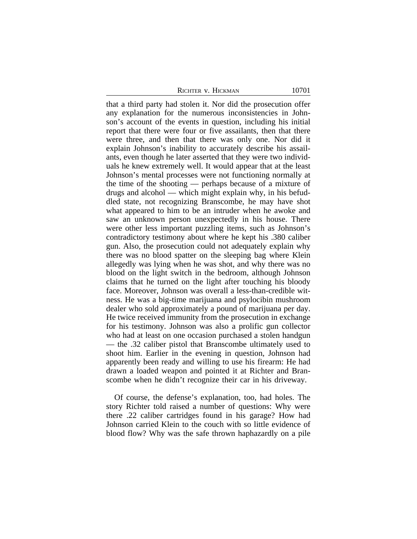that a third party had stolen it. Nor did the prosecution offer any explanation for the numerous inconsistencies in Johnson's account of the events in question, including his initial report that there were four or five assailants, then that there were three, and then that there was only one. Nor did it explain Johnson's inability to accurately describe his assailants, even though he later asserted that they were two individuals he knew extremely well. It would appear that at the least Johnson's mental processes were not functioning normally at the time of the shooting — perhaps because of a mixture of drugs and alcohol — which might explain why, in his befuddled state, not recognizing Branscombe, he may have shot what appeared to him to be an intruder when he awoke and saw an unknown person unexpectedly in his house. There were other less important puzzling items, such as Johnson's contradictory testimony about where he kept his .380 caliber gun. Also, the prosecution could not adequately explain why there was no blood spatter on the sleeping bag where Klein allegedly was lying when he was shot, and why there was no blood on the light switch in the bedroom, although Johnson claims that he turned on the light after touching his bloody face. Moreover, Johnson was overall a less-than-credible witness. He was a big-time marijuana and psylocibin mushroom dealer who sold approximately a pound of marijuana per day. He twice received immunity from the prosecution in exchange for his testimony. Johnson was also a prolific gun collector who had at least on one occasion purchased a stolen handgun — the .32 caliber pistol that Branscombe ultimately used to shoot him. Earlier in the evening in question, Johnson had apparently been ready and willing to use his firearm: He had drawn a loaded weapon and pointed it at Richter and Branscombe when he didn't recognize their car in his driveway.

Of course, the defense's explanation, too, had holes. The story Richter told raised a number of questions: Why were there .22 caliber cartridges found in his garage? How had Johnson carried Klein to the couch with so little evidence of blood flow? Why was the safe thrown haphazardly on a pile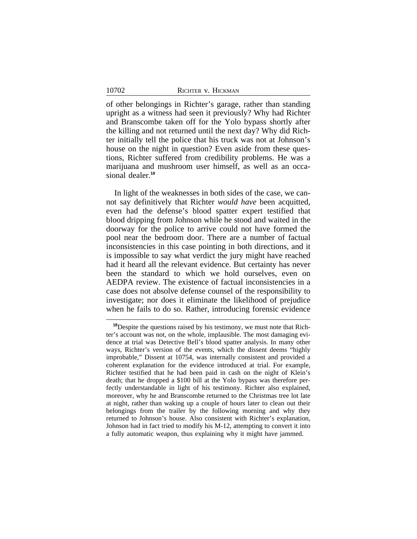of other belongings in Richter's garage, rather than standing upright as a witness had seen it previously? Why had Richter and Branscombe taken off for the Yolo bypass shortly after the killing and not returned until the next day? Why did Richter initially tell the police that his truck was not at Johnson's house on the night in question? Even aside from these questions, Richter suffered from credibility problems. He was a marijuana and mushroom user himself, as well as an occasional dealer.**<sup>18</sup>**

In light of the weaknesses in both sides of the case, we cannot say definitively that Richter *would have* been acquitted, even had the defense's blood spatter expert testified that blood dripping from Johnson while he stood and waited in the doorway for the police to arrive could not have formed the pool near the bedroom door. There are a number of factual inconsistencies in this case pointing in both directions, and it is impossible to say what verdict the jury might have reached had it heard all the relevant evidence. But certainty has never been the standard to which we hold ourselves, even on AEDPA review. The existence of factual inconsistencies in a case does not absolve defense counsel of the responsibility to investigate; nor does it eliminate the likelihood of prejudice when he fails to do so. Rather, introducing forensic evidence

**<sup>18</sup>**Despite the questions raised by his testimony, we must note that Richter's account was not, on the whole, implausible. The most damaging evidence at trial was Detective Bell's blood spatter analysis. In many other ways, Richter's version of the events, which the dissent deems "highly improbable," Dissent at 10754, was internally consistent and provided a coherent explanation for the evidence introduced at trial. For example, Richter testified that he had been paid in cash on the night of Klein's death; that he dropped a \$100 bill at the Yolo bypass was therefore perfectly understandable in light of his testimony. Richter also explained, moreover, why he and Branscombe returned to the Christmas tree lot late at night, rather than waking up a couple of hours later to clean out their belongings from the trailer by the following morning and why they returned to Johnson's house. Also consistent with Richter's explanation, Johnson had in fact tried to modify his M-12, attempting to convert it into a fully automatic weapon, thus explaining why it might have jammed.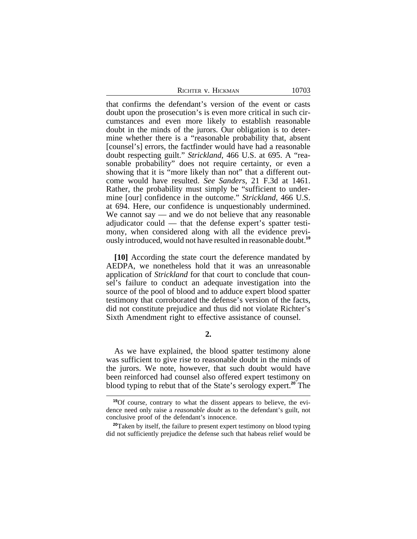| Richter v. Hickman |  |  |
|--------------------|--|--|
|--------------------|--|--|

that confirms the defendant's version of the event or casts doubt upon the prosecution's is even more critical in such circumstances and even more likely to establish reasonable doubt in the minds of the jurors. Our obligation is to determine whether there is a "reasonable probability that, absent [counsel's] errors, the factfinder would have had a reasonable doubt respecting guilt." *Strickland*, 466 U.S. at 695. A "reasonable probability" does not require certainty, or even a showing that it is "more likely than not" that a different outcome would have resulted. *See Sanders*, 21 F.3d at 1461. Rather, the probability must simply be "sufficient to undermine [our] confidence in the outcome." *Strickland*, 466 U.S. at 694. Here, our confidence is unquestionably undermined. We cannot say — and we do not believe that any reasonable adjudicator could — that the defense expert's spatter testimony, when considered along with all the evidence previously introduced, would not have resulted in reasonable doubt.**<sup>19</sup>**

**[10]** According the state court the deference mandated by AEDPA, we nonetheless hold that it was an unreasonable application of *Strickland* for that court to conclude that counsel's failure to conduct an adequate investigation into the source of the pool of blood and to adduce expert blood spatter testimony that corroborated the defense's version of the facts, did not constitute prejudice and thus did not violate Richter's Sixth Amendment right to effective assistance of counsel.

# **2.**

As we have explained, the blood spatter testimony alone was sufficient to give rise to reasonable doubt in the minds of the jurors. We note, however, that such doubt would have been reinforced had counsel also offered expert testimony on blood typing to rebut that of the State's serology expert.**<sup>20</sup>** The

**<sup>19</sup>**Of course, contrary to what the dissent appears to believe, the evidence need only raise a *reasonable doubt* as to the defendant's guilt, not conclusive proof of the defendant's innocence.

**<sup>20</sup>**Taken by itself, the failure to present expert testimony on blood typing did not sufficiently prejudice the defense such that habeas relief would be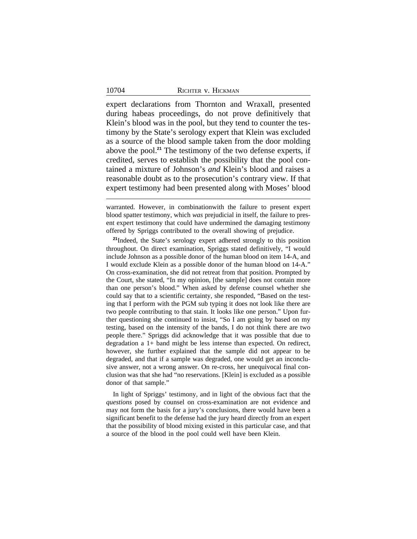expert declarations from Thornton and Wraxall, presented during habeas proceedings, do not prove definitively that Klein's blood was in the pool, but they tend to counter the testimony by the State's serology expert that Klein was excluded as a source of the blood sample taken from the door molding above the pool.**<sup>21</sup>** The testimony of the two defense experts, if credited, serves to establish the possibility that the pool contained a mixture of Johnson's *and* Klein's blood and raises a reasonable doubt as to the prosecution's contrary view. If that expert testimony had been presented along with Moses' blood

**<sup>21</sup>**Indeed, the State's serology expert adhered strongly to this position throughout. On direct examination, Spriggs stated definitively, "I would include Johnson as a possible donor of the human blood on item 14-A, and I would exclude Klein as a possible donor of the human blood on 14-A." On cross-examination, she did not retreat from that position. Prompted by the Court, she stated, "In my opinion, [the sample] does not contain more than one person's blood." When asked by defense counsel whether she could say that to a scientific certainty, she responded, "Based on the testing that I perform with the PGM sub typing it does not look like there are two people contributing to that stain. It looks like one person." Upon further questioning she continued to insist, "So I am going by based on my testing, based on the intensity of the bands, I do not think there are two people there." Spriggs did acknowledge that it was possible that due to degradation a 1+ band might be less intense than expected. On redirect, however, she further explained that the sample did not appear to be degraded, and that if a sample was degraded, one would get an inconclusive answer, not a wrong answer. On re-cross, her unequivocal final conclusion was that she had "no reservations. [Klein] is excluded as a possible donor of that sample."

In light of Spriggs' testimony, and in light of the obvious fact that the *questions* posed by counsel on cross-examination are not evidence and may not form the basis for a jury's conclusions, there would have been a significant benefit to the defense had the jury heard directly from an expert that the possibility of blood mixing existed in this particular case, and that a source of the blood in the pool could well have been Klein.

warranted. However, in combinationwith the failure to present expert blood spatter testimony, which *was* prejudicial in itself, the failure to present expert testimony that could have undermined the damaging testimony offered by Spriggs contributed to the overall showing of prejudice.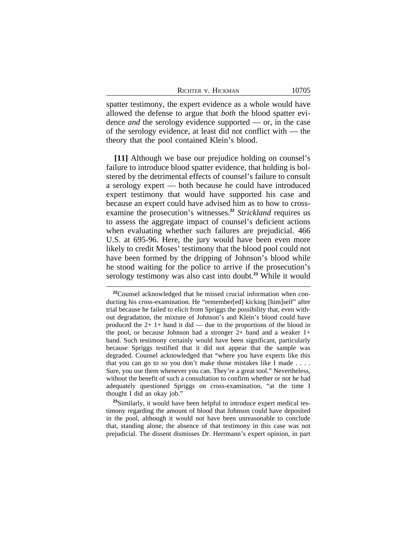|  | RICHTER V. HICKMAN |
|--|--------------------|
|  |                    |

spatter testimony, the expert evidence as a whole would have allowed the defense to argue that *both* the blood spatter evidence *and* the serology evidence supported — or, in the case of the serology evidence, at least did not conflict with — the theory that the pool contained Klein's blood.

**[11]** Although we base our prejudice holding on counsel's failure to introduce blood spatter evidence, that holding is bolstered by the detrimental effects of counsel's failure to consult a serology expert — both because he could have introduced expert testimony that would have supported his case and because an expert could have advised him as to how to crossexamine the prosecution's witnesses.**<sup>22</sup>** *Strickland* requires us to assess the aggregate impact of counsel's deficient actions when evaluating whether such failures are prejudicial. 466 U.S. at 695-96. Here, the jury would have been even more likely to credit Moses' testimony that the blood pool could not have been formed by the dripping of Johnson's blood while he stood waiting for the police to arrive if the prosecution's serology testimony was also cast into doubt.**<sup>23</sup>** While it would

**<sup>22</sup>**Counsel acknowledged that he missed crucial information when conducting his cross-examination. He "remember[ed] kicking [him]self" after trial because he failed to elicit from Spriggs the possibility that, even without degradation, the mixture of Johnson's and Klein's blood could have produced the  $2+1+$  band it did — due to the proportions of the blood in the pool, or because Johnson had a stronger 2+ band and a weaker 1+ band. Such testimony certainly would have been significant, particularly because Spriggs testified that it did not appear that the sample was degraded. Counsel acknowledged that "where you have experts like this that you can go to so you don't make those mistakes like I made . . . . Sure, you use them whenever you can. They're a great tool." Nevertheless, without the benefit of such a consultation to confirm whether or not he had adequately questioned Spriggs on cross-examination, "at the time I thought I did an okay job."

<sup>&</sup>lt;sup>23</sup>Similarly, it would have been helpful to introduce expert medical testimony regarding the amount of blood that Johnson could have deposited in the pool, although it would not have been unreasonable to conclude that, standing alone, the absence of that testimony in this case was not prejudicial. The dissent dismisses Dr. Herrmann's expert opinion, in part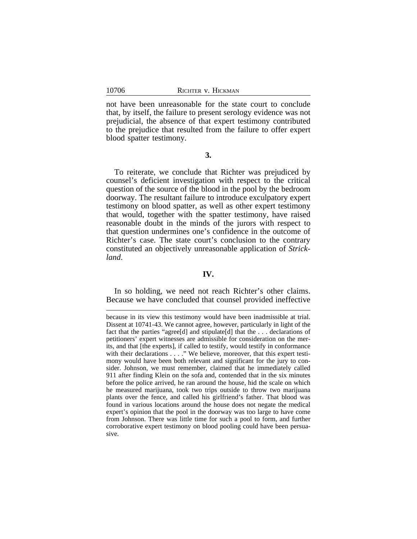not have been unreasonable for the state court to conclude that, by itself, the failure to present serology evidence was not prejudicial, the absence of that expert testimony contributed to the prejudice that resulted from the failure to offer expert blood spatter testimony.

## **3.**

To reiterate, we conclude that Richter was prejudiced by counsel's deficient investigation with respect to the critical question of the source of the blood in the pool by the bedroom doorway. The resultant failure to introduce exculpatory expert testimony on blood spatter, as well as other expert testimony that would, together with the spatter testimony, have raised reasonable doubt in the minds of the jurors with respect to that question undermines one's confidence in the outcome of Richter's case. The state court's conclusion to the contrary constituted an objectively unreasonable application of *Strickland*.

# **IV.**

In so holding, we need not reach Richter's other claims. Because we have concluded that counsel provided ineffective

because in its view this testimony would have been inadmissible at trial. Dissent at 10741-43. We cannot agree, however, particularly in light of the fact that the parties "agree[d] and stipulate[d] that the . . . declarations of petitioners' expert witnesses are admissible for consideration on the merits, and that [the experts], if called to testify, would testify in conformance with their declarations . . . ." We believe, moreover, that this expert testimony would have been both relevant and significant for the jury to consider. Johnson, we must remember, claimed that he immediately called 911 after finding Klein on the sofa and, contended that in the six minutes before the police arrived, he ran around the house, hid the scale on which he measured marijuana, took two trips outside to throw two marijuana plants over the fence, and called his girlfriend's father. That blood was found in various locations around the house does not negate the medical expert's opinion that the pool in the doorway was too large to have come from Johnson. There was little time for such a pool to form, and further corroborative expert testimony on blood pooling could have been persuasive.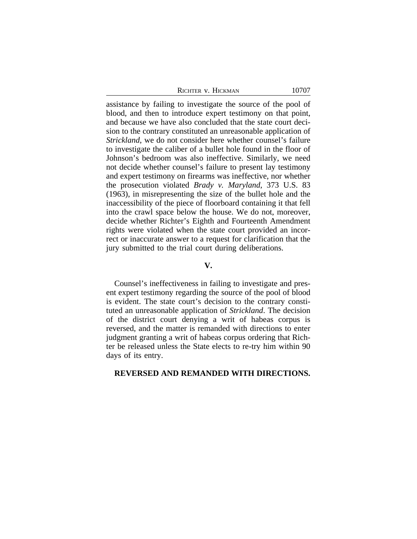| RICHTER V. HICKMAN |
|--------------------|
|--------------------|

assistance by failing to investigate the source of the pool of blood, and then to introduce expert testimony on that point, and because we have also concluded that the state court decision to the contrary constituted an unreasonable application of *Strickland*, we do not consider here whether counsel's failure to investigate the caliber of a bullet hole found in the floor of Johnson's bedroom was also ineffective. Similarly, we need not decide whether counsel's failure to present lay testimony and expert testimony on firearms was ineffective, nor whether the prosecution violated *Brady v. Maryland*, 373 U.S. 83 (1963), in misrepresenting the size of the bullet hole and the inaccessibility of the piece of floorboard containing it that fell into the crawl space below the house. We do not, moreover, decide whether Richter's Eighth and Fourteenth Amendment rights were violated when the state court provided an incorrect or inaccurate answer to a request for clarification that the jury submitted to the trial court during deliberations.

## **V.**

Counsel's ineffectiveness in failing to investigate and present expert testimony regarding the source of the pool of blood is evident. The state court's decision to the contrary constituted an unreasonable application of *Strickland*. The decision of the district court denying a writ of habeas corpus is reversed, and the matter is remanded with directions to enter judgment granting a writ of habeas corpus ordering that Richter be released unless the State elects to re-try him within 90 days of its entry.

#### **REVERSED AND REMANDED WITH DIRECTIONS.**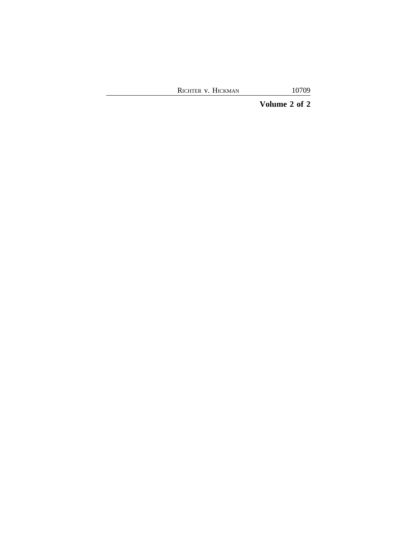**Volume 2 of 2**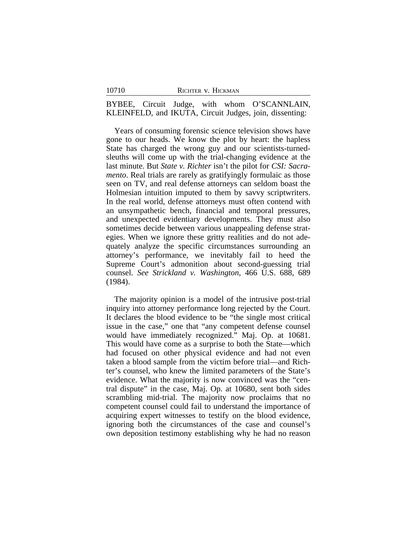BYBEE, Circuit Judge, with whom O'SCANNLAIN, KLEINFELD, and IKUTA, Circuit Judges, join, dissenting:

Years of consuming forensic science television shows have gone to our heads. We know the plot by heart: the hapless State has charged the wrong guy and our scientists-turnedsleuths will come up with the trial-changing evidence at the last minute. But *State v. Richter* isn't the pilot for *CSI: Sacramento*. Real trials are rarely as gratifyingly formulaic as those seen on TV, and real defense attorneys can seldom boast the Holmesian intuition imputed to them by savvy scriptwriters. In the real world, defense attorneys must often contend with an unsympathetic bench, financial and temporal pressures, and unexpected evidentiary developments. They must also sometimes decide between various unappealing defense strategies. When we ignore these gritty realities and do not adequately analyze the specific circumstances surrounding an attorney's performance, we inevitably fail to heed the Supreme Court's admonition about second-guessing trial counsel. *See Strickland v. Washington*, 466 U.S. 688, 689 (1984).

The majority opinion is a model of the intrusive post-trial inquiry into attorney performance long rejected by the Court. It declares the blood evidence to be "the single most critical issue in the case," one that "any competent defense counsel would have immediately recognized." Maj. Op. at 10681. This would have come as a surprise to both the State—which had focused on other physical evidence and had not even taken a blood sample from the victim before trial—and Richter's counsel, who knew the limited parameters of the State's evidence. What the majority is now convinced was the "central dispute" in the case, Maj. Op. at 10680, sent both sides scrambling mid-trial. The majority now proclaims that no competent counsel could fail to understand the importance of acquiring expert witnesses to testify on the blood evidence, ignoring both the circumstances of the case and counsel's own deposition testimony establishing why he had no reason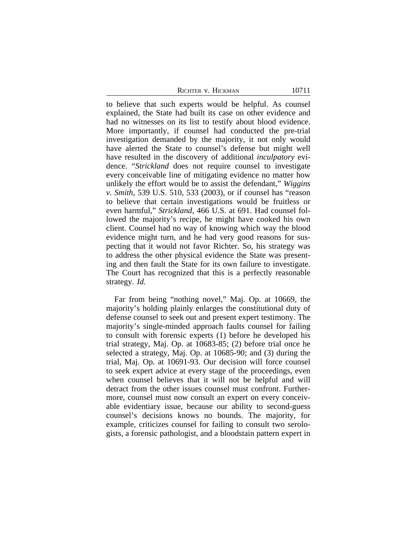to believe that such experts would be helpful. As counsel explained, the State had built its case on other evidence and had no witnesses on its list to testify about blood evidence. More importantly, if counsel had conducted the pre-trial investigation demanded by the majority, it not only would have alerted the State to counsel's defense but might well have resulted in the discovery of additional *inculpatory* evidence. "*Strickland* does not require counsel to investigate every conceivable line of mitigating evidence no matter how unlikely the effort would be to assist the defendant," *Wiggins v. Smith*, 539 U.S. 510, 533 (2003), or if counsel has "reason to believe that certain investigations would be fruitless or even harmful," *Strickland*, 466 U.S. at 691. Had counsel followed the majority's recipe, he might have cooked his own client. Counsel had no way of knowing which way the blood evidence might turn, and he had very good reasons for suspecting that it would not favor Richter. So, his strategy was to address the other physical evidence the State was presenting and then fault the State for its own failure to investigate. The Court has recognized that this is a perfectly reasonable strategy. *Id.*

Far from being "nothing novel," Maj. Op. at 10669, the majority's holding plainly enlarges the constitutional duty of defense counsel to seek out and present expert testimony. The majority's single-minded approach faults counsel for failing to consult with forensic experts (1) before he developed his trial strategy, Maj. Op. at 10683-85; (2) before trial once he selected a strategy, Maj. Op. at 10685-90; and (3) during the trial, Maj. Op. at 10691-93. Our decision will force counsel to seek expert advice at every stage of the proceedings, even when counsel believes that it will not be helpful and will detract from the other issues counsel must confront. Furthermore, counsel must now consult an expert on every conceivable evidentiary issue, because our ability to second-guess counsel's decisions knows no bounds. The majority, for example, criticizes counsel for failing to consult two serologists, a forensic pathologist, and a bloodstain pattern expert in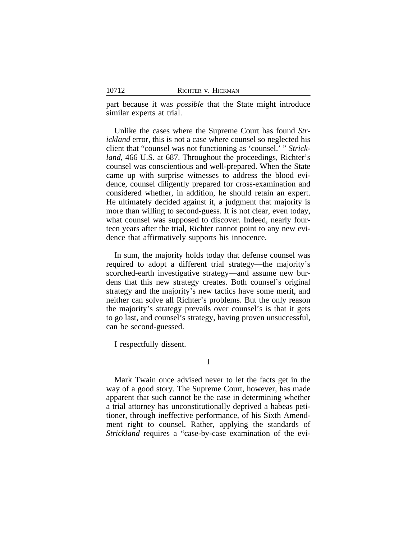part because it was *possible* that the State might introduce similar experts at trial.

Unlike the cases where the Supreme Court has found *Strickland* error, this is not a case where counsel so neglected his client that "counsel was not functioning as 'counsel.' " *Strickland*, 466 U.S. at 687. Throughout the proceedings, Richter's counsel was conscientious and well-prepared. When the State came up with surprise witnesses to address the blood evidence, counsel diligently prepared for cross-examination and considered whether, in addition, he should retain an expert. He ultimately decided against it, a judgment that majority is more than willing to second-guess. It is not clear, even today, what counsel was supposed to discover. Indeed, nearly fourteen years after the trial, Richter cannot point to any new evidence that affirmatively supports his innocence.

In sum, the majority holds today that defense counsel was required to adopt a different trial strategy—the majority's scorched-earth investigative strategy—and assume new burdens that this new strategy creates. Both counsel's original strategy and the majority's new tactics have some merit, and neither can solve all Richter's problems. But the only reason the majority's strategy prevails over counsel's is that it gets to go last, and counsel's strategy, having proven unsuccessful, can be second-guessed.

I respectfully dissent.

I

Mark Twain once advised never to let the facts get in the way of a good story. The Supreme Court, however, has made apparent that such cannot be the case in determining whether a trial attorney has unconstitutionally deprived a habeas petitioner, through ineffective performance, of his Sixth Amendment right to counsel. Rather, applying the standards of *Strickland* requires a "case-by-case examination of the evi-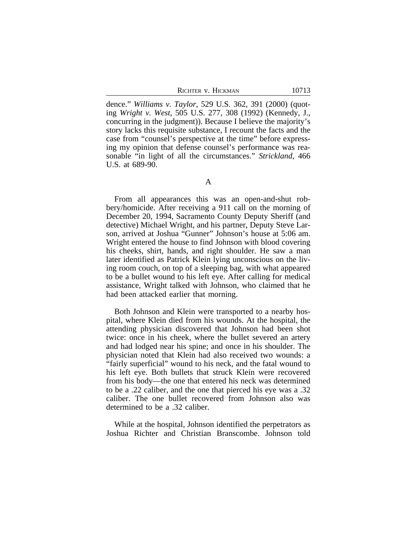dence." *Williams v. Taylor*, 529 U.S. 362, 391 (2000) (quoting *Wright v. West*, 505 U.S. 277, 308 (1992) (Kennedy, J., concurring in the judgment)). Because I believe the majority's story lacks this requisite substance, I recount the facts and the case from "counsel's perspective at the time" before expressing my opinion that defense counsel's performance was reasonable "in light of all the circumstances." *Strickland*, 466 U.S. at 689-90.

From all appearances this was an open-and-shut robbery/homicide. After receiving a 911 call on the morning of December 20, 1994, Sacramento County Deputy Sheriff (and detective) Michael Wright, and his partner, Deputy Steve Larson, arrived at Joshua "Gunner" Johnson's house at 5:06 am. Wright entered the house to find Johnson with blood covering his cheeks, shirt, hands, and right shoulder. He saw a man later identified as Patrick Klein lying unconscious on the living room couch, on top of a sleeping bag, with what appeared to be a bullet wound to his left eye. After calling for medical assistance, Wright talked with Johnson, who claimed that he had been attacked earlier that morning.

Both Johnson and Klein were transported to a nearby hospital, where Klein died from his wounds. At the hospital, the attending physician discovered that Johnson had been shot twice: once in his cheek, where the bullet severed an artery and had lodged near his spine; and once in his shoulder. The physician noted that Klein had also received two wounds: a "fairly superficial" wound to his neck, and the fatal wound to his left eye. Both bullets that struck Klein were recovered from his body—the one that entered his neck was determined to be a .22 caliber, and the one that pierced his eye was a .32 caliber. The one bullet recovered from Johnson also was determined to be a .32 caliber.

While at the hospital, Johnson identified the perpetrators as Joshua Richter and Christian Branscombe. Johnson told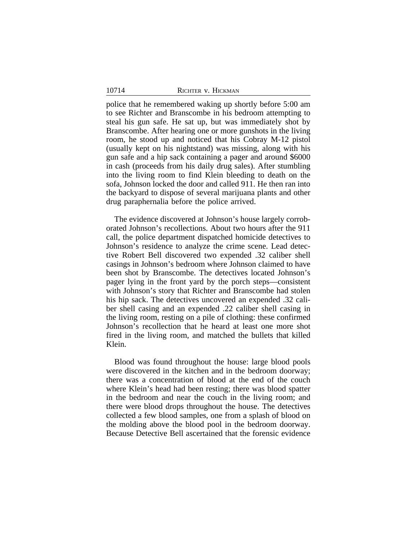police that he remembered waking up shortly before 5:00 am to see Richter and Branscombe in his bedroom attempting to steal his gun safe. He sat up, but was immediately shot by Branscombe. After hearing one or more gunshots in the living room, he stood up and noticed that his Cobray M-12 pistol (usually kept on his nightstand) was missing, along with his gun safe and a hip sack containing a pager and around \$6000 in cash (proceeds from his daily drug sales). After stumbling into the living room to find Klein bleeding to death on the sofa, Johnson locked the door and called 911. He then ran into the backyard to dispose of several marijuana plants and other drug paraphernalia before the police arrived.

The evidence discovered at Johnson's house largely corroborated Johnson's recollections. About two hours after the 911 call, the police department dispatched homicide detectives to Johnson's residence to analyze the crime scene. Lead detective Robert Bell discovered two expended .32 caliber shell casings in Johnson's bedroom where Johnson claimed to have been shot by Branscombe. The detectives located Johnson's pager lying in the front yard by the porch steps—consistent with Johnson's story that Richter and Branscombe had stolen his hip sack. The detectives uncovered an expended .32 caliber shell casing and an expended .22 caliber shell casing in the living room, resting on a pile of clothing: these confirmed Johnson's recollection that he heard at least one more shot fired in the living room, and matched the bullets that killed Klein.

Blood was found throughout the house: large blood pools were discovered in the kitchen and in the bedroom doorway; there was a concentration of blood at the end of the couch where Klein's head had been resting; there was blood spatter in the bedroom and near the couch in the living room; and there were blood drops throughout the house. The detectives collected a few blood samples, one from a splash of blood on the molding above the blood pool in the bedroom doorway. Because Detective Bell ascertained that the forensic evidence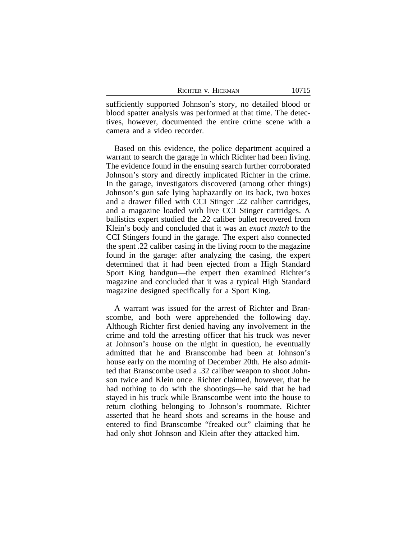| RICHTER V. HICKMAN |  |
|--------------------|--|
|--------------------|--|

sufficiently supported Johnson's story, no detailed blood or blood spatter analysis was performed at that time. The detectives, however, documented the entire crime scene with a camera and a video recorder.

Based on this evidence, the police department acquired a warrant to search the garage in which Richter had been living. The evidence found in the ensuing search further corroborated Johnson's story and directly implicated Richter in the crime. In the garage, investigators discovered (among other things) Johnson's gun safe lying haphazardly on its back, two boxes and a drawer filled with CCI Stinger .22 caliber cartridges, and a magazine loaded with live CCI Stinger cartridges. A ballistics expert studied the .22 caliber bullet recovered from Klein's body and concluded that it was an *exact match* to the CCI Stingers found in the garage. The expert also connected the spent .22 caliber casing in the living room to the magazine found in the garage: after analyzing the casing, the expert determined that it had been ejected from a High Standard Sport King handgun—the expert then examined Richter's magazine and concluded that it was a typical High Standard magazine designed specifically for a Sport King.

A warrant was issued for the arrest of Richter and Branscombe, and both were apprehended the following day. Although Richter first denied having any involvement in the crime and told the arresting officer that his truck was never at Johnson's house on the night in question, he eventually admitted that he and Branscombe had been at Johnson's house early on the morning of December 20th. He also admitted that Branscombe used a .32 caliber weapon to shoot Johnson twice and Klein once. Richter claimed, however, that he had nothing to do with the shootings—he said that he had stayed in his truck while Branscombe went into the house to return clothing belonging to Johnson's roommate. Richter asserted that he heard shots and screams in the house and entered to find Branscombe "freaked out" claiming that he had only shot Johnson and Klein after they attacked him.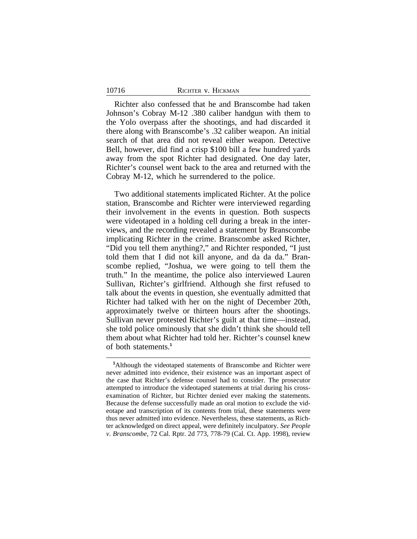Richter also confessed that he and Branscombe had taken Johnson's Cobray M-12 .380 caliber handgun with them to the Yolo overpass after the shootings, and had discarded it there along with Branscombe's .32 caliber weapon. An initial search of that area did not reveal either weapon. Detective Bell, however, did find a crisp \$100 bill a few hundred yards away from the spot Richter had designated. One day later, Richter's counsel went back to the area and returned with the Cobray M-12, which he surrendered to the police.

Two additional statements implicated Richter. At the police station, Branscombe and Richter were interviewed regarding their involvement in the events in question. Both suspects were videotaped in a holding cell during a break in the interviews, and the recording revealed a statement by Branscombe implicating Richter in the crime. Branscombe asked Richter, "Did you tell them anything?," and Richter responded, "I just told them that I did not kill anyone, and da da da." Branscombe replied, "Joshua, we were going to tell them the truth." In the meantime, the police also interviewed Lauren Sullivan, Richter's girlfriend. Although she first refused to talk about the events in question, she eventually admitted that Richter had talked with her on the night of December 20th, approximately twelve or thirteen hours after the shootings. Sullivan never protested Richter's guilt at that time—instead, she told police ominously that she didn't think she should tell them about what Richter had told her. Richter's counsel knew of both statements.**<sup>1</sup>**

**<sup>1</sup>**Although the videotaped statements of Branscombe and Richter were never admitted into evidence, their existence was an important aspect of the case that Richter's defense counsel had to consider. The prosecutor attempted to introduce the videotaped statements at trial during his crossexamination of Richter, but Richter denied ever making the statements. Because the defense successfully made an oral motion to exclude the videotape and transcription of its contents from trial, these statements were thus never admitted into evidence. Nevertheless, these statements, as Richter acknowledged on direct appeal, were definitely inculpatory. *See People v. Branscombe*, 72 Cal. Rptr. 2d 773, 778-79 (Cal. Ct. App. 1998), review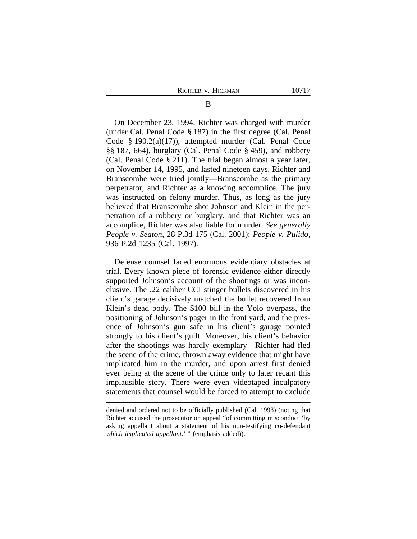On December 23, 1994, Richter was charged with murder (under Cal. Penal Code § 187) in the first degree (Cal. Penal Code § 190.2(a)(17)), attempted murder (Cal. Penal Code §§ 187, 664), burglary (Cal. Penal Code § 459), and robbery (Cal. Penal Code § 211). The trial began almost a year later, on November 14, 1995, and lasted nineteen days. Richter and Branscombe were tried jointly—Branscombe as the primary perpetrator, and Richter as a knowing accomplice. The jury was instructed on felony murder. Thus, as long as the jury believed that Branscombe shot Johnson and Klein in the perpetration of a robbery or burglary, and that Richter was an accomplice, Richter was also liable for murder. *See generally People v. Seaton*, 28 P.3d 175 (Cal. 2001); *People v. Pulido*, 936 P.2d 1235 (Cal. 1997).

Defense counsel faced enormous evidentiary obstacles at trial. Every known piece of forensic evidence either directly supported Johnson's account of the shootings or was inconclusive. The .22 caliber CCI stinger bullets discovered in his client's garage decisively matched the bullet recovered from Klein's dead body. The \$100 bill in the Yolo overpass, the positioning of Johnson's pager in the front yard, and the presence of Johnson's gun safe in his client's garage pointed strongly to his client's guilt. Moreover, his client's behavior after the shootings was hardly exemplary—Richter had fled the scene of the crime, thrown away evidence that might have implicated him in the murder, and upon arrest first denied ever being at the scene of the crime only to later recant this implausible story. There were even videotaped inculpatory statements that counsel would be forced to attempt to exclude

denied and ordered not to be officially published (Cal. 1998) (noting that Richter accused the prosecutor on appeal "of committing misconduct 'by asking appellant about a statement of his non-testifying co-defendant *which implicated appellant*.' " (emphasis added)).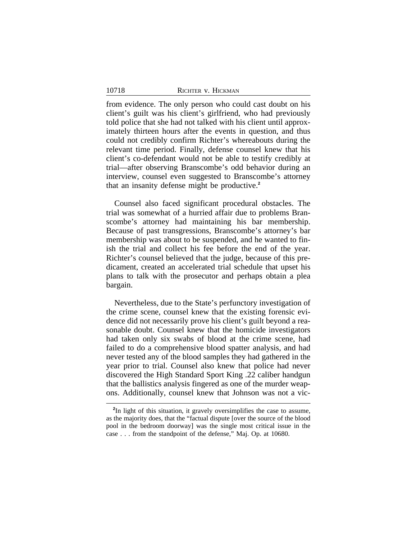from evidence. The only person who could cast doubt on his client's guilt was his client's girlfriend, who had previously told police that she had not talked with his client until approximately thirteen hours after the events in question, and thus could not credibly confirm Richter's whereabouts during the relevant time period. Finally, defense counsel knew that his client's co-defendant would not be able to testify credibly at trial—after observing Branscombe's odd behavior during an interview, counsel even suggested to Branscombe's attorney that an insanity defense might be productive.**<sup>2</sup>**

Counsel also faced significant procedural obstacles. The trial was somewhat of a hurried affair due to problems Branscombe's attorney had maintaining his bar membership. Because of past transgressions, Branscombe's attorney's bar membership was about to be suspended, and he wanted to finish the trial and collect his fee before the end of the year. Richter's counsel believed that the judge, because of this predicament, created an accelerated trial schedule that upset his plans to talk with the prosecutor and perhaps obtain a plea bargain.

Nevertheless, due to the State's perfunctory investigation of the crime scene, counsel knew that the existing forensic evidence did not necessarily prove his client's guilt beyond a reasonable doubt. Counsel knew that the homicide investigators had taken only six swabs of blood at the crime scene, had failed to do a comprehensive blood spatter analysis, and had never tested any of the blood samples they had gathered in the year prior to trial. Counsel also knew that police had never discovered the High Standard Sport King .22 caliber handgun that the ballistics analysis fingered as one of the murder weapons. Additionally, counsel knew that Johnson was not a vic-

**<sup>2</sup>** In light of this situation, it gravely oversimplifies the case to assume, as the majority does, that the "factual dispute [over the source of the blood pool in the bedroom doorway] was the single most critical issue in the case . . . from the standpoint of the defense," Maj. Op. at 10680.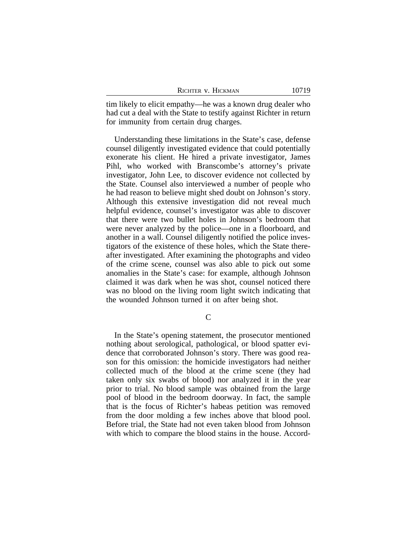| RICHTER V. HICKMAN | 10719 |
|--------------------|-------|
|--------------------|-------|

tim likely to elicit empathy—he was a known drug dealer who had cut a deal with the State to testify against Richter in return for immunity from certain drug charges.

Understanding these limitations in the State's case, defense counsel diligently investigated evidence that could potentially exonerate his client. He hired a private investigator, James Pihl, who worked with Branscombe's attorney's private investigator, John Lee, to discover evidence not collected by the State. Counsel also interviewed a number of people who he had reason to believe might shed doubt on Johnson's story. Although this extensive investigation did not reveal much helpful evidence, counsel's investigator was able to discover that there were two bullet holes in Johnson's bedroom that were never analyzed by the police—one in a floorboard, and another in a wall. Counsel diligently notified the police investigators of the existence of these holes, which the State thereafter investigated. After examining the photographs and video of the crime scene, counsel was also able to pick out some anomalies in the State's case: for example, although Johnson claimed it was dark when he was shot, counsel noticed there was no blood on the living room light switch indicating that the wounded Johnson turned it on after being shot.

 $\mathcal{C}$ 

In the State's opening statement, the prosecutor mentioned nothing about serological, pathological, or blood spatter evidence that corroborated Johnson's story. There was good reason for this omission: the homicide investigators had neither collected much of the blood at the crime scene (they had taken only six swabs of blood) nor analyzed it in the year prior to trial. No blood sample was obtained from the large pool of blood in the bedroom doorway. In fact, the sample that is the focus of Richter's habeas petition was removed from the door molding a few inches above that blood pool. Before trial, the State had not even taken blood from Johnson with which to compare the blood stains in the house. Accord-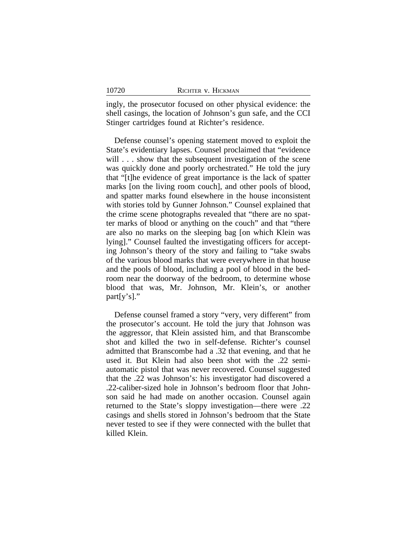ingly, the prosecutor focused on other physical evidence: the shell casings, the location of Johnson's gun safe, and the CCI Stinger cartridges found at Richter's residence.

Defense counsel's opening statement moved to exploit the State's evidentiary lapses. Counsel proclaimed that "evidence will . . . show that the subsequent investigation of the scene was quickly done and poorly orchestrated." He told the jury that "[t]he evidence of great importance is the lack of spatter marks [on the living room couch], and other pools of blood, and spatter marks found elsewhere in the house inconsistent with stories told by Gunner Johnson." Counsel explained that the crime scene photographs revealed that "there are no spatter marks of blood or anything on the couch" and that "there are also no marks on the sleeping bag [on which Klein was lying]." Counsel faulted the investigating officers for accepting Johnson's theory of the story and failing to "take swabs of the various blood marks that were everywhere in that house and the pools of blood, including a pool of blood in the bedroom near the doorway of the bedroom, to determine whose blood that was, Mr. Johnson, Mr. Klein's, or another part[y's]."

Defense counsel framed a story "very, very different" from the prosecutor's account. He told the jury that Johnson was the aggressor, that Klein assisted him, and that Branscombe shot and killed the two in self-defense. Richter's counsel admitted that Branscombe had a .32 that evening, and that he used it. But Klein had also been shot with the .22 semiautomatic pistol that was never recovered. Counsel suggested that the .22 was Johnson's: his investigator had discovered a .22-caliber-sized hole in Johnson's bedroom floor that Johnson said he had made on another occasion. Counsel again returned to the State's sloppy investigation—there were .22 casings and shells stored in Johnson's bedroom that the State never tested to see if they were connected with the bullet that killed Klein.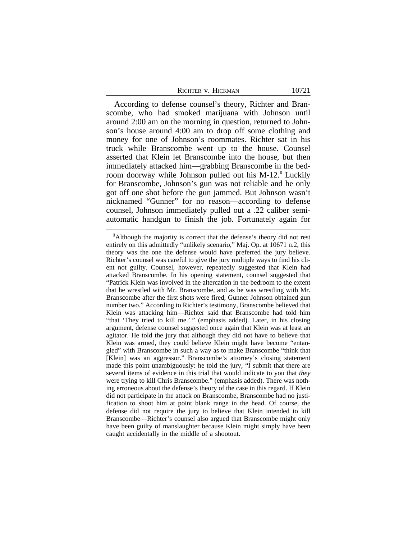10721

According to defense counsel's theory, Richter and Branscombe, who had smoked marijuana with Johnson until around 2:00 am on the morning in question, returned to Johnson's house around 4:00 am to drop off some clothing and money for one of Johnson's roommates. Richter sat in his truck while Branscombe went up to the house. Counsel asserted that Klein let Branscombe into the house, but then immediately attacked him—grabbing Branscombe in the bedroom doorway while Johnson pulled out his M-12.**<sup>3</sup>** Luckily for Branscombe, Johnson's gun was not reliable and he only got off one shot before the gun jammed. But Johnson wasn't nicknamed "Gunner" for no reason—according to defense counsel, Johnson immediately pulled out a .22 caliber semiautomatic handgun to finish the job. Fortunately again for

**<sup>3</sup>**Although the majority is correct that the defense's theory did not rest entirely on this admittedly "unlikely scenario," Maj. Op. at 10671 n.2, this theory was the one the defense would have preferred the jury believe. Richter's counsel was careful to give the jury multiple ways to find his client not guilty. Counsel, however, repeatedly suggested that Klein had attacked Branscombe. In his opening statement, counsel suggested that "Patrick Klein was involved in the altercation in the bedroom to the extent that he wrestled with Mr. Branscombe, and as he was wrestling with Mr. Branscombe after the first shots were fired, Gunner Johnson obtained gun number two." According to Richter's testimony, Branscombe believed that Klein was attacking him—Richter said that Branscombe had told him "that 'They tried to kill me.' " (emphasis added). Later, in his closing argument, defense counsel suggested once again that Klein was at least an agitator. He told the jury that although they did not have to believe that Klein was armed, they could believe Klein might have become "entangled" with Branscombe in such a way as to make Branscombe "think that [Klein] was an aggressor." Branscombe's attorney's closing statement made this point unambiguously: he told the jury, "I submit that there are several items of evidence in this trial that would indicate to you that *they* were trying to kill Chris Branscombe." (emphasis added). There was nothing erroneous about the defense's theory of the case in this regard. If Klein did not participate in the attack on Branscombe, Branscombe had no justification to shoot him at point blank range in the head. Of course, the defense did not require the jury to believe that Klein intended to kill Branscombe—Richter's counsel also argued that Branscombe might only have been guilty of manslaughter because Klein might simply have been caught accidentally in the middle of a shootout.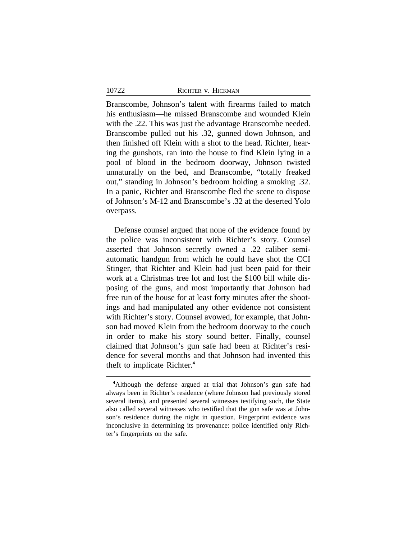Branscombe, Johnson's talent with firearms failed to match his enthusiasm—he missed Branscombe and wounded Klein with the .22. This was just the advantage Branscombe needed. Branscombe pulled out his .32, gunned down Johnson, and then finished off Klein with a shot to the head. Richter, hearing the gunshots, ran into the house to find Klein lying in a pool of blood in the bedroom doorway, Johnson twisted unnaturally on the bed, and Branscombe, "totally freaked out," standing in Johnson's bedroom holding a smoking .32. In a panic, Richter and Branscombe fled the scene to dispose of Johnson's M-12 and Branscombe's .32 at the deserted Yolo overpass.

Defense counsel argued that none of the evidence found by the police was inconsistent with Richter's story. Counsel asserted that Johnson secretly owned a .22 caliber semiautomatic handgun from which he could have shot the CCI Stinger, that Richter and Klein had just been paid for their work at a Christmas tree lot and lost the \$100 bill while disposing of the guns, and most importantly that Johnson had free run of the house for at least forty minutes after the shootings and had manipulated any other evidence not consistent with Richter's story. Counsel avowed, for example, that Johnson had moved Klein from the bedroom doorway to the couch in order to make his story sound better. Finally, counsel claimed that Johnson's gun safe had been at Richter's residence for several months and that Johnson had invented this theft to implicate Richter.**<sup>4</sup>**

**<sup>4</sup>**Although the defense argued at trial that Johnson's gun safe had always been in Richter's residence (where Johnson had previously stored several items), and presented several witnesses testifying such, the State also called several witnesses who testified that the gun safe was at Johnson's residence during the night in question. Fingerprint evidence was inconclusive in determining its provenance: police identified only Richter's fingerprints on the safe.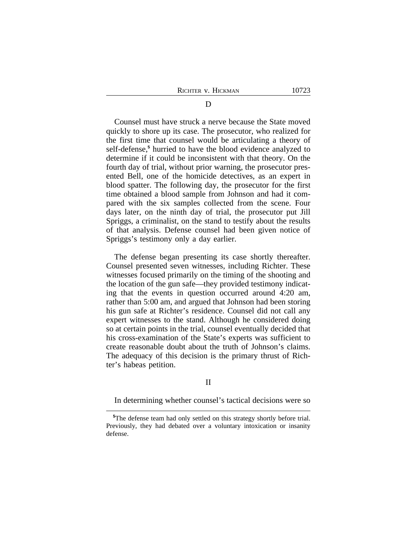Counsel must have struck a nerve because the State moved quickly to shore up its case. The prosecutor, who realized for the first time that counsel would be articulating a theory of self-defense,**<sup>5</sup>** hurried to have the blood evidence analyzed to determine if it could be inconsistent with that theory. On the fourth day of trial, without prior warning, the prosecutor presented Bell, one of the homicide detectives, as an expert in blood spatter. The following day, the prosecutor for the first time obtained a blood sample from Johnson and had it compared with the six samples collected from the scene. Four days later, on the ninth day of trial, the prosecutor put Jill Spriggs, a criminalist, on the stand to testify about the results of that analysis. Defense counsel had been given notice of Spriggs's testimony only a day earlier.

The defense began presenting its case shortly thereafter. Counsel presented seven witnesses, including Richter. These witnesses focused primarily on the timing of the shooting and the location of the gun safe—they provided testimony indicating that the events in question occurred around 4:20 am, rather than 5:00 am, and argued that Johnson had been storing his gun safe at Richter's residence. Counsel did not call any expert witnesses to the stand. Although he considered doing so at certain points in the trial, counsel eventually decided that his cross-examination of the State's experts was sufficient to create reasonable doubt about the truth of Johnson's claims. The adequacy of this decision is the primary thrust of Richter's habeas petition.

# II

In determining whether counsel's tactical decisions were so

**<sup>5</sup>**The defense team had only settled on this strategy shortly before trial. Previously, they had debated over a voluntary intoxication or insanity defense.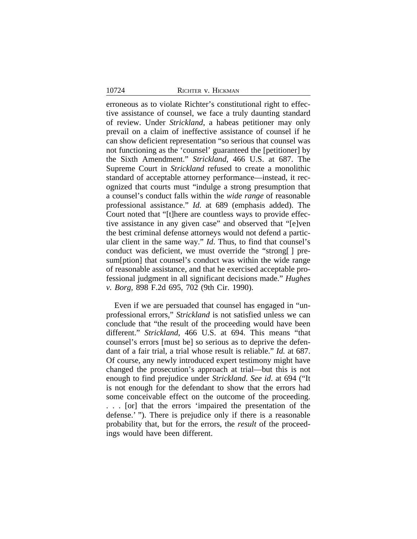erroneous as to violate Richter's constitutional right to effective assistance of counsel, we face a truly daunting standard of review. Under *Strickland*, a habeas petitioner may only prevail on a claim of ineffective assistance of counsel if he can show deficient representation "so serious that counsel was not functioning as the 'counsel' guaranteed the [petitioner] by the Sixth Amendment." *Strickland*, 466 U.S. at 687. The Supreme Court in *Strickland* refused to create a monolithic standard of acceptable attorney performance—instead, it recognized that courts must "indulge a strong presumption that a counsel's conduct falls within the *wide range* of reasonable professional assistance." *Id.* at 689 (emphasis added). The Court noted that "[t]here are countless ways to provide effective assistance in any given case" and observed that "[e]ven the best criminal defense attorneys would not defend a particular client in the same way." *Id*. Thus, to find that counsel's conduct was deficient, we must override the "strong[ ] presum[ption] that counsel's conduct was within the wide range of reasonable assistance, and that he exercised acceptable professional judgment in all significant decisions made." *Hughes v. Borg*, 898 F.2d 695, 702 (9th Cir. 1990).

Even if we are persuaded that counsel has engaged in "unprofessional errors," *Strickland* is not satisfied unless we can conclude that "the result of the proceeding would have been different." *Strickland*, 466 U.S. at 694. This means "that counsel's errors [must be] so serious as to deprive the defendant of a fair trial, a trial whose result is reliable." *Id.* at 687. Of course, any newly introduced expert testimony might have changed the prosecution's approach at trial—but this is not enough to find prejudice under *Strickland*. *See id*. at 694 ("It is not enough for the defendant to show that the errors had some conceivable effect on the outcome of the proceeding. . . . [or] that the errors 'impaired the presentation of the defense.' "). There is prejudice only if there is a reasonable probability that, but for the errors, the *result* of the proceedings would have been different.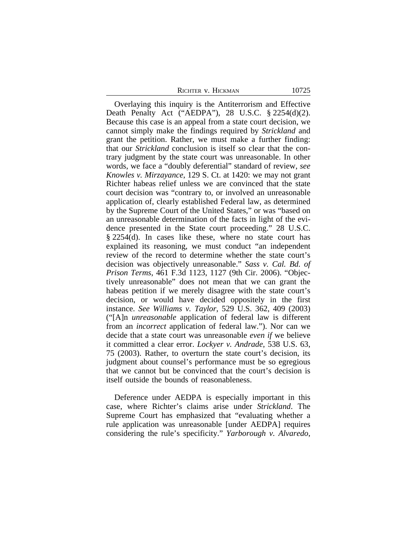Overlaying this inquiry is the Antiterrorism and Effective Death Penalty Act ("AEDPA"), 28 U.S.C. § 2254(d)(2). Because this case is an appeal from a state court decision, we cannot simply make the findings required by *Strickland* and grant the petition. Rather, we must make a further finding: that our *Strickland* conclusion is itself so clear that the contrary judgment by the state court was unreasonable. In other words, we face a "doubly deferential" standard of review, *see Knowles v. Mirzayance*, 129 S. Ct. at 1420: we may not grant Richter habeas relief unless we are convinced that the state court decision was "contrary to, or involved an unreasonable application of, clearly established Federal law, as determined by the Supreme Court of the United States," or was "based on an unreasonable determination of the facts in light of the evidence presented in the State court proceeding." 28 U.S.C. § 2254(d). In cases like these, where no state court has explained its reasoning, we must conduct "an independent review of the record to determine whether the state court's decision was objectively unreasonable." *Sass v. Cal. Bd. of Prison Terms*, 461 F.3d 1123, 1127 (9th Cir. 2006). "Objectively unreasonable" does not mean that we can grant the habeas petition if we merely disagree with the state court's decision, or would have decided oppositely in the first instance. *See Williams v. Taylor*, 529 U.S. 362, 409 (2003) ("[A]n *unreasonable* application of federal law is different from an *incorrect* application of federal law."). Nor can we decide that a state court was unreasonable *even if* we believe it committed a clear error. *Lockyer v. Andrade*, 538 U.S. 63, 75 (2003). Rather, to overturn the state court's decision, its judgment about counsel's performance must be so egregious that we cannot but be convinced that the court's decision is itself outside the bounds of reasonableness.

Deference under AEDPA is especially important in this case, where Richter's claims arise under *Strickland*. The Supreme Court has emphasized that "evaluating whether a rule application was unreasonable [under AEDPA] requires considering the rule's specificity." *Yarborough v. Alvaredo*,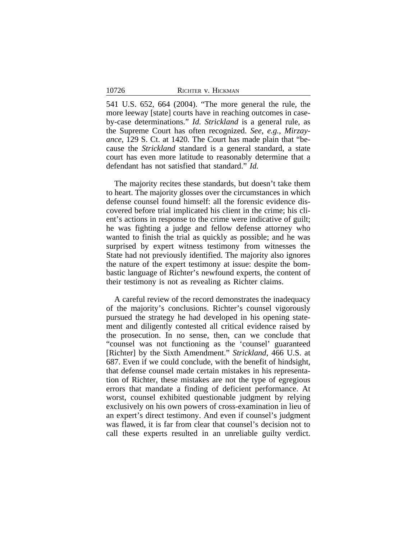541 U.S. 652, 664 (2004). "The more general the rule, the more leeway [state] courts have in reaching outcomes in caseby-case determinations." *Id. Strickland* is a general rule, as the Supreme Court has often recognized. *See*, *e.g.*, *Mirzayance*, 129 S. Ct. at 1420. The Court has made plain that "because the *Strickland* standard is a general standard, a state court has even more latitude to reasonably determine that a defendant has not satisfied that standard." *Id.*

The majority recites these standards, but doesn't take them to heart. The majority glosses over the circumstances in which defense counsel found himself: all the forensic evidence discovered before trial implicated his client in the crime; his client's actions in response to the crime were indicative of guilt; he was fighting a judge and fellow defense attorney who wanted to finish the trial as quickly as possible; and he was surprised by expert witness testimony from witnesses the State had not previously identified. The majority also ignores the nature of the expert testimony at issue: despite the bombastic language of Richter's newfound experts, the content of their testimony is not as revealing as Richter claims.

A careful review of the record demonstrates the inadequacy of the majority's conclusions. Richter's counsel vigorously pursued the strategy he had developed in his opening statement and diligently contested all critical evidence raised by the prosecution. In no sense, then, can we conclude that "counsel was not functioning as the 'counsel' guaranteed [Richter] by the Sixth Amendment." *Strickland*, 466 U.S. at 687. Even if we could conclude, with the benefit of hindsight, that defense counsel made certain mistakes in his representation of Richter, these mistakes are not the type of egregious errors that mandate a finding of deficient performance. At worst, counsel exhibited questionable judgment by relying exclusively on his own powers of cross-examination in lieu of an expert's direct testimony. And even if counsel's judgment was flawed, it is far from clear that counsel's decision not to call these experts resulted in an unreliable guilty verdict.

10726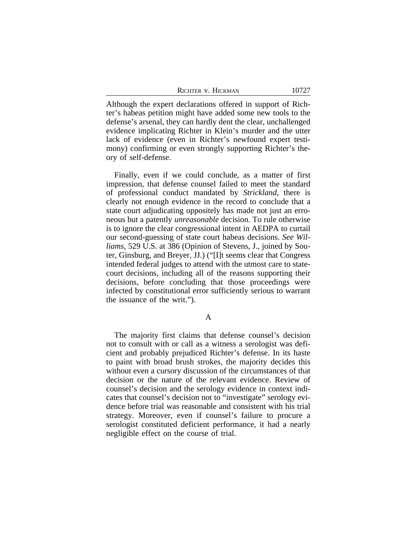| Richter v. Hickman |  |
|--------------------|--|
|--------------------|--|

Although the expert declarations offered in support of Richter's habeas petition might have added some new tools to the defense's arsenal, they can hardly dent the clear, unchallenged evidence implicating Richter in Klein's murder and the utter lack of evidence (even in Richter's newfound expert testimony) confirming or even strongly supporting Richter's theory of self-defense.

Finally, even if we could conclude, as a matter of first impression, that defense counsel failed to meet the standard of professional conduct mandated by *Strickland*, there is clearly not enough evidence in the record to conclude that a state court adjudicating oppositely has made not just an erroneous but a patently *unreasonable* decision. To rule otherwise is to ignore the clear congressional intent in AEDPA to curtail our second-guessing of state court habeas decisions. *See Williams*, 529 U.S. at 386 (Opinion of Stevens, J., joined by Souter, Ginsburg, and Breyer, JJ.) ("[I]t seems clear that Congress intended federal judges to attend with the utmost care to statecourt decisions, including all of the reasons supporting their decisions, before concluding that those proceedings were infected by constitutional error sufficiently serious to warrant the issuance of the writ.").

A

The majority first claims that defense counsel's decision not to consult with or call as a witness a serologist was deficient and probably prejudiced Richter's defense. In its haste to paint with broad brush strokes, the majority decides this without even a cursory discussion of the circumstances of that decision or the nature of the relevant evidence. Review of counsel's decision and the serology evidence in context indicates that counsel's decision not to "investigate" serology evidence before trial was reasonable and consistent with his trial strategy. Moreover, even if counsel's failure to procure a serologist constituted deficient performance, it had a nearly negligible effect on the course of trial.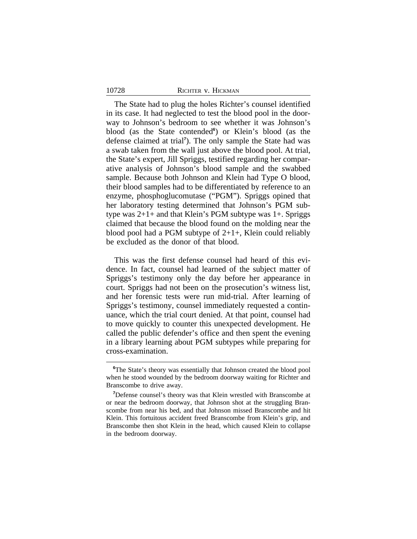The State had to plug the holes Richter's counsel identified in its case. It had neglected to test the blood pool in the doorway to Johnson's bedroom to see whether it was Johnson's blood (as the State contended<sup>6</sup>) or Klein's blood (as the defense claimed at trial**<sup>7</sup>** ). The only sample the State had was a swab taken from the wall just above the blood pool. At trial, the State's expert, Jill Spriggs, testified regarding her comparative analysis of Johnson's blood sample and the swabbed sample. Because both Johnson and Klein had Type O blood, their blood samples had to be differentiated by reference to an enzyme, phosphoglucomutase ("PGM"). Spriggs opined that her laboratory testing determined that Johnson's PGM subtype was  $2+1+$  and that Klein's PGM subtype was  $1+$ . Spriggs claimed that because the blood found on the molding near the blood pool had a PGM subtype of  $2+1+$ , Klein could reliably be excluded as the donor of that blood.

This was the first defense counsel had heard of this evidence. In fact, counsel had learned of the subject matter of Spriggs's testimony only the day before her appearance in court. Spriggs had not been on the prosecution's witness list, and her forensic tests were run mid-trial. After learning of Spriggs's testimony, counsel immediately requested a continuance, which the trial court denied. At that point, counsel had to move quickly to counter this unexpected development. He called the public defender's office and then spent the evening in a library learning about PGM subtypes while preparing for cross-examination.

<sup>&</sup>lt;sup>6</sup>The State's theory was essentially that Johnson created the blood pool when he stood wounded by the bedroom doorway waiting for Richter and Branscombe to drive away.

**<sup>7</sup>**Defense counsel's theory was that Klein wrestled with Branscombe at or near the bedroom doorway, that Johnson shot at the struggling Branscombe from near his bed, and that Johnson missed Branscombe and hit Klein. This fortuitous accident freed Branscombe from Klein's grip, and Branscombe then shot Klein in the head, which caused Klein to collapse in the bedroom doorway.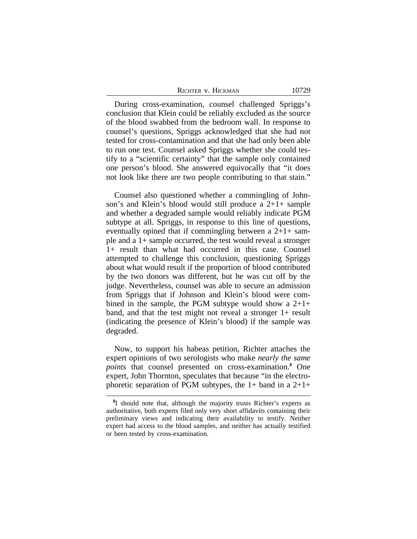| RICHTER V. HICKMAN | 10729 |
|--------------------|-------|
|--------------------|-------|

During cross-examination, counsel challenged Spriggs's conclusion that Klein could be reliably excluded as the source of the blood swabbed from the bedroom wall. In response to counsel's questions, Spriggs acknowledged that she had not tested for cross-contamination and that she had only been able to run one test. Counsel asked Spriggs whether she could testify to a "scientific certainty" that the sample only contained one person's blood. She answered equivocally that "it does not look like there are two people contributing to that stain."

Counsel also questioned whether a commingling of Johnson's and Klein's blood would still produce a  $2+1+$  sample and whether a degraded sample would reliably indicate PGM subtype at all. Spriggs, in response to this line of questions, eventually opined that if commingling between a  $2+1+$  sample and a 1+ sample occurred, the test would reveal a stronger 1+ result than what had occurred in this case. Counsel attempted to challenge this conclusion, questioning Spriggs about what would result if the proportion of blood contributed by the two donors was different, but he was cut off by the judge. Nevertheless, counsel was able to secure an admission from Spriggs that if Johnson and Klein's blood were combined in the sample, the PGM subtype would show a  $2+1+$ band, and that the test might not reveal a stronger 1+ result (indicating the presence of Klein's blood) if the sample was degraded.

Now, to support his habeas petition, Richter attaches the expert opinions of two serologists who make *nearly the same* points that counsel presented on cross-examination.<sup>8</sup> One expert, John Thornton, speculates that because "in the electrophoretic separation of PGM subtypes, the  $1+$  band in a  $2+1+$ 

<sup>&</sup>lt;sup>8</sup>I should note that, although the majority trusts Richter's experts as authoritative, both experts filed only very short affidavits containing their preliminary views and indicating their availability to testify. Neither expert had access to the blood samples, and neither has actually testified or been tested by cross-examination.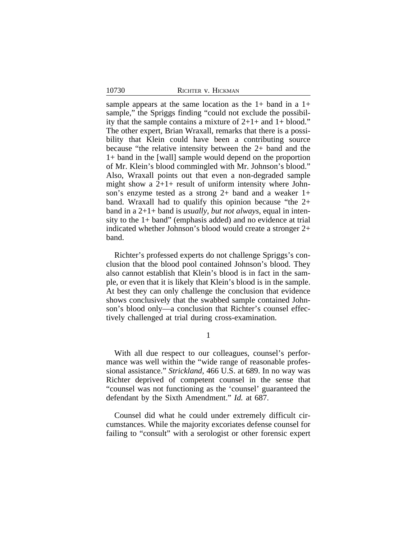sample appears at the same location as the  $1+$  band in a  $1+$ sample," the Spriggs finding "could not exclude the possibility that the sample contains a mixture of  $2+1+$  and  $1+$  blood." The other expert, Brian Wraxall, remarks that there is a possibility that Klein could have been a contributing source because "the relative intensity between the 2+ band and the 1+ band in the [wall] sample would depend on the proportion of Mr. Klein's blood commingled with Mr. Johnson's blood." Also, Wraxall points out that even a non-degraded sample might show a  $2+1+$  result of uniform intensity where Johnson's enzyme tested as a strong 2+ band and a weaker 1+ band. Wraxall had to qualify this opinion because "the 2+ band in a 2+1+ band is *usually, but not always*, equal in intensity to the 1+ band" (emphasis added) and no evidence at trial indicated whether Johnson's blood would create a stronger 2+ band.

Richter's professed experts do not challenge Spriggs's conclusion that the blood pool contained Johnson's blood. They also cannot establish that Klein's blood is in fact in the sample, or even that it is likely that Klein's blood is in the sample. At best they can only challenge the conclusion that evidence shows conclusively that the swabbed sample contained Johnson's blood only—a conclusion that Richter's counsel effectively challenged at trial during cross-examination.

1

With all due respect to our colleagues, counsel's performance was well within the "wide range of reasonable professional assistance." *Strickland*, 466 U.S. at 689. In no way was Richter deprived of competent counsel in the sense that "counsel was not functioning as the 'counsel' guaranteed the defendant by the Sixth Amendment." *Id.* at 687.

Counsel did what he could under extremely difficult circumstances. While the majority excoriates defense counsel for failing to "consult" with a serologist or other forensic expert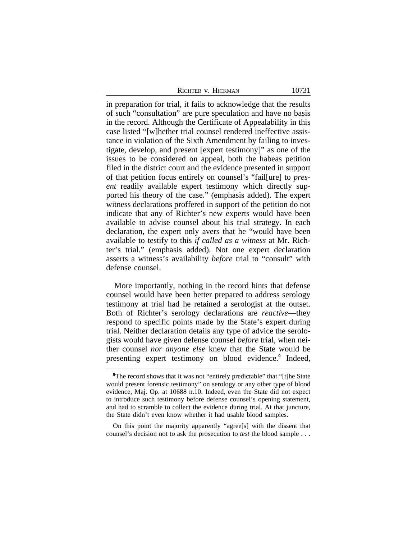| RICHTER V. HICKMAN | 10731 |
|--------------------|-------|
|--------------------|-------|

in preparation for trial, it fails to acknowledge that the results of such "consultation" are pure speculation and have no basis in the record. Although the Certificate of Appealability in this case listed "[w]hether trial counsel rendered ineffective assistance in violation of the Sixth Amendment by failing to investigate, develop, and present [expert testimony]" as one of the issues to be considered on appeal, both the habeas petition filed in the district court and the evidence presented in support of that petition focus entirely on counsel's "fail[ure] to *present* readily available expert testimony which directly supported his theory of the case." (emphasis added). The expert witness declarations proffered in support of the petition do not indicate that any of Richter's new experts would have been available to advise counsel about his trial strategy. In each declaration, the expert only avers that he "would have been available to testify to this *if called as a witness* at Mr. Richter's trial." (emphasis added). Not one expert declaration asserts a witness's availability *before* trial to "consult" with defense counsel.

More importantly, nothing in the record hints that defense counsel would have been better prepared to address serology testimony at trial had he retained a serologist at the outset. Both of Richter's serology declarations are *reactive*—they respond to specific points made by the State's expert during trial. Neither declaration details any type of advice the serologists would have given defense counsel *before* trial, when neither counsel *nor anyone else* knew that the State would be presenting expert testimony on blood evidence.**<sup>9</sup>** Indeed,

<sup>&</sup>lt;sup>9</sup>The record shows that it was not "entirely predictable" that "[t]he State would present forensic testimony" on serology or any other type of blood evidence, Maj. Op. at 10688 n.10. Indeed, even the State did not expect to introduce such testimony before defense counsel's opening statement, and had to scramble to collect the evidence during trial. At that juncture, the State didn't even know whether it had usable blood samples.

On this point the majority apparently "agree[s] with the dissent that counsel's decision not to ask the prosecution to *test* the blood sample . . .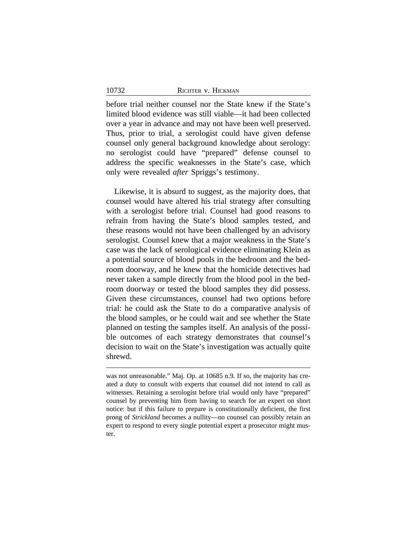before trial neither counsel nor the State knew if the State's limited blood evidence was still viable—it had been collected over a year in advance and may not have been well preserved. Thus, prior to trial, a serologist could have given defense counsel only general background knowledge about serology: no serologist could have "prepared" defense counsel to address the specific weaknesses in the State's case, which only were revealed *after* Spriggs's testimony.

Likewise, it is absurd to suggest, as the majority does, that counsel would have altered his trial strategy after consulting with a serologist before trial. Counsel had good reasons to refrain from having the State's blood samples tested, and these reasons would not have been challenged by an advisory serologist. Counsel knew that a major weakness in the State's case was the lack of serological evidence eliminating Klein as a potential source of blood pools in the bedroom and the bedroom doorway, and he knew that the homicide detectives had never taken a sample directly from the blood pool in the bedroom doorway or tested the blood samples they did possess. Given these circumstances, counsel had two options before trial: he could ask the State to do a comparative analysis of the blood samples, or he could wait and see whether the State planned on testing the samples itself. An analysis of the possible outcomes of each strategy demonstrates that counsel's decision to wait on the State's investigation was actually quite shrewd.

was not unreasonable." Maj. Op. at 10685 n.9. If so, the majority has created a duty to consult with experts that counsel did not intend to call as witnesses. Retaining a serologist before trial would only have "prepared" counsel by preventing him from having to search for an expert on short notice: but if this failure to prepare is constitutionally deficient, the first prong of *Strickland* becomes a nullity—no counsel can possibly retain an expert to respond to every single potential expert a prosecutor might muster.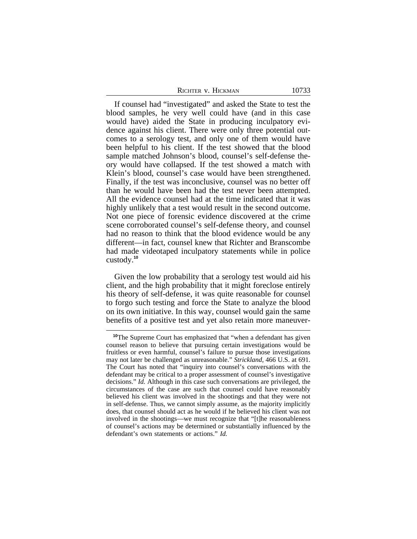If counsel had "investigated" and asked the State to test the blood samples, he very well could have (and in this case would have) aided the State in producing inculpatory evidence against his client. There were only three potential outcomes to a serology test, and only one of them would have been helpful to his client. If the test showed that the blood sample matched Johnson's blood, counsel's self-defense theory would have collapsed. If the test showed a match with Klein's blood, counsel's case would have been strengthened. Finally, if the test was inconclusive, counsel was no better off than he would have been had the test never been attempted. All the evidence counsel had at the time indicated that it was highly unlikely that a test would result in the second outcome. Not one piece of forensic evidence discovered at the crime scene corroborated counsel's self-defense theory, and counsel had no reason to think that the blood evidence would be any different—in fact, counsel knew that Richter and Branscombe had made videotaped inculpatory statements while in police custody.**<sup>10</sup>**

Given the low probability that a serology test would aid his client, and the high probability that it might foreclose entirely his theory of self-defense, it was quite reasonable for counsel to forgo such testing and force the State to analyze the blood on its own initiative. In this way, counsel would gain the same benefits of a positive test and yet also retain more maneuver-

**<sup>10</sup>**The Supreme Court has emphasized that "when a defendant has given counsel reason to believe that pursuing certain investigations would be fruitless or even harmful, counsel's failure to pursue those investigations may not later be challenged as unreasonable." *Strickland*, 466 U.S. at 691. The Court has noted that "inquiry into counsel's conversations with the defendant may be critical to a proper assessment of counsel's investigative decisions." *Id.* Although in this case such conversations are privileged, the circumstances of the case are such that counsel could have reasonably believed his client was involved in the shootings and that they were not in self-defense. Thus, we cannot simply assume, as the majority implicitly does, that counsel should act as he would if he believed his client was not involved in the shootings—we must recognize that "[t]he reasonableness of counsel's actions may be determined or substantially influenced by the defendant's own statements or actions." *Id.*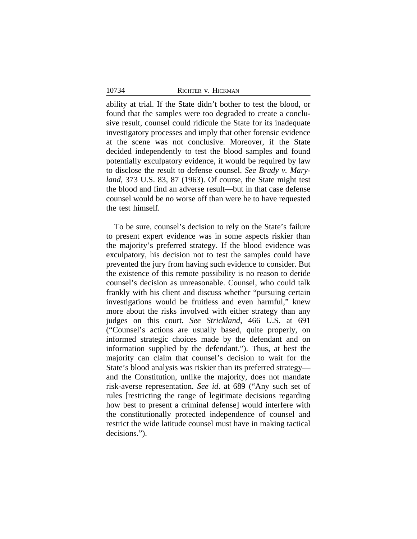ability at trial. If the State didn't bother to test the blood, or found that the samples were too degraded to create a conclusive result, counsel could ridicule the State for its inadequate investigatory processes and imply that other forensic evidence at the scene was not conclusive. Moreover, if the State decided independently to test the blood samples and found potentially exculpatory evidence, it would be required by law to disclose the result to defense counsel. *See Brady v. Maryland*, 373 U.S. 83, 87 (1963). Of course, the State might test the blood and find an adverse result—but in that case defense counsel would be no worse off than were he to have requested the test himself.

To be sure, counsel's decision to rely on the State's failure to present expert evidence was in some aspects riskier than the majority's preferred strategy. If the blood evidence was exculpatory, his decision not to test the samples could have prevented the jury from having such evidence to consider. But the existence of this remote possibility is no reason to deride counsel's decision as unreasonable. Counsel, who could talk frankly with his client and discuss whether "pursuing certain investigations would be fruitless and even harmful," knew more about the risks involved with either strategy than any judges on this court. *See Strickland*, 466 U.S. at 691 ("Counsel's actions are usually based, quite properly, on informed strategic choices made by the defendant and on information supplied by the defendant."). Thus, at best the majority can claim that counsel's decision to wait for the State's blood analysis was riskier than its preferred strategy and the Constitution, unlike the majority, does not mandate risk-averse representation. *See id*. at 689 ("Any such set of rules [restricting the range of legitimate decisions regarding how best to present a criminal defense] would interfere with the constitutionally protected independence of counsel and restrict the wide latitude counsel must have in making tactical decisions.").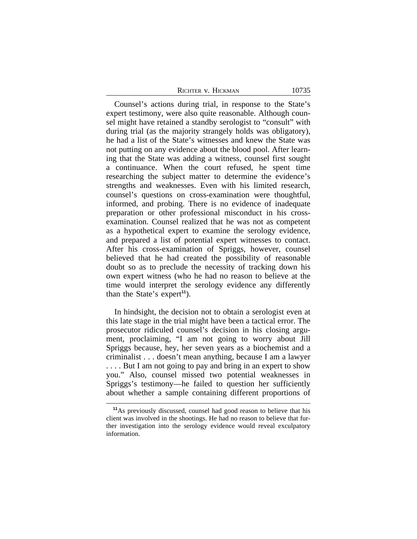|  | RICHTER V. HICKMAN |  |
|--|--------------------|--|
|--|--------------------|--|

Counsel's actions during trial, in response to the State's expert testimony, were also quite reasonable. Although counsel might have retained a standby serologist to "consult" with during trial (as the majority strangely holds was obligatory), he had a list of the State's witnesses and knew the State was not putting on any evidence about the blood pool. After learning that the State was adding a witness, counsel first sought a continuance. When the court refused, he spent time researching the subject matter to determine the evidence's strengths and weaknesses. Even with his limited research, counsel's questions on cross-examination were thoughtful, informed, and probing. There is no evidence of inadequate preparation or other professional misconduct in his crossexamination. Counsel realized that he was not as competent as a hypothetical expert to examine the serology evidence, and prepared a list of potential expert witnesses to contact. After his cross-examination of Spriggs, however, counsel believed that he had created the possibility of reasonable doubt so as to preclude the necessity of tracking down his own expert witness (who he had no reason to believe at the time would interpret the serology evidence any differently than the State's expert**<sup>11</sup>**).

In hindsight, the decision not to obtain a serologist even at this late stage in the trial might have been a tactical error. The prosecutor ridiculed counsel's decision in his closing argument, proclaiming, "I am not going to worry about Jill Spriggs because, hey, her seven years as a biochemist and a criminalist . . . doesn't mean anything, because I am a lawyer .... But I am not going to pay and bring in an expert to show you." Also, counsel missed two potential weaknesses in Spriggs's testimony—he failed to question her sufficiently about whether a sample containing different proportions of

**<sup>11</sup>**As previously discussed, counsel had good reason to believe that his client was involved in the shootings. He had no reason to believe that further investigation into the serology evidence would reveal exculpatory information.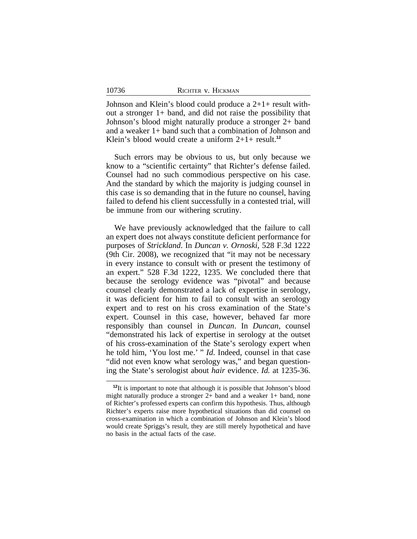| 10736 | RICHTER V. HICKMAN |  |
|-------|--------------------|--|
|       |                    |  |

Johnson and Klein's blood could produce a 2+1+ result without a stronger 1+ band, and did not raise the possibility that Johnson's blood might naturally produce a stronger 2+ band and a weaker 1+ band such that a combination of Johnson and Klein's blood would create a uniform 2+1+ result.**<sup>12</sup>**

Such errors may be obvious to us, but only because we know to a "scientific certainty" that Richter's defense failed. Counsel had no such commodious perspective on his case. And the standard by which the majority is judging counsel in this case is so demanding that in the future no counsel, having failed to defend his client successfully in a contested trial, will be immune from our withering scrutiny.

We have previously acknowledged that the failure to call an expert does not always constitute deficient performance for purposes of *Strickland*. In *Duncan v. Ornoski*, 528 F.3d 1222 (9th Cir. 2008), we recognized that "it may not be necessary in every instance to consult with or present the testimony of an expert." 528 F.3d 1222, 1235. We concluded there that because the serology evidence was "pivotal" and because counsel clearly demonstrated a lack of expertise in serology, it was deficient for him to fail to consult with an serology expert and to rest on his cross examination of the State's expert. Counsel in this case, however, behaved far more responsibly than counsel in *Duncan*. In *Duncan*, counsel "demonstrated his lack of expertise in serology at the outset of his cross-examination of the State's serology expert when he told him, 'You lost me.' " *Id*. Indeed, counsel in that case "did not even know what serology was," and began questioning the State's serologist about *hair* evidence. *Id.* at 1235-36.

<sup>&</sup>lt;sup>12</sup>It is important to note that although it is possible that Johnson's blood might naturally produce a stronger 2+ band and a weaker 1+ band, none of Richter's professed experts can confirm this hypothesis. Thus, although Richter's experts raise more hypothetical situations than did counsel on cross-examination in which a combination of Johnson and Klein's blood would create Spriggs's result, they are still merely hypothetical and have no basis in the actual facts of the case.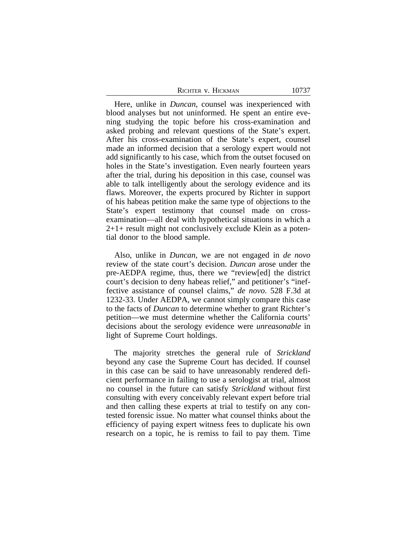| RICHTER V. HICKMAN | 10737 |
|--------------------|-------|
|                    |       |

Here, unlike in *Duncan*, counsel was inexperienced with blood analyses but not uninformed. He spent an entire evening studying the topic before his cross-examination and asked probing and relevant questions of the State's expert. After his cross-examination of the State's expert, counsel made an informed decision that a serology expert would not add significantly to his case, which from the outset focused on holes in the State's investigation. Even nearly fourteen years after the trial, during his deposition in this case, counsel was able to talk intelligently about the serology evidence and its flaws. Moreover, the experts procured by Richter in support of his habeas petition make the same type of objections to the State's expert testimony that counsel made on crossexamination—all deal with hypothetical situations in which a 2+1+ result might not conclusively exclude Klein as a potential donor to the blood sample.

Also, unlike in *Duncan*, we are not engaged in *de novo* review of the state court's decision. *Duncan* arose under the pre-AEDPA regime, thus, there we "review[ed] the district court's decision to deny habeas relief," and petitioner's "ineffective assistance of counsel claims," *de novo*. 528 F.3d at 1232-33. Under AEDPA, we cannot simply compare this case to the facts of *Duncan* to determine whether to grant Richter's petition—we must determine whether the California courts' decisions about the serology evidence were *unreasonable* in light of Supreme Court holdings.

The majority stretches the general rule of *Strickland* beyond any case the Supreme Court has decided. If counsel in this case can be said to have unreasonably rendered deficient performance in failing to use a serologist at trial, almost no counsel in the future can satisfy *Strickland* without first consulting with every conceivably relevant expert before trial and then calling these experts at trial to testify on any contested forensic issue. No matter what counsel thinks about the efficiency of paying expert witness fees to duplicate his own research on a topic, he is remiss to fail to pay them. Time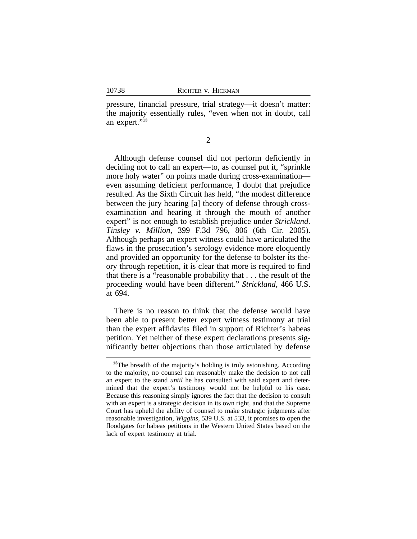pressure, financial pressure, trial strategy—it doesn't matter: the majority essentially rules, "even when not in doubt, call an expert." **13**

2

Although defense counsel did not perform deficiently in deciding not to call an expert—to, as counsel put it, "sprinkle more holy water" on points made during cross-examination even assuming deficient performance, I doubt that prejudice resulted. As the Sixth Circuit has held, "the modest difference between the jury hearing [a] theory of defense through crossexamination and hearing it through the mouth of another expert" is not enough to establish prejudice under *Strickland*. *Tinsley v. Million*, 399 F.3d 796, 806 (6th Cir. 2005). Although perhaps an expert witness could have articulated the flaws in the prosecution's serology evidence more eloquently and provided an opportunity for the defense to bolster its theory through repetition, it is clear that more is required to find that there is a "reasonable probability that . . . the result of the proceeding would have been different." *Strickland*, 466 U.S. at 694.

There is no reason to think that the defense would have been able to present better expert witness testimony at trial than the expert affidavits filed in support of Richter's habeas petition. Yet neither of these expert declarations presents significantly better objections than those articulated by defense

<sup>&</sup>lt;sup>13</sup>The breadth of the majority's holding is truly astonishing. According to the majority, no counsel can reasonably make the decision to not call an expert to the stand *until* he has consulted with said expert and determined that the expert's testimony would not be helpful to his case. Because this reasoning simply ignores the fact that the decision to consult with an expert is a strategic decision in its own right, and that the Supreme Court has upheld the ability of counsel to make strategic judgments after reasonable investigation, *Wiggins*, 539 U.S. at 533, it promises to open the floodgates for habeas petitions in the Western United States based on the lack of expert testimony at trial.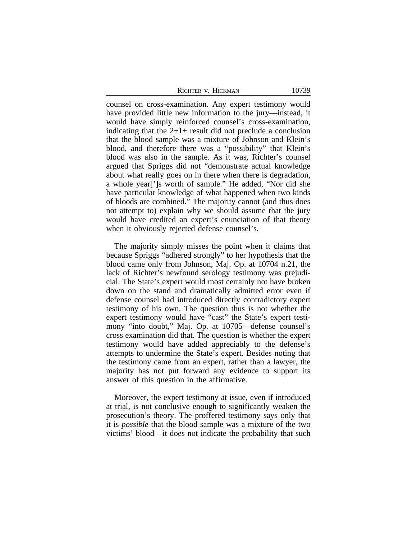counsel on cross-examination. Any expert testimony would have provided little new information to the jury—instead, it would have simply reinforced counsel's cross-examination, indicating that the  $2+1+$  result did not preclude a conclusion that the blood sample was a mixture of Johnson and Klein's blood, and therefore there was a "possibility" that Klein's blood was also in the sample. As it was, Richter's counsel argued that Spriggs did not "demonstrate actual knowledge about what really goes on in there when there is degradation, a whole year[']s worth of sample." He added, "Nor did she have particular knowledge of what happened when two kinds of bloods are combined." The majority cannot (and thus does not attempt to) explain why we should assume that the jury would have credited an expert's enunciation of that theory when it obviously rejected defense counsel's.

The majority simply misses the point when it claims that because Spriggs "adhered strongly" to her hypothesis that the blood came only from Johnson, Maj. Op. at 10704 n.21, the lack of Richter's newfound serology testimony was prejudicial. The State's expert would most certainly not have broken down on the stand and dramatically admitted error even if defense counsel had introduced directly contradictory expert testimony of his own. The question thus is not whether the expert testimony would have "cast" the State's expert testimony "into doubt," Maj. Op. at 10705—defense counsel's cross examination did that. The question is whether the expert testimony would have added appreciably to the defense's attempts to undermine the State's expert. Besides noting that the testimony came from an expert, rather than a lawyer, the majority has not put forward any evidence to support its answer of this question in the affirmative.

Moreover, the expert testimony at issue, even if introduced at trial, is not conclusive enough to significantly weaken the prosecution's theory. The proffered testimony says only that it is *possible* that the blood sample was a mixture of the two victims' blood—it does not indicate the probability that such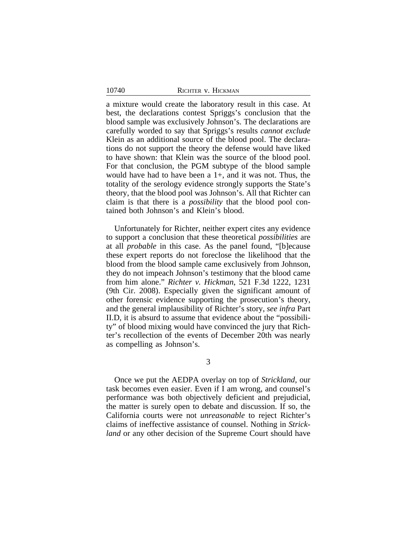a mixture would create the laboratory result in this case. At best, the declarations contest Spriggs's conclusion that the blood sample was exclusively Johnson's. The declarations are carefully worded to say that Spriggs's results *cannot exclude* Klein as an additional source of the blood pool. The declarations do not support the theory the defense would have liked to have shown: that Klein was the source of the blood pool. For that conclusion, the PGM subtype of the blood sample would have had to have been a  $1+$ , and it was not. Thus, the totality of the serology evidence strongly supports the State's theory, that the blood pool was Johnson's. All that Richter can claim is that there is a *possibility* that the blood pool contained both Johnson's and Klein's blood.

Unfortunately for Richter, neither expert cites any evidence to support a conclusion that these theoretical *possibilities* are at all *probable* in this case. As the panel found, "[b]ecause these expert reports do not foreclose the likelihood that the blood from the blood sample came exclusively from Johnson, they do not impeach Johnson's testimony that the blood came from him alone." *Richter v. Hickman*, 521 F.3d 1222, 1231 (9th Cir. 2008). Especially given the significant amount of other forensic evidence supporting the prosecution's theory, and the general implausibility of Richter's story, *see infra* Part II.D, it is absurd to assume that evidence about the "possibility" of blood mixing would have convinced the jury that Richter's recollection of the events of December 20th was nearly as compelling as Johnson's.

3

Once we put the AEDPA overlay on top of *Strickland*, our task becomes even easier. Even if I am wrong, and counsel's performance was both objectively deficient and prejudicial, the matter is surely open to debate and discussion. If so, the California courts were not *unreasonable* to reject Richter's claims of ineffective assistance of counsel. Nothing in *Strickland* or any other decision of the Supreme Court should have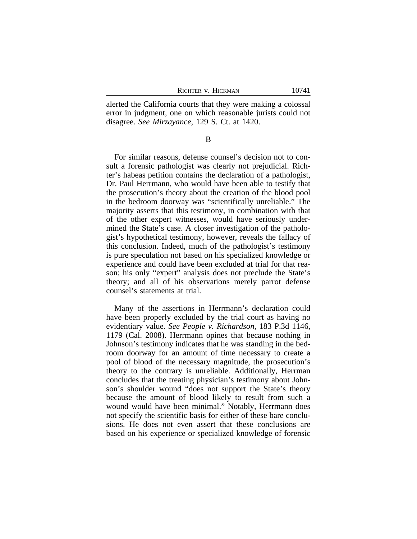alerted the California courts that they were making a colossal error in judgment, one on which reasonable jurists could not disagree. *See Mirzayance*, 129 S. Ct. at 1420.

B

For similar reasons, defense counsel's decision not to consult a forensic pathologist was clearly not prejudicial. Richter's habeas petition contains the declaration of a pathologist, Dr. Paul Herrmann, who would have been able to testify that the prosecution's theory about the creation of the blood pool in the bedroom doorway was "scientifically unreliable." The majority asserts that this testimony, in combination with that of the other expert witnesses, would have seriously undermined the State's case. A closer investigation of the pathologist's hypothetical testimony, however, reveals the fallacy of this conclusion. Indeed, much of the pathologist's testimony is pure speculation not based on his specialized knowledge or experience and could have been excluded at trial for that reason; his only "expert" analysis does not preclude the State's theory; and all of his observations merely parrot defense counsel's statements at trial.

Many of the assertions in Herrmann's declaration could have been properly excluded by the trial court as having no evidentiary value. *See People v. Richardson*, 183 P.3d 1146, 1179 (Cal. 2008). Herrmann opines that because nothing in Johnson's testimony indicates that he was standing in the bedroom doorway for an amount of time necessary to create a pool of blood of the necessary magnitude, the prosecution's theory to the contrary is unreliable. Additionally, Herrman concludes that the treating physician's testimony about Johnson's shoulder wound "does not support the State's theory because the amount of blood likely to result from such a wound would have been minimal." Notably, Herrmann does not specify the scientific basis for either of these bare conclusions. He does not even assert that these conclusions are based on his experience or specialized knowledge of forensic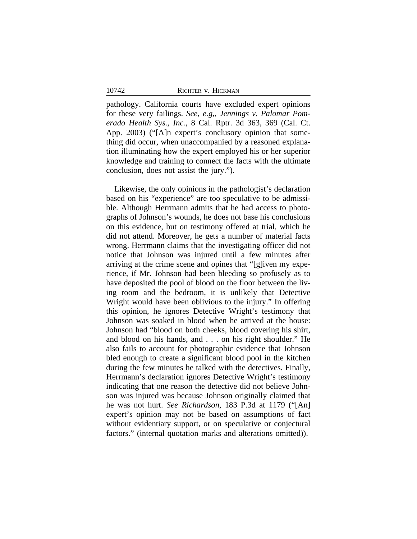pathology. California courts have excluded expert opinions for these very failings. *See*, *e.g,*, *Jennings v. Palomar Pomerado Health Sys., Inc.*, 8 Cal. Rptr. 3d 363, 369 (Cal. Ct. App. 2003) ("[A]n expert's conclusory opinion that something did occur, when unaccompanied by a reasoned explanation illuminating how the expert employed his or her superior knowledge and training to connect the facts with the ultimate conclusion, does not assist the jury.").

Likewise, the only opinions in the pathologist's declaration based on his "experience" are too speculative to be admissible. Although Herrmann admits that he had access to photographs of Johnson's wounds, he does not base his conclusions on this evidence, but on testimony offered at trial, which he did not attend. Moreover, he gets a number of material facts wrong. Herrmann claims that the investigating officer did not notice that Johnson was injured until a few minutes after arriving at the crime scene and opines that "[g]iven my experience, if Mr. Johnson had been bleeding so profusely as to have deposited the pool of blood on the floor between the living room and the bedroom, it is unlikely that Detective Wright would have been oblivious to the injury." In offering this opinion, he ignores Detective Wright's testimony that Johnson was soaked in blood when he arrived at the house: Johnson had "blood on both cheeks, blood covering his shirt, and blood on his hands, and . . . on his right shoulder." He also fails to account for photographic evidence that Johnson bled enough to create a significant blood pool in the kitchen during the few minutes he talked with the detectives. Finally, Herrmann's declaration ignores Detective Wright's testimony indicating that one reason the detective did not believe Johnson was injured was because Johnson originally claimed that he was not hurt. *See Richardson*, 183 P.3d at 1179 ("[An] expert's opinion may not be based on assumptions of fact without evidentiary support, or on speculative or conjectural factors." (internal quotation marks and alterations omitted)).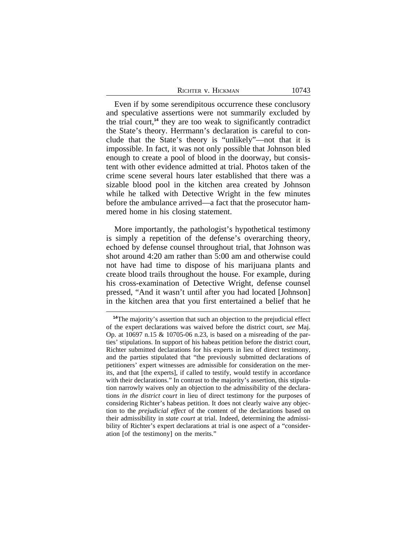| RICHTER V. HICKMAN | 10743 |
|--------------------|-------|
|--------------------|-------|

Even if by some serendipitous occurrence these conclusory and speculative assertions were not summarily excluded by the trial court,**<sup>14</sup>** they are too weak to significantly contradict the State's theory. Herrmann's declaration is careful to conclude that the State's theory is "unlikely"—not that it is impossible. In fact, it was not only possible that Johnson bled enough to create a pool of blood in the doorway, but consistent with other evidence admitted at trial. Photos taken of the crime scene several hours later established that there was a sizable blood pool in the kitchen area created by Johnson while he talked with Detective Wright in the few minutes before the ambulance arrived—a fact that the prosecutor hammered home in his closing statement.

More importantly, the pathologist's hypothetical testimony is simply a repetition of the defense's overarching theory, echoed by defense counsel throughout trial, that Johnson was shot around 4:20 am rather than 5:00 am and otherwise could not have had time to dispose of his marijuana plants and create blood trails throughout the house. For example, during his cross-examination of Detective Wright, defense counsel pressed, "And it wasn't until after you had located [Johnson] in the kitchen area that you first entertained a belief that he

**<sup>14</sup>**The majority's assertion that such an objection to the prejudicial effect of the expert declarations was waived before the district court, *see* Maj. Op. at 10697 n.15 & 10705-06 n.23, is based on a misreading of the parties' stipulations. In support of his habeas petition before the district court, Richter submitted declarations for his experts in lieu of direct testimony, and the parties stipulated that "the previously submitted declarations of petitioners' expert witnesses are admissible for consideration on the merits, and that [the experts], if called to testify, would testify in accordance with their declarations." In contrast to the majority's assertion, this stipulation narrowly waives only an objection to the admissibility of the declarations *in the district court* in lieu of direct testimony for the purposes of considering Richter's habeas petition. It does not clearly waive any objection to the *prejudicial effect* of the content of the declarations based on their admissibility in *state court* at trial. Indeed, determining the admissibility of Richter's expert declarations at trial is one aspect of a "consideration [of the testimony] on the merits."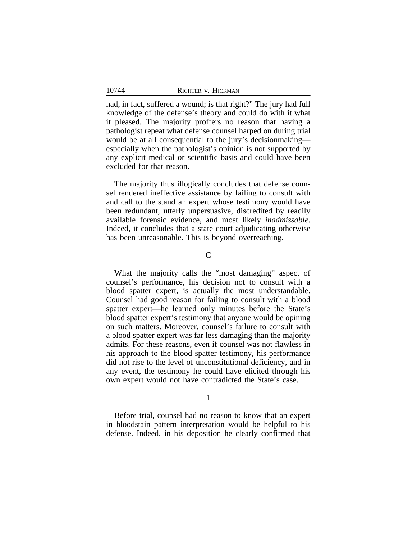had, in fact, suffered a wound; is that right?" The jury had full knowledge of the defense's theory and could do with it what it pleased. The majority proffers no reason that having a pathologist repeat what defense counsel harped on during trial would be at all consequential to the jury's decisionmaking especially when the pathologist's opinion is not supported by any explicit medical or scientific basis and could have been excluded for that reason.

The majority thus illogically concludes that defense counsel rendered ineffective assistance by failing to consult with and call to the stand an expert whose testimony would have been redundant, utterly unpersuasive, discredited by readily available forensic evidence, and most likely *inadmissable*. Indeed, it concludes that a state court adjudicating otherwise has been unreasonable. This is beyond overreaching.

 $\mathsf{C}$ 

What the majority calls the "most damaging" aspect of counsel's performance, his decision not to consult with a blood spatter expert, is actually the most understandable. Counsel had good reason for failing to consult with a blood spatter expert—he learned only minutes before the State's blood spatter expert's testimony that anyone would be opining on such matters. Moreover, counsel's failure to consult with a blood spatter expert was far less damaging than the majority admits. For these reasons, even if counsel was not flawless in his approach to the blood spatter testimony, his performance did not rise to the level of unconstitutional deficiency, and in any event, the testimony he could have elicited through his own expert would not have contradicted the State's case.

1

Before trial, counsel had no reason to know that an expert in bloodstain pattern interpretation would be helpful to his defense. Indeed, in his deposition he clearly confirmed that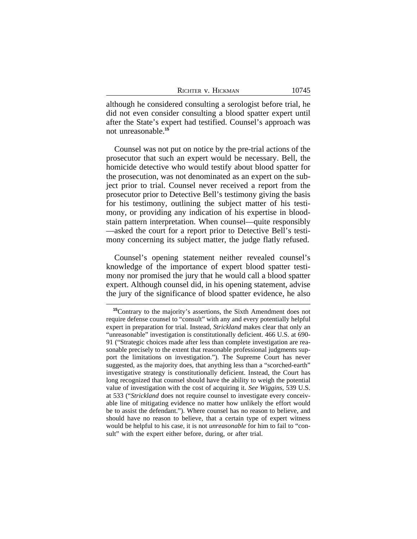| RICHTER V. HICKMAN | 10745 |
|--------------------|-------|
|--------------------|-------|

although he considered consulting a serologist before trial, he did not even consider consulting a blood spatter expert until after the State's expert had testified. Counsel's approach was not unreasonable.**<sup>15</sup>**

Counsel was not put on notice by the pre-trial actions of the prosecutor that such an expert would be necessary. Bell, the homicide detective who would testify about blood spatter for the prosecution, was not denominated as an expert on the subject prior to trial. Counsel never received a report from the prosecutor prior to Detective Bell's testimony giving the basis for his testimony, outlining the subject matter of his testimony, or providing any indication of his expertise in bloodstain pattern interpretation. When counsel—quite responsibly —asked the court for a report prior to Detective Bell's testimony concerning its subject matter, the judge flatly refused.

Counsel's opening statement neither revealed counsel's knowledge of the importance of expert blood spatter testimony nor promised the jury that he would call a blood spatter expert. Although counsel did, in his opening statement, advise the jury of the significance of blood spatter evidence, he also

**<sup>15</sup>**Contrary to the majority's assertions, the Sixth Amendment does not require defense counsel to "consult" with any and every potentially helpful expert in preparation for trial. Instead, *Strickland* makes clear that only an "unreasonable" investigation is constitutionally deficient. 466 U.S. at 690- 91 ("Strategic choices made after less than complete investigation are reasonable precisely to the extent that reasonable professional judgments support the limitations on investigation."). The Supreme Court has never suggested, as the majority does, that anything less than a "scorched-earth" investigative strategy is constitutionally deficient. Instead, the Court has long recognized that counsel should have the ability to weigh the potential value of investigation with the cost of acquiring it. *See Wiggins*, 539 U.S. at 533 ("*Strickland* does not require counsel to investigate every conceivable line of mitigating evidence no matter how unlikely the effort would be to assist the defendant."). Where counsel has no reason to believe, and should have no reason to believe, that a certain type of expert witness would be helpful to his case, it is not *unreasonable* for him to fail to "consult" with the expert either before, during, or after trial.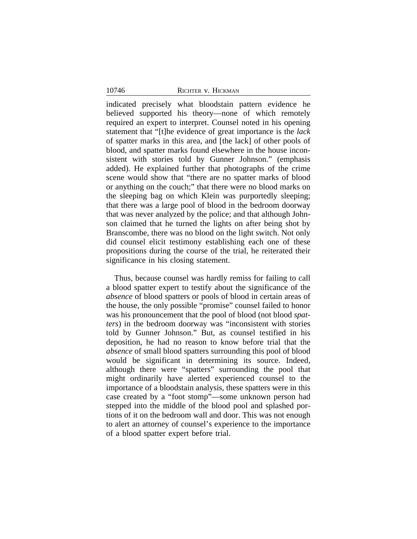indicated precisely what bloodstain pattern evidence he believed supported his theory—none of which remotely required an expert to interpret. Counsel noted in his opening statement that "[t]he evidence of great importance is the *lack* of spatter marks in this area, and [the lack] of other pools of blood, and spatter marks found elsewhere in the house inconsistent with stories told by Gunner Johnson." (emphasis added). He explained further that photographs of the crime scene would show that "there are no spatter marks of blood or anything on the couch;" that there were no blood marks on the sleeping bag on which Klein was purportedly sleeping; that there was a large pool of blood in the bedroom doorway that was never analyzed by the police; and that although Johnson claimed that he turned the lights on after being shot by Branscombe, there was no blood on the light switch. Not only did counsel elicit testimony establishing each one of these propositions during the course of the trial, he reiterated their significance in his closing statement.

Thus, because counsel was hardly remiss for failing to call a blood spatter expert to testify about the significance of the *absence* of blood spatters or pools of blood in certain areas of the house, the only possible "promise" counsel failed to honor was his pronouncement that the pool of blood (not blood *spatters*) in the bedroom doorway was "inconsistent with stories told by Gunner Johnson." But, as counsel testified in his deposition, he had no reason to know before trial that the *absence* of small blood spatters surrounding this pool of blood would be significant in determining its source. Indeed, although there were "spatters" surrounding the pool that might ordinarily have alerted experienced counsel to the importance of a bloodstain analysis, these spatters were in this case created by a "foot stomp"—some unknown person had stepped into the middle of the blood pool and splashed portions of it on the bedroom wall and door. This was not enough to alert an attorney of counsel's experience to the importance of a blood spatter expert before trial.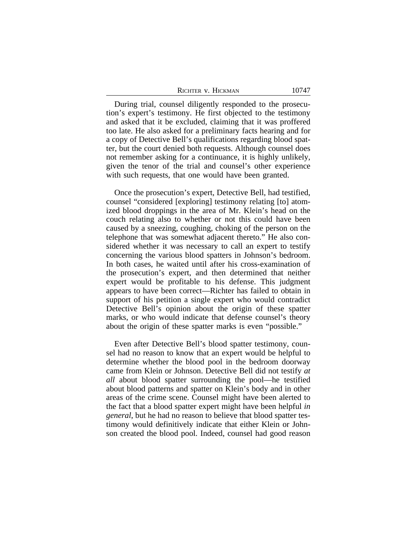| RICHTER V. HICKMAN |  |
|--------------------|--|
|--------------------|--|

During trial, counsel diligently responded to the prosecution's expert's testimony. He first objected to the testimony and asked that it be excluded, claiming that it was proffered too late. He also asked for a preliminary facts hearing and for a copy of Detective Bell's qualifications regarding blood spatter, but the court denied both requests. Although counsel does not remember asking for a continuance, it is highly unlikely, given the tenor of the trial and counsel's other experience with such requests, that one would have been granted.

Once the prosecution's expert, Detective Bell, had testified, counsel "considered [exploring] testimony relating [to] atomized blood droppings in the area of Mr. Klein's head on the couch relating also to whether or not this could have been caused by a sneezing, coughing, choking of the person on the telephone that was somewhat adjacent thereto." He also considered whether it was necessary to call an expert to testify concerning the various blood spatters in Johnson's bedroom. In both cases, he waited until after his cross-examination of the prosecution's expert, and then determined that neither expert would be profitable to his defense. This judgment appears to have been correct—Richter has failed to obtain in support of his petition a single expert who would contradict Detective Bell's opinion about the origin of these spatter marks, or who would indicate that defense counsel's theory about the origin of these spatter marks is even "possible."

Even after Detective Bell's blood spatter testimony, counsel had no reason to know that an expert would be helpful to determine whether the blood pool in the bedroom doorway came from Klein or Johnson. Detective Bell did not testify *at all* about blood spatter surrounding the pool—he testified about blood patterns and spatter on Klein's body and in other areas of the crime scene. Counsel might have been alerted to the fact that a blood spatter expert might have been helpful *in general*, but he had no reason to believe that blood spatter testimony would definitively indicate that either Klein or Johnson created the blood pool. Indeed, counsel had good reason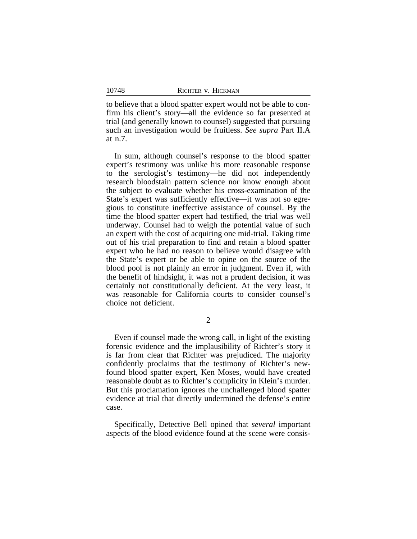to believe that a blood spatter expert would not be able to confirm his client's story—all the evidence so far presented at trial (and generally known to counsel) suggested that pursuing such an investigation would be fruitless. *See supra* Part II.A at n.7.

In sum, although counsel's response to the blood spatter expert's testimony was unlike his more reasonable response to the serologist's testimony—he did not independently research bloodstain pattern science nor know enough about the subject to evaluate whether his cross-examination of the State's expert was sufficiently effective—it was not so egregious to constitute ineffective assistance of counsel. By the time the blood spatter expert had testified, the trial was well underway. Counsel had to weigh the potential value of such an expert with the cost of acquiring one mid-trial. Taking time out of his trial preparation to find and retain a blood spatter expert who he had no reason to believe would disagree with the State's expert or be able to opine on the source of the blood pool is not plainly an error in judgment. Even if, with the benefit of hindsight, it was not a prudent decision, it was certainly not constitutionally deficient. At the very least, it was reasonable for California courts to consider counsel's choice not deficient.

2

Even if counsel made the wrong call, in light of the existing forensic evidence and the implausibility of Richter's story it is far from clear that Richter was prejudiced. The majority confidently proclaims that the testimony of Richter's newfound blood spatter expert, Ken Moses, would have created reasonable doubt as to Richter's complicity in Klein's murder. But this proclamation ignores the unchallenged blood spatter evidence at trial that directly undermined the defense's entire case.

Specifically, Detective Bell opined that *several* important aspects of the blood evidence found at the scene were consis-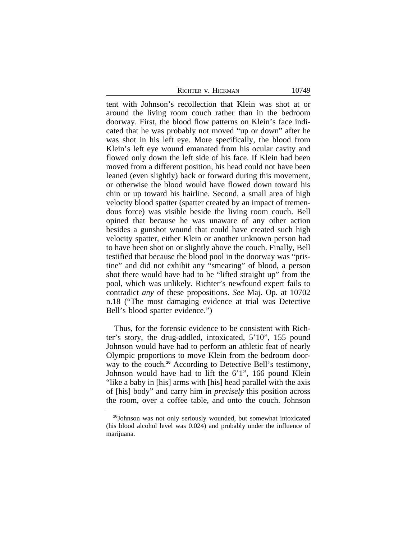tent with Johnson's recollection that Klein was shot at or around the living room couch rather than in the bedroom doorway. First, the blood flow patterns on Klein's face indicated that he was probably not moved "up or down" after he was shot in his left eye. More specifically, the blood from Klein's left eye wound emanated from his ocular cavity and flowed only down the left side of his face. If Klein had been moved from a different position, his head could not have been leaned (even slightly) back or forward during this movement, or otherwise the blood would have flowed down toward his chin or up toward his hairline. Second, a small area of high velocity blood spatter (spatter created by an impact of tremendous force) was visible beside the living room couch. Bell opined that because he was unaware of any other action besides a gunshot wound that could have created such high velocity spatter, either Klein or another unknown person had to have been shot on or slightly above the couch. Finally, Bell testified that because the blood pool in the doorway was "pristine" and did not exhibit any "smearing" of blood, a person shot there would have had to be "lifted straight up" from the pool, which was unlikely. Richter's newfound expert fails to contradict *any* of these propositions. *See* Maj. Op. at 10702 n.18 ("The most damaging evidence at trial was Detective Bell's blood spatter evidence.")

Thus, for the forensic evidence to be consistent with Richter's story, the drug-addled, intoxicated, 5'10", 155 pound Johnson would have had to perform an athletic feat of nearly Olympic proportions to move Klein from the bedroom doorway to the couch.<sup>16</sup> According to Detective Bell's testimony, Johnson would have had to lift the 6'1", 166 pound Klein "like a baby in [his] arms with [his] head parallel with the axis of [his] body" and carry him in *precisely* this position across the room, over a coffee table, and onto the couch. Johnson

**<sup>16</sup>**Johnson was not only seriously wounded, but somewhat intoxicated (his blood alcohol level was 0.024) and probably under the influence of marijuana.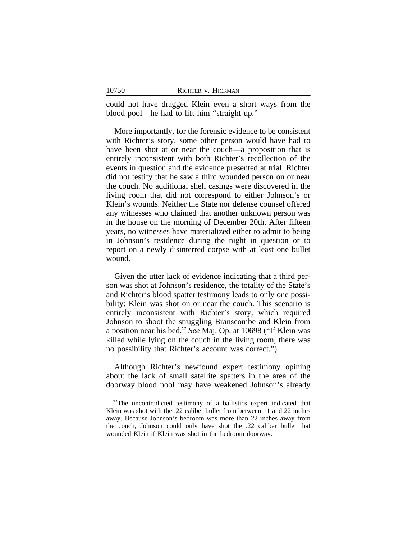could not have dragged Klein even a short ways from the blood pool—he had to lift him "straight up."

More importantly, for the forensic evidence to be consistent with Richter's story, some other person would have had to have been shot at or near the couch—a proposition that is entirely inconsistent with both Richter's recollection of the events in question and the evidence presented at trial. Richter did not testify that he saw a third wounded person on or near the couch. No additional shell casings were discovered in the living room that did not correspond to either Johnson's or Klein's wounds. Neither the State nor defense counsel offered any witnesses who claimed that another unknown person was in the house on the morning of December 20th. After fifteen years, no witnesses have materialized either to admit to being in Johnson's residence during the night in question or to report on a newly disinterred corpse with at least one bullet wound.

Given the utter lack of evidence indicating that a third person was shot at Johnson's residence, the totality of the State's and Richter's blood spatter testimony leads to only one possibility: Klein was shot on or near the couch. This scenario is entirely inconsistent with Richter's story, which required Johnson to shoot the struggling Branscombe and Klein from a position near his bed.**<sup>17</sup>** *See* Maj. Op. at 10698 ("If Klein was killed while lying on the couch in the living room, there was no possibility that Richter's account was correct.").

Although Richter's newfound expert testimony opining about the lack of small satellite spatters in the area of the doorway blood pool may have weakened Johnson's already

<sup>&</sup>lt;sup>17</sup>The uncontradicted testimony of a ballistics expert indicated that Klein was shot with the .22 caliber bullet from between 11 and 22 inches away. Because Johnson's bedroom was more than 22 inches away from the couch, Johnson could only have shot the .22 caliber bullet that wounded Klein if Klein was shot in the bedroom doorway.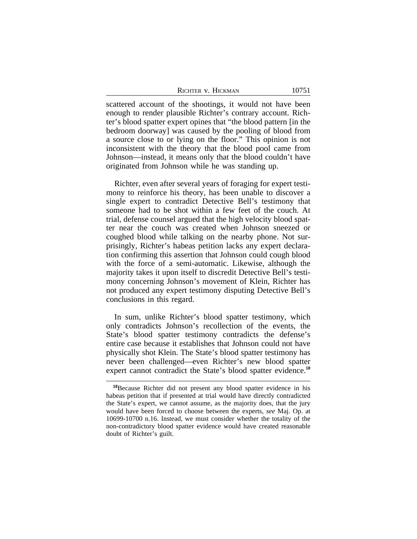| RICHTER V. HICKMAN | 10751 |
|--------------------|-------|
|--------------------|-------|

scattered account of the shootings, it would not have been enough to render plausible Richter's contrary account. Richter's blood spatter expert opines that "the blood pattern [in the bedroom doorway] was caused by the pooling of blood from a source close to or lying on the floor." This opinion is not inconsistent with the theory that the blood pool came from Johnson—instead, it means only that the blood couldn't have originated from Johnson while he was standing up.

Richter, even after several years of foraging for expert testimony to reinforce his theory, has been unable to discover a single expert to contradict Detective Bell's testimony that someone had to be shot within a few feet of the couch. At trial, defense counsel argued that the high velocity blood spatter near the couch was created when Johnson sneezed or coughed blood while talking on the nearby phone. Not surprisingly, Richter's habeas petition lacks any expert declaration confirming this assertion that Johnson could cough blood with the force of a semi-automatic. Likewise, although the majority takes it upon itself to discredit Detective Bell's testimony concerning Johnson's movement of Klein, Richter has not produced any expert testimony disputing Detective Bell's conclusions in this regard.

In sum, unlike Richter's blood spatter testimony, which only contradicts Johnson's recollection of the events, the State's blood spatter testimony contradicts the defense's entire case because it establishes that Johnson could not have physically shot Klein. The State's blood spatter testimony has never been challenged—even Richter's new blood spatter expert cannot contradict the State's blood spatter evidence.**<sup>18</sup>**

**<sup>18</sup>**Because Richter did not present any blood spatter evidence in his habeas petition that if presented at trial would have directly contradicted the State's expert, we cannot assume, as the majority does, that the jury would have been forced to choose between the experts, *see* Maj. Op. at 10699-10700 n.16. Instead, we must consider whether the totality of the non-contradictory blood spatter evidence would have created reasonable doubt of Richter's guilt.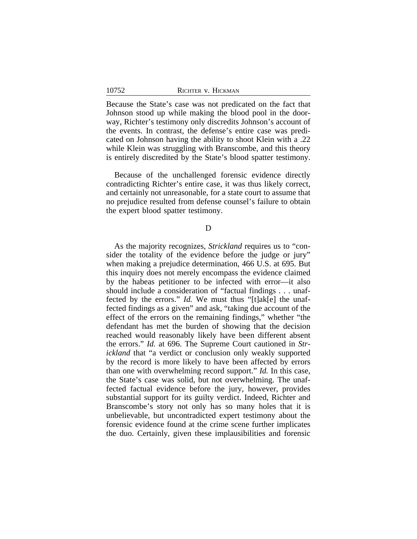Because the State's case was not predicated on the fact that Johnson stood up while making the blood pool in the doorway, Richter's testimony only discredits Johnson's account of the events. In contrast, the defense's entire case was predicated on Johnson having the ability to shoot Klein with a .22 while Klein was struggling with Branscombe, and this theory is entirely discredited by the State's blood spatter testimony.

Because of the unchallenged forensic evidence directly contradicting Richter's entire case, it was thus likely correct, and certainly not unreasonable, for a state court to assume that no prejudice resulted from defense counsel's failure to obtain the expert blood spatter testimony.

D

As the majority recognizes, *Strickland* requires us to "consider the totality of the evidence before the judge or jury" when making a prejudice determination, 466 U.S. at 695. But this inquiry does not merely encompass the evidence claimed by the habeas petitioner to be infected with error—it also should include a consideration of "factual findings . . . unaffected by the errors." *Id.* We must thus "[t]ak[e] the unaffected findings as a given" and ask, "taking due account of the effect of the errors on the remaining findings," whether "the defendant has met the burden of showing that the decision reached would reasonably likely have been different absent the errors." *Id.* at 696. The Supreme Court cautioned in *Strickland* that "a verdict or conclusion only weakly supported by the record is more likely to have been affected by errors than one with overwhelming record support." *Id.* In this case, the State's case was solid, but not overwhelming. The unaffected factual evidence before the jury, however, provides substantial support for its guilty verdict. Indeed, Richter and Branscombe's story not only has so many holes that it is unbelievable, but uncontradicted expert testimony about the forensic evidence found at the crime scene further implicates the duo. Certainly, given these implausibilities and forensic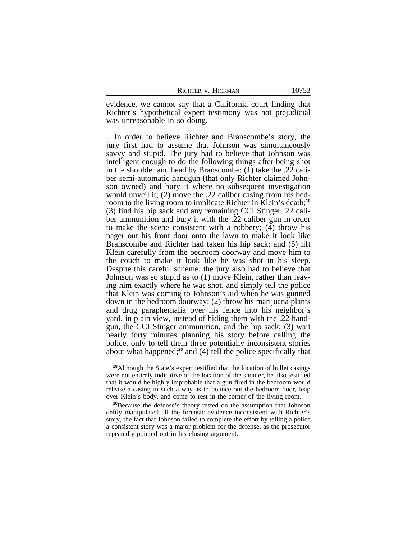evidence, we cannot say that a California court finding that Richter's hypothetical expert testimony was not prejudicial was unreasonable in so doing.

In order to believe Richter and Branscombe's story, the jury first had to assume that Johnson was simultaneously savvy and stupid. The jury had to believe that Johnson was intelligent enough to do the following things after being shot in the shoulder and head by Branscombe: (1) take the .22 caliber semi-automatic handgun (that only Richter claimed Johnson owned) and bury it where no subsequent investigation would unveil it; (2) move the .22 caliber casing from his bedroom to the living room to implicate Richter in Klein's death;**<sup>19</sup>** (3) find his hip sack and any remaining CCI Stinger .22 caliber ammunition and bury it with the .22 caliber gun in order to make the scene consistent with a robbery; (4) throw his pager out his front door onto the lawn to make it look like Branscombe and Richter had taken his hip sack; and (5) lift Klein carefully from the bedroom doorway and move him to the couch to make it look like he was shot in his sleep. Despite this careful scheme, the jury also had to believe that Johnson was so stupid as to (1) move Klein, rather than leaving him exactly where he was shot, and simply tell the police that Klein was coming to Johnson's aid when he was gunned down in the bedroom doorway; (2) throw his marijuana plants and drug paraphernalia over his fence into his neighbor's yard, in plain view, instead of hiding them with the .22 handgun, the CCI Stinger ammunition, and the hip sack; (3) wait nearly forty minutes planning his story before calling the police, only to tell them three potentially inconsistent stories about what happened;**<sup>20</sup>** and (4) tell the police specifically that

**<sup>19</sup>**Although the State's expert testified that the location of bullet casings were not entirely indicative of the location of the shooter, he also testified that it would be highly improbable that a gun fired in the bedroom would release a casing in such a way as to bounce out the bedroom door, leap over Klein's body, and come to rest in the corner of the living room.

**<sup>20</sup>**Because the defense's theory rested on the assumption that Johnson deftly manipulated all the forensic evidence inconsistent with Richter's story, the fact that Johnson failed to complete the effort by telling a police a consistent story was a major problem for the defense, as the prosecutor repeatedly pointed out in his closing argument.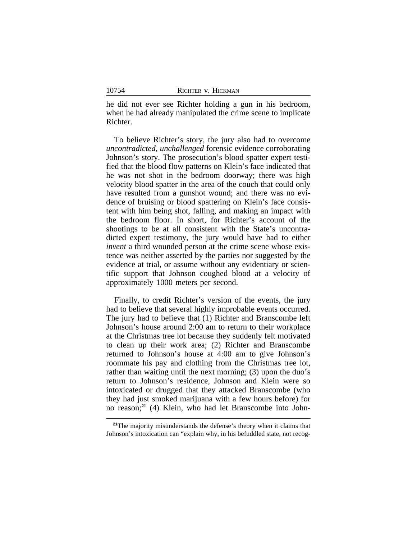he did not ever see Richter holding a gun in his bedroom, when he had already manipulated the crime scene to implicate Richter.

To believe Richter's story, the jury also had to overcome *uncontradicted*, *unchallenged* forensic evidence corroborating Johnson's story. The prosecution's blood spatter expert testified that the blood flow patterns on Klein's face indicated that he was not shot in the bedroom doorway; there was high velocity blood spatter in the area of the couch that could only have resulted from a gunshot wound; and there was no evidence of bruising or blood spattering on Klein's face consistent with him being shot, falling, and making an impact with the bedroom floor. In short, for Richter's account of the shootings to be at all consistent with the State's uncontradicted expert testimony, the jury would have had to either *invent* a third wounded person at the crime scene whose existence was neither asserted by the parties nor suggested by the evidence at trial, or assume without any evidentiary or scientific support that Johnson coughed blood at a velocity of approximately 1000 meters per second.

Finally, to credit Richter's version of the events, the jury had to believe that several highly improbable events occurred. The jury had to believe that (1) Richter and Branscombe left Johnson's house around 2:00 am to return to their workplace at the Christmas tree lot because they suddenly felt motivated to clean up their work area; (2) Richter and Branscombe returned to Johnson's house at 4:00 am to give Johnson's roommate his pay and clothing from the Christmas tree lot, rather than waiting until the next morning; (3) upon the duo's return to Johnson's residence, Johnson and Klein were so intoxicated or drugged that they attacked Branscombe (who they had just smoked marijuana with a few hours before) for no reason;**21** (4) Klein, who had let Branscombe into John-

<sup>&</sup>lt;sup>21</sup>The majority misunderstands the defense's theory when it claims that Johnson's intoxication can "explain why, in his befuddled state, not recog-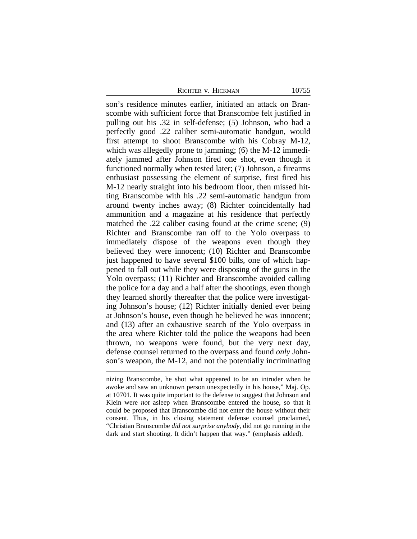son's residence minutes earlier, initiated an attack on Branscombe with sufficient force that Branscombe felt justified in pulling out his .32 in self-defense; (5) Johnson, who had a perfectly good .22 caliber semi-automatic handgun, would first attempt to shoot Branscombe with his Cobray M-12, which was allegedly prone to jamming; (6) the M-12 immediately jammed after Johnson fired one shot, even though it functioned normally when tested later; (7) Johnson, a firearms enthusiast possessing the element of surprise, first fired his M-12 nearly straight into his bedroom floor, then missed hitting Branscombe with his .22 semi-automatic handgun from around twenty inches away; (8) Richter coincidentally had ammunition and a magazine at his residence that perfectly matched the .22 caliber casing found at the crime scene; (9) Richter and Branscombe ran off to the Yolo overpass to immediately dispose of the weapons even though they believed they were innocent; (10) Richter and Branscombe just happened to have several \$100 bills, one of which happened to fall out while they were disposing of the guns in the Yolo overpass; (11) Richter and Branscombe avoided calling the police for a day and a half after the shootings, even though they learned shortly thereafter that the police were investigating Johnson's house; (12) Richter initially denied ever being at Johnson's house, even though he believed he was innocent; and (13) after an exhaustive search of the Yolo overpass in the area where Richter told the police the weapons had been thrown, no weapons were found, but the very next day, defense counsel returned to the overpass and found *only* Johnson's weapon, the M-12, and not the potentially incriminating

nizing Branscombe, he shot what appeared to be an intruder when he awoke and saw an unknown person unexpectedly in his house," Maj. Op. at 10701. It was quite important to the defense to suggest that Johnson and Klein were *not* asleep when Branscombe entered the house, so that it could be proposed that Branscombe did not enter the house without their consent. Thus, in his closing statement defense counsel proclaimed, "Christian Branscombe *did not surprise anybody*, did not go running in the dark and start shooting. It didn't happen that way." (emphasis added).